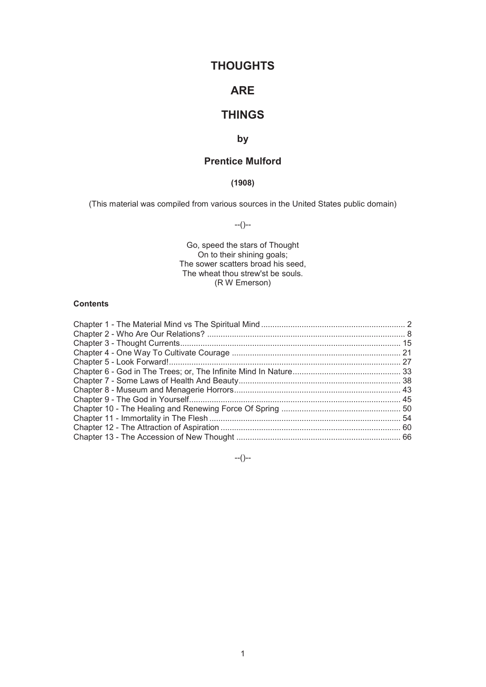## **THOUGHTS**

## **ARE**

# **THINGS**

### **by**

## **Prentice Mulford**

### **(1908)**

(This material was compiled from various sources in the United States public domain)

--()--

Go, speed the stars of Thought On to their shining goals; The sower scatters broad his seed, The wheat thou strew'st be souls. (R W Emerson)

#### **Contents**

--()--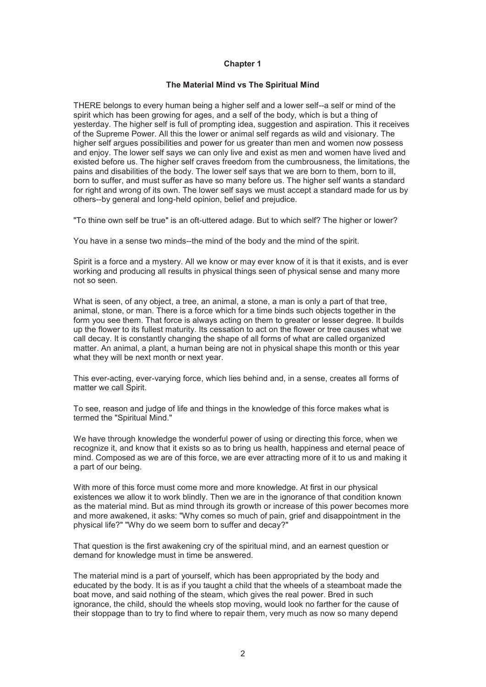#### **Chapter 1**

#### **The Material Mind vs The Spiritual Mind**

THERE belongs to every human being a higher self and a lower self--a self or mind of the spirit which has been growing for ages, and a self of the body, which is but a thing of yesterday. The higher self is full of prompting idea, suggestion and aspiration. This it receives of the Supreme Power. All this the lower or animal self regards as wild and visionary. The higher self argues possibilities and power for us greater than men and women now possess and enjoy. The lower self says we can only live and exist as men and women have lived and existed before us. The higher self craves freedom from the cumbrousness, the limitations, the pains and disabilities of the body. The lower self says that we are born to them, born to ill, born to suffer, and must suffer as have so many before us. The higher self wants a standard for right and wrong of its own. The lower self says we must accept a standard made for us by others--by general and long-held opinion, belief and prejudice.

"To thine own self be true" is an oft-uttered adage. But to which self? The higher or lower?

You have in a sense two minds--the mind of the body and the mind of the spirit.

Spirit is a force and a mystery. All we know or may ever know of it is that it exists, and is ever working and producing all results in physical things seen of physical sense and many more not so seen.

What is seen, of any object, a tree, an animal, a stone, a man is only a part of that tree, animal, stone, or man. There is a force which for a time binds such objects together in the form you see them. That force is always acting on them to greater or lesser degree. It builds up the flower to its fullest maturity. Its cessation to act on the flower or tree causes what we call decay. It is constantly changing the shape of all forms of what are called organized matter. An animal, a plant, a human being are not in physical shape this month or this year what they will be next month or next year.

This ever-acting, ever-varying force, which lies behind and, in a sense, creates all forms of matter we call Spirit.

To see, reason and judge of life and things in the knowledge of this force makes what is termed the "Spiritual Mind."

We have through knowledge the wonderful power of using or directing this force, when we recognize it, and know that it exists so as to bring us health, happiness and eternal peace of mind. Composed as we are of this force, we are ever attracting more of it to us and making it a part of our being.

With more of this force must come more and more knowledge. At first in our physical existences we allow it to work blindly. Then we are in the ignorance of that condition known as the material mind. But as mind through its growth or increase of this power becomes more and more awakened, it asks: "Why comes so much of pain, grief and disappointment in the physical life?" "Why do we seem born to suffer and decay?"

That question is the first awakening cry of the spiritual mind, and an earnest question or demand for knowledge must in time be answered.

The material mind is a part of yourself, which has been appropriated by the body and educated by the body. It is as if you taught a child that the wheels of a steamboat made the boat move, and said nothing of the steam, which gives the real power. Bred in such ignorance, the child, should the wheels stop moving, would look no farther for the cause of their stoppage than to try to find where to repair them, very much as now so many depend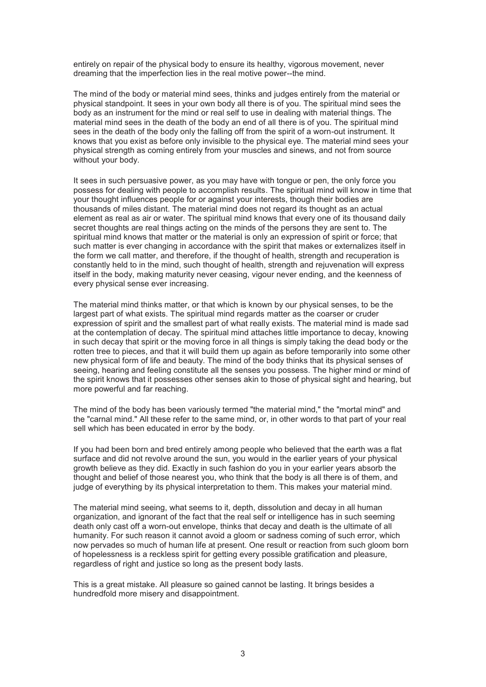entirely on repair of the physical body to ensure its healthy, vigorous movement, never dreaming that the imperfection lies in the real motive power--the mind.

The mind of the body or material mind sees, thinks and judges entirely from the material or physical standpoint. It sees in your own body all there is of you. The spiritual mind sees the body as an instrument for the mind or real self to use in dealing with material things. The material mind sees in the death of the body an end of all there is of you. The spiritual mind sees in the death of the body only the falling off from the spirit of a worn-out instrument. It knows that you exist as before only invisible to the physical eye. The material mind sees your physical strength as coming entirely from your muscles and sinews, and not from source without your body.

It sees in such persuasive power, as you may have with tongue or pen, the only force you possess for dealing with people to accomplish results. The spiritual mind will know in time that your thought influences people for or against your interests, though their bodies are thousands of miles distant. The material mind does not regard its thought as an actual element as real as air or water. The spiritual mind knows that every one of its thousand daily secret thoughts are real things acting on the minds of the persons they are sent to. The spiritual mind knows that matter or the material is only an expression of spirit or force; that such matter is ever changing in accordance with the spirit that makes or externalizes itself in the form we call matter, and therefore, if the thought of health, strength and recuperation is constantly held to in the mind, such thought of health, strength and rejuvenation will express itself in the body, making maturity never ceasing, vigour never ending, and the keenness of every physical sense ever increasing.

The material mind thinks matter, or that which is known by our physical senses, to be the largest part of what exists. The spiritual mind regards matter as the coarser or cruder expression of spirit and the smallest part of what really exists. The material mind is made sad at the contemplation of decay. The spiritual mind attaches little importance to decay, knowing in such decay that spirit or the moving force in all things is simply taking the dead body or the rotten tree to pieces, and that it will build them up again as before temporarily into some other new physical form of life and beauty. The mind of the body thinks that its physical senses of seeing, hearing and feeling constitute all the senses you possess. The higher mind or mind of the spirit knows that it possesses other senses akin to those of physical sight and hearing, but more powerful and far reaching.

The mind of the body has been variously termed "the material mind," the "mortal mind" and the "carnal mind." All these refer to the same mind, or, in other words to that part of your real sell which has been educated in error by the body.

If you had been born and bred entirely among people who believed that the earth was a flat surface and did not revolve around the sun, you would in the earlier years of your physical growth believe as they did. Exactly in such fashion do you in your earlier years absorb the thought and belief of those nearest you, who think that the body is all there is of them, and judge of everything by its physical interpretation to them. This makes your material mind.

The material mind seeing, what seems to it, depth, dissolution and decay in all human organization, and ignorant of the fact that the real self or intelligence has in such seeming death only cast off a worn-out envelope, thinks that decay and death is the ultimate of all humanity. For such reason it cannot avoid a gloom or sadness coming of such error, which now pervades so much of human life at present. One result or reaction from such gloom born of hopelessness is a reckless spirit for getting every possible gratification and pleasure, regardless of right and justice so long as the present body lasts.

This is a great mistake. All pleasure so gained cannot be lasting. It brings besides a hundredfold more misery and disappointment.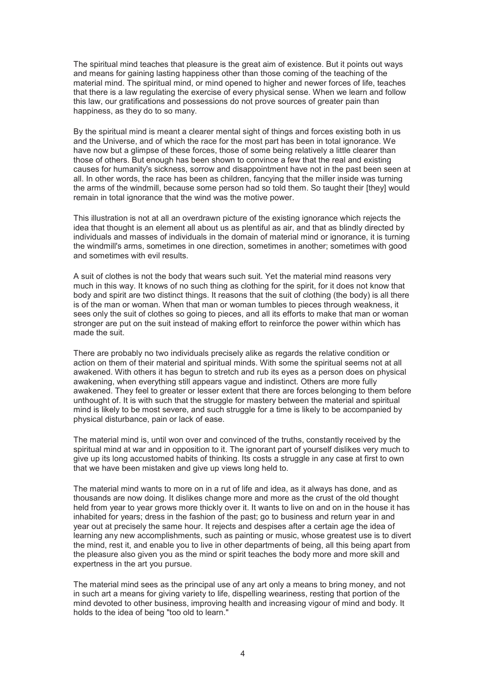The spiritual mind teaches that pleasure is the great aim of existence. But it points out ways and means for gaining lasting happiness other than those coming of the teaching of the material mind. The spiritual mind, or mind opened to higher and newer forces of life, teaches that there is a law regulating the exercise of every physical sense. When we learn and follow this law, our gratifications and possessions do not prove sources of greater pain than happiness, as they do to so many.

By the spiritual mind is meant a clearer mental sight of things and forces existing both in us and the Universe, and of which the race for the most part has been in total ignorance. We have now but a glimpse of these forces, those of some being relatively a little clearer than those of others. But enough has been shown to convince a few that the real and existing causes for humanity's sickness, sorrow and disappointment have not in the past been seen at all. In other words, the race has been as children, fancying that the miller inside was turning the arms of the windmill, because some person had so told them. So taught their [they] would remain in total ignorance that the wind was the motive power.

This illustration is not at all an overdrawn picture of the existing ignorance which rejects the idea that thought is an element all about us as plentiful as air, and that as blindly directed by individuals and masses of individuals in the domain of material mind or ignorance, it is turning the windmill's arms, sometimes in one direction, sometimes in another; sometimes with good and sometimes with evil results.

A suit of clothes is not the body that wears such suit. Yet the material mind reasons very much in this way. It knows of no such thing as clothing for the spirit, for it does not know that body and spirit are two distinct things. It reasons that the suit of clothing (the body) is all there is of the man or woman. When that man or woman tumbles to pieces through weakness, it sees only the suit of clothes so going to pieces, and all its efforts to make that man or woman stronger are put on the suit instead of making effort to reinforce the power within which has made the suit.

There are probably no two individuals precisely alike as regards the relative condition or action on them of their material and spiritual minds. With some the spiritual seems not at all awakened. With others it has begun to stretch and rub its eyes as a person does on physical awakening, when everything still appears vague and indistinct. Others are more fully awakened. They feel to greater or lesser extent that there are forces belonging to them before unthought of. It is with such that the struggle for mastery between the material and spiritual mind is likely to be most severe, and such struggle for a time is likely to be accompanied by physical disturbance, pain or lack of ease.

The material mind is, until won over and convinced of the truths, constantly received by the spiritual mind at war and in opposition to it. The ignorant part of yourself dislikes very much to give up its long accustomed habits of thinking. Its costs a struggle in any case at first to own that we have been mistaken and give up views long held to.

The material mind wants to more on in a rut of life and idea, as it always has done, and as thousands are now doing. It dislikes change more and more as the crust of the old thought held from year to year grows more thickly over it. It wants to live on and on in the house it has inhabited for years; dress in the fashion of the past; go to business and return year in and year out at precisely the same hour. It rejects and despises after a certain age the idea of learning any new accomplishments, such as painting or music, whose greatest use is to divert the mind, rest it, and enable you to live in other departments of being, all this being apart from the pleasure also given you as the mind or spirit teaches the body more and more skill and expertness in the art you pursue.

The material mind sees as the principal use of any art only a means to bring money, and not in such art a means for giving variety to life, dispelling weariness, resting that portion of the mind devoted to other business, improving health and increasing vigour of mind and body. It holds to the idea of being "too old to learn."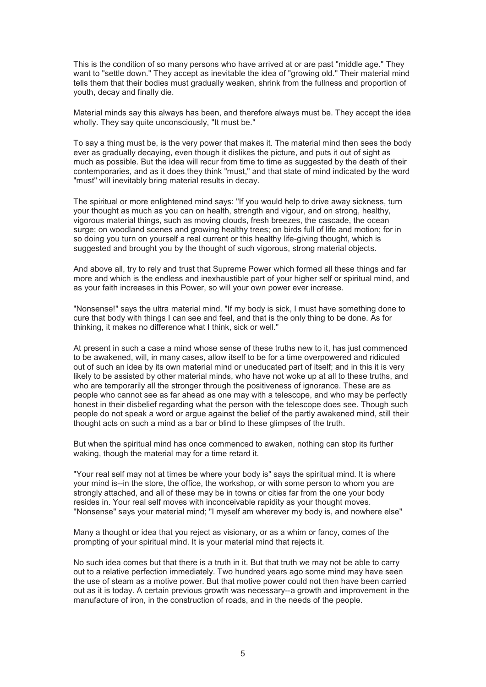This is the condition of so many persons who have arrived at or are past "middle age." They want to "settle down." They accept as inevitable the idea of "growing old." Their material mind tells them that their bodies must gradually weaken, shrink from the fullness and proportion of youth, decay and finally die.

Material minds say this always has been, and therefore always must be. They accept the idea wholly. They say quite unconsciously. "It must be."

To say a thing must be, is the very power that makes it. The material mind then sees the body ever as gradually decaying, even though it dislikes the picture, and puts it out of sight as much as possible. But the idea will recur from time to time as suggested by the death of their contemporaries, and as it does they think "must," and that state of mind indicated by the word "must" will inevitably bring material results in decay.

The spiritual or more enlightened mind says: "If you would help to drive away sickness, turn your thought as much as you can on health, strength and vigour, and on strong, healthy, vigorous material things, such as moving clouds, fresh breezes, the cascade, the ocean surge; on woodland scenes and growing healthy trees; on birds full of life and motion; for in so doing you turn on yourself a real current or this healthy life-giving thought, which is suggested and brought you by the thought of such vigorous, strong material objects.

And above all, try to rely and trust that Supreme Power which formed all these things and far more and which is the endless and inexhaustible part of your higher self or spiritual mind, and as your faith increases in this Power, so will your own power ever increase.

"Nonsense!" says the ultra material mind. "If my body is sick, I must have something done to cure that body with things I can see and feel, and that is the only thing to be done. As for thinking, it makes no difference what I think, sick or well."

At present in such a case a mind whose sense of these truths new to it, has just commenced to be awakened, will, in many cases, allow itself to be for a time overpowered and ridiculed out of such an idea by its own material mind or uneducated part of itself; and in this it is very likely to be assisted by other material minds, who have not woke up at all to these truths, and who are temporarily all the stronger through the positiveness of ignorance. These are as people who cannot see as far ahead as one may with a telescope, and who may be perfectly honest in their disbelief regarding what the person with the telescope does see. Though such people do not speak a word or argue against the belief of the partly awakened mind, still their thought acts on such a mind as a bar or blind to these glimpses of the truth.

But when the spiritual mind has once commenced to awaken, nothing can stop its further waking, though the material may for a time retard it.

"Your real self may not at times be where your body is" says the spiritual mind. It is where your mind is--in the store, the office, the workshop, or with some person to whom you are strongly attached, and all of these may be in towns or cities far from the one your body resides in. Your real self moves with inconceivable rapidity as your thought moves. ''Nonsense" says your material mind; "I myself am wherever my body is, and nowhere else"

Many a thought or idea that you reject as visionary, or as a whim or fancy, comes of the prompting of your spiritual mind. It is your material mind that rejects it.

No such idea comes but that there is a truth in it. But that truth we may not be able to carry out to a relative perfection immediately. Two hundred years ago some mind may have seen the use of steam as a motive power. But that motive power could not then have been carried out as it is today. A certain previous growth was necessary--a growth and improvement in the manufacture of iron, in the construction of roads, and in the needs of the people.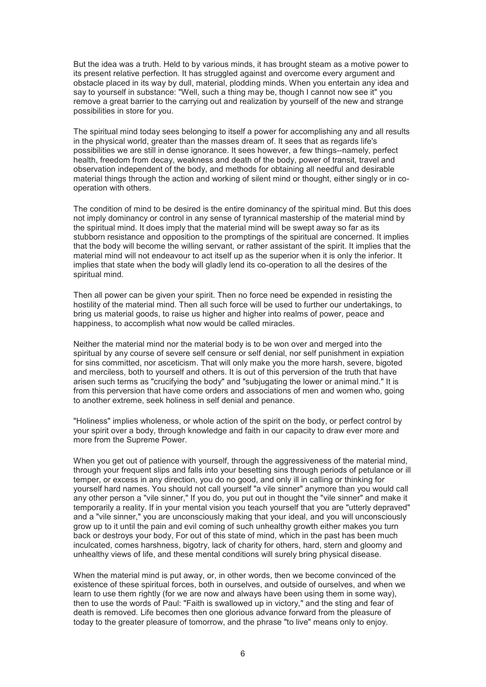But the idea was a truth. Held to by various minds, it has brought steam as a motive power to its present relative perfection. It has struggled against and overcome every argument and obstacle placed in its way by dull, material, plodding minds. When you entertain any idea and say to yourself in substance: "Well, such a thing may be, though I cannot now see it" you remove a great barrier to the carrying out and realization by yourself of the new and strange possibilities in store for you.

The spiritual mind today sees belonging to itself a power for accomplishing any and all results in the physical world, greater than the masses dream of. It sees that as regards life's possibilities we are still in dense ignorance. It sees however, a few things--namely, perfect health, freedom from decay, weakness and death of the body, power of transit, travel and observation independent of the body, and methods for obtaining all needful and desirable material things through the action and working of silent mind or thought, either singly or in cooperation with others.

The condition of mind to be desired is the entire dominancy of the spiritual mind. But this does not imply dominancy or control in any sense of tyrannical mastership of the material mind by the spiritual mind. It does imply that the material mind will be swept away so far as its stubborn resistance and opposition to the promptings of the spiritual are concerned. It implies that the body will become the willing servant, or rather assistant of the spirit. It implies that the material mind will not endeavour to act itself up as the superior when it is only the inferior. It implies that state when the body will gladly lend its co-operation to all the desires of the spiritual mind.

Then all power can be given your spirit. Then no force need be expended in resisting the hostility of the material mind. Then all such force will be used to further our undertakings, to bring us material goods, to raise us higher and higher into realms of power, peace and happiness, to accomplish what now would be called miracles.

Neither the material mind nor the material body is to be won over and merged into the spiritual by any course of severe self censure or self denial, nor self punishment in expiation for sins committed, nor asceticism. That will only make you the more harsh, severe, bigoted and merciless, both to yourself and others. It is out of this perversion of the truth that have arisen such terms as "crucifying the body" and "subjugating the lower or animal mind." It is from this perversion that have come orders and associations of men and women who, going to another extreme, seek holiness in self denial and penance.

"Holiness" implies wholeness, or whole action of the spirit on the body, or perfect control by your spirit over a body, through knowledge and faith in our capacity to draw ever more and more from the Supreme Power.

When you get out of patience with yourself, through the aggressiveness of the material mind, through your frequent slips and falls into your besetting sins through periods of petulance or ill temper, or excess in any direction, you do no good, and only ill in calling or thinking for yourself hard names. You should not call yourself "a vile sinner" anymore than you would call any other person a "vile sinner," If you do, you put out in thought the "vile sinner" and make it temporarily a reality. If in your mental vision you teach yourself that you are "utterly depraved" and a "vile sinner," you are unconsciously making that your ideal, and you will unconsciously grow up to it until the pain and evil coming of such unhealthy growth either makes you turn back or destroys your body, For out of this state of mind, which in the past has been much inculcated, comes harshness, bigotry, lack of charity for others, hard, stern and gloomy and unhealthy views of life, and these mental conditions will surely bring physical disease.

When the material mind is put away, or, in other words, then we become convinced of the existence of these spiritual forces, both in ourselves, and outside of ourselves, and when we learn to use them rightly (for we are now and always have been using them in some way), then to use the words of Paul: "Faith is swallowed up in victory," and the sting and fear of death is removed. Life becomes then one glorious advance forward from the pleasure of today to the greater pleasure of tomorrow, and the phrase "to live" means only to enjoy.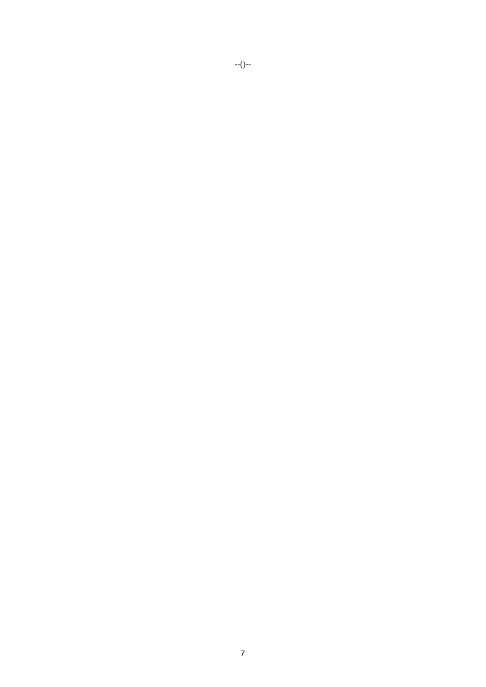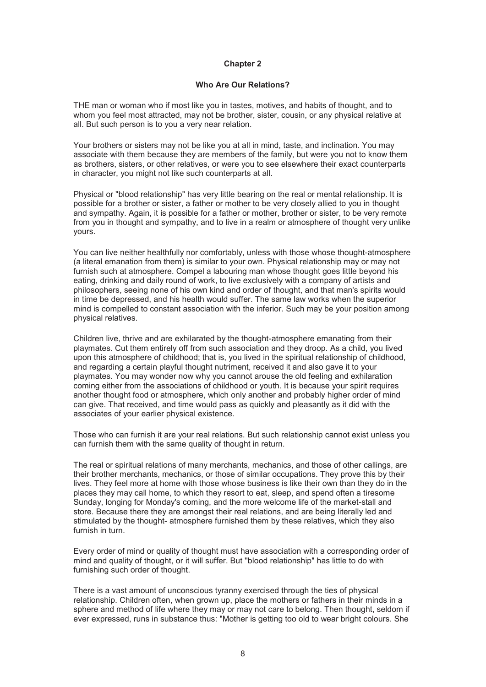#### **Chapter 2**

#### **Who Are Our Relations?**

THE man or woman who if most like you in tastes, motives, and habits of thought, and to whom you feel most attracted, may not be brother, sister, cousin, or any physical relative at all. But such person is to you a very near relation.

Your brothers or sisters may not be like you at all in mind, taste, and inclination. You may associate with them because they are members of the family, but were you not to know them as brothers, sisters, or other relatives, or were you to see elsewhere their exact counterparts in character, you might not like such counterparts at all.

Physical or "blood relationship" has very little bearing on the real or mental relationship. It is possible for a brother or sister, a father or mother to be very closely allied to you in thought and sympathy. Again, it is possible for a father or mother, brother or sister, to be very remote from you in thought and sympathy, and to live in a realm or atmosphere of thought very unlike yours.

You can live neither healthfully nor comfortably, unless with those whose thought-atmosphere (a literal emanation from them) is similar to your own. Physical relationship may or may not furnish such at atmosphere. Compel a labouring man whose thought goes little beyond his eating, drinking and daily round of work, to live exclusively with a company of artists and philosophers, seeing none of his own kind and order of thought, and that man's spirits would in time be depressed, and his health would suffer. The same law works when the superior mind is compelled to constant association with the inferior. Such may be your position among physical relatives.

Children live, thrive and are exhilarated by the thought-atmosphere emanating from their playmates. Cut them entirely off from such association and they droop. As a child, you lived upon this atmosphere of childhood; that is, you lived in the spiritual relationship of childhood, and regarding a certain playful thought nutriment, received it and also gave it to your playmates. You may wonder now why you cannot arouse the old feeling and exhilaration coming either from the associations of childhood or youth. It is because your spirit requires another thought food or atmosphere, which only another and probably higher order of mind can give. That received, and time would pass as quickly and pleasantly as it did with the associates of your earlier physical existence.

Those who can furnish it are your real relations. But such relationship cannot exist unless you can furnish them with the same quality of thought in return.

The real or spiritual relations of many merchants, mechanics, and those of other callings, are their brother merchants, mechanics, or those of similar occupations. They prove this by their lives. They feel more at home with those whose business is like their own than they do in the places they may call home, to which they resort to eat, sleep, and spend often a tiresome Sunday, longing for Monday's coming, and the more welcome life of the market-stall and store. Because there they are amongst their real relations, and are being literally led and stimulated by the thought- atmosphere furnished them by these relatives, which they also furnish in turn.

Every order of mind or quality of thought must have association with a corresponding order of mind and quality of thought, or it will suffer. But ''blood relationship" has little to do with furnishing such order of thought.

There is a vast amount of unconscious tyranny exercised through the ties of physical relationship. Children often, when grown up, place the mothers or fathers in their minds in a sphere and method of life where they may or may not care to belong. Then thought, seldom if ever expressed, runs in substance thus: "Mother is getting too old to wear bright colours. She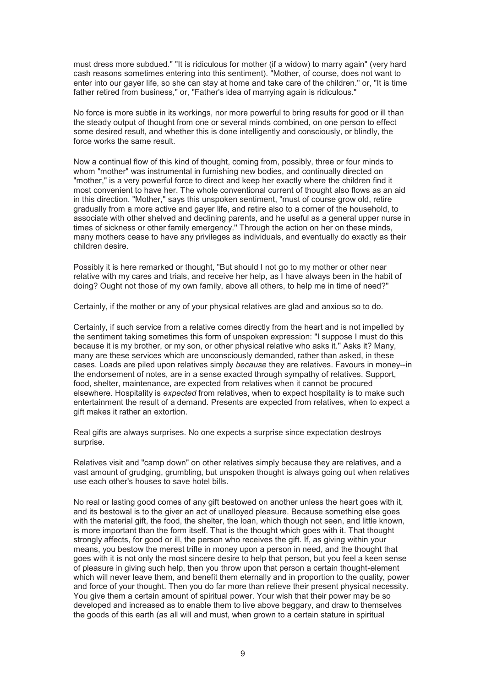must dress more subdued." "It is ridiculous for mother (if a widow) to marry again" (very hard cash reasons sometimes entering into this sentiment). "Mother, of course, does not want to enter into our gayer life, so she can stay at home and take care of the children." or, "It is time father retired from business," or, "Father's idea of marrying again is ridiculous."

No force is more subtle in its workings, nor more powerful to bring results for good or ill than the steady output of thought from one or several minds combined, on one person to effect some desired result, and whether this is done intelligently and consciously, or blindly, the force works the same result.

Now a continual flow of this kind of thought, coming from, possibly, three or four minds to whom "mother" was instrumental in furnishing new bodies, and continually directed on "mother," is a very powerful force to direct and keep her exactly where the children find it most convenient to have her. The whole conventional current of thought also flows as an aid in this direction. "Mother," says this unspoken sentiment, "must of course grow old, retire gradually from a more active and gayer life, and retire also to a corner of the household, to associate with other shelved and declining parents, and he useful as a general upper nurse in times of sickness or other family emergency.'' Through the action on her on these minds, many mothers cease to have any privileges as individuals, and eventually do exactly as their children desire.

Possibly it is here remarked or thought, "But should I not go to my mother or other near relative with my cares and trials, and receive her help, as I have always been in the habit of doing? Ought not those of my own family, above all others, to help me in time of need?"

Certainly, if the mother or any of your physical relatives are glad and anxious so to do.

Certainly, if such service from a relative comes directly from the heart and is not impelled by the sentiment taking sometimes this form of unspoken expression: "I suppose I must do this because it is my brother, or my son, or other physical relative who asks it.'' Asks it? Many, many are these services which are unconsciously demanded, rather than asked, in these cases. Loads are piled upon relatives simply *because* they are relatives. Favours in money--in the endorsement of notes, are in a sense exacted through sympathy of relatives. Support, food, shelter, maintenance, are expected from relatives when it cannot be procured elsewhere. Hospitality is *expected* from relatives, when to expect hospitality is to make such entertainment the result of a demand. Presents are expected from relatives, when to expect a gift makes it rather an extortion.

Real gifts are always surprises. No one expects a surprise since expectation destroys surprise.

Relatives visit and "camp down" on other relatives simply because they are relatives, and a vast amount of grudging, grumbling, but unspoken thought is always going out when relatives use each other's houses to save hotel bills.

No real or lasting good comes of any gift bestowed on another unless the heart goes with it, and its bestowal is to the giver an act of unalloyed pleasure. Because something else goes with the material gift, the food, the shelter, the loan, which though not seen, and little known, is more important than the form itself. That is the thought which goes with it. That thought strongly affects, for good or ill, the person who receives the gift. If, as giving within your means, you bestow the merest trifle in money upon a person in need, and the thought that goes with it is not only the most sincere desire to help that person, but you feel a keen sense of pleasure in giving such help, then you throw upon that person a certain thought-element which will never leave them, and benefit them eternally and in proportion to the quality, power and force of your thought. Then you do far more than relieve their present physical necessity. You give them a certain amount of spiritual power. Your wish that their power may be so developed and increased as to enable them to live above beggary, and draw to themselves the goods of this earth (as all will and must, when grown to a certain stature in spiritual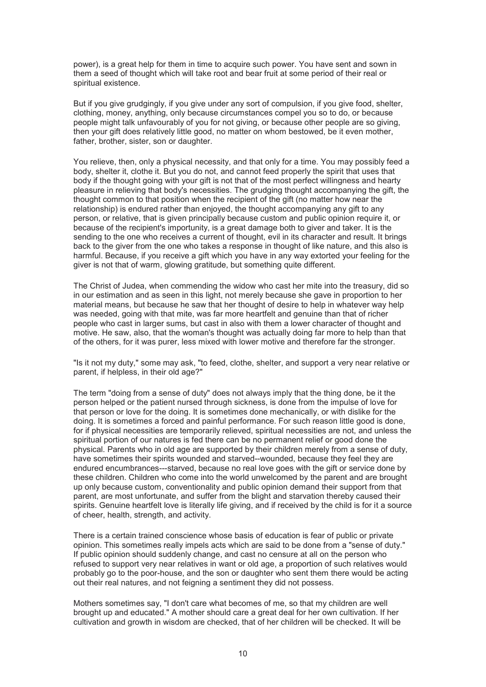power), is a great help for them in time to acquire such power. You have sent and sown in them a seed of thought which will take root and bear fruit at some period of their real or spiritual existence.

But if you give grudgingly, if you give under any sort of compulsion, if you give food, shelter, clothing, money, anything, only because circumstances compel you so to do, or because people might talk unfavourably of you for not giving, or because other people are so giving, then your gift does relatively little good, no matter on whom bestowed, be it even mother, father, brother, sister, son or daughter.

You relieve, then, only a physical necessity, and that only for a time. You may possibly feed a body, shelter it, clothe it. But you do not, and cannot feed properly the spirit that uses that body if the thought going with your gift is not that of the most perfect willingness and hearty pleasure in relieving that body's necessities. The grudging thought accompanying the gift, the thought common to that position when the recipient of the gift (no matter how near the relationship) is endured rather than enjoyed, the thought accompanying any gift to any person, or relative, that is given principally because custom and public opinion require it, or because of the recipient's importunity, is a great damage both to giver and taker. It is the sending to the one who receives a current of thought, evil in its character and result. It brings back to the giver from the one who takes a response in thought of like nature, and this also is harmful. Because, if you receive a gift which you have in any way extorted your feeling for the giver is not that of warm, glowing gratitude, but something quite different.

The Christ of Judea, when commending the widow who cast her mite into the treasury, did so in our estimation and as seen in this light, not merely because she gave in proportion to her material means, but because he saw that her thought of desire to help in whatever way help was needed, going with that mite, was far more heartfelt and genuine than that of richer people who cast in larger sums, but cast in also with them a lower character of thought and motive. He saw, also, that the woman's thought was actually doing far more to help than that of the others, for it was purer, less mixed with lower motive and therefore far the stronger.

"Is it not my duty," some may ask, "to feed, clothe, shelter, and support a very near relative or parent, if helpless, in their old age?"

The term "doing from a sense of duty" does not always imply that the thing done, be it the person helped or the patient nursed through sickness, is done from the impulse of love for that person or love for the doing. It is sometimes done mechanically, or with dislike for the doing. It is sometimes a forced and painful performance. For such reason little good is done, for if physical necessities are temporarily relieved, spiritual necessities are not, and unless the spiritual portion of our natures is fed there can be no permanent relief or good done the physical. Parents who in old age are supported by their children merely from a sense of duty, have sometimes their spirits wounded and starved--wounded, because they feel they are endured encumbrances---starved, because no real love goes with the gift or service done by these children. Children who come into the world unwelcomed by the parent and are brought up only because custom, conventionality and public opinion demand their support from that parent, are most unfortunate, and suffer from the blight and starvation thereby caused their spirits. Genuine heartfelt love is literally life giving, and if received by the child is for it a source of cheer, health, strength, and activity.

There is a certain trained conscience whose basis of education is fear of public or private opinion. This sometimes really impels acts which are said to be done from a "sense of duty." If public opinion should suddenly change, and cast no censure at all on the person who refused to support very near relatives in want or old age, a proportion of such relatives would probably go to the poor-house, and the son or daughter who sent them there would be acting out their real natures, and not feigning a sentiment they did not possess.

Mothers sometimes say, "I don't care what becomes of me, so that my children are well brought up and educated." A mother should care a great deal for her own cultivation. If her cultivation and growth in wisdom are checked, that of her children will be checked. It will be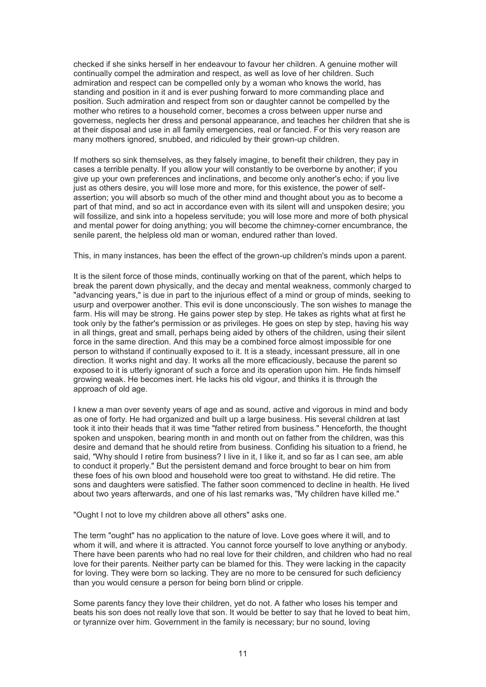checked if she sinks herself in her endeavour to favour her children. A genuine mother will continually compel the admiration and respect, as well as love of her children. Such admiration and respect can be compelled only by a woman who knows the world, has standing and position in it and is ever pushing forward to more commanding place and position. Such admiration and respect from son or daughter cannot be compelled by the mother who retires to a household corner, becomes a cross between upper nurse and governess, neglects her dress and personal appearance, and teaches her children that she is at their disposal and use in all family emergencies, real or fancied. For this very reason are many mothers ignored, snubbed, and ridiculed by their grown-up children.

If mothers so sink themselves, as they falsely imagine, to benefit their children, they pay in cases a terrible penalty. If you allow your will constantly to be overborne by another; if you give up your own preferences and inclinations, and become only another's echo; if you live just as others desire, you will lose more and more, for this existence, the power of selfassertion; you will absorb so much of the other mind and thought about you as to become a part of that mind, and so act in accordance even with its silent will and unspoken desire; you will fossilize, and sink into a hopeless servitude; you will lose more and more of both physical and mental power for doing anything; you will become the chimney-corner encumbrance, the senile parent, the helpless old man or woman, endured rather than loved.

#### This, in many instances, has been the effect of the grown-up children's minds upon a parent.

It is the silent force of those minds, continually working on that of the parent, which helps to break the parent down physically, and the decay and mental weakness, commonly charged to "advancing years," is due in part to the injurious effect of a mind or group of minds, seeking to usurp and overpower another. This evil is done unconsciously. The son wishes to manage the farm. His will may be strong. He gains power step by step. He takes as rights what at first he took only by the father's permission or as privileges. He goes on step by step, having his way in all things, great and small, perhaps being aided by others of the children, using their silent force in the same direction. And this may be a combined force almost impossible for one person to withstand if continually exposed to it. It is a steady, incessant pressure, all in one direction. It works night and day. It works all the more efficaciously, because the parent so exposed to it is utterly ignorant of such a force and its operation upon him. He finds himself growing weak. He becomes inert. He lacks his old vigour, and thinks it is through the approach of old age.

I knew a man over seventy years of age and as sound, active and vigorous in mind and body as one of forty. He had organized and built up a large business. His several children at last took it into their heads that it was time "father retired from business." Henceforth, the thought spoken and unspoken, bearing month in and month out on father from the children, was this desire and demand that he should retire from business. Confiding his situation to a friend, he said, "Why should I retire from business? I live in it, I like it, and so far as I can see, am able to conduct it properly." But the persistent demand and force brought to bear on him from these foes of his own blood and household were too great to withstand. He did retire. The sons and daughters were satisfied. The father soon commenced to decline in health. He lived about two years afterwards, and one of his last remarks was, "My children have killed me."

"Ought I not to love my children above all others" asks one.

The term "ought" has no application to the nature of love. Love goes where it will, and to whom it will, and where it is attracted. You cannot force yourself to love anything or anybody. There have been parents who had no real love for their children, and children who had no real love for their parents. Neither party can be blamed for this. They were lacking in the capacity for loving. They were born so lacking. They are no more to be censured for such deficiency than you would censure a person for being born blind or cripple.

Some parents fancy they love their children, yet do not. A father who loses his temper and beats his son does not really love that son. It would be better to say that he loved to beat him, or tyrannize over him. Government in the family is necessary; bur no sound, loving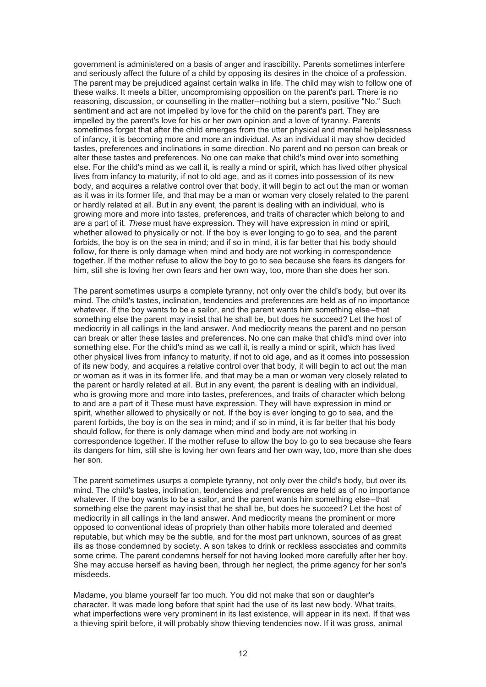government is administered on a basis of anger and irascibility. Parents sometimes interfere and seriously affect the future of a child by opposing its desires in the choice of a profession. The parent may be prejudiced against certain walks in life. The child may wish to follow one of these walks. It meets a bitter, uncompromising opposition on the parent's part. There is no reasoning, discussion, or counselling in the matter--nothing but a stern, positive "No." Such sentiment and act are not impelled by love for the child on the parent's part. They are impelled by the parent's love for his or her own opinion and a love of tyranny. Parents sometimes forget that after the child emerges from the utter physical and mental helplessness of infancy, it is becoming more and more an individual. As an individual it may show decided tastes, preferences and inclinations in some direction. No parent and no person can break or alter these tastes and preferences. No one can make that child's mind over into something else. For the child's mind as we call it, is really a mind or spirit, which has lived other physical lives from infancy to maturity, if not to old age, and as it comes into possession of its new body, and acquires a relative control over that body, it will begin to act out the man or woman as it was in its former life, and that may be a man or woman very closely related to the parent or hardly related at all. But in any event, the parent is dealing with an individual, who is growing more and more into tastes, preferences, and traits of character which belong to and are a part of it. *These* must have expression. They will have expression in mind or spirit, whether allowed to physically or not. If the boy is ever longing to go to sea, and the parent forbids, the boy is on the sea in mind; and if so in mind, it is far better that his body should follow, for there is only damage when mind and body are not working in correspondence together. If the mother refuse to allow the boy to go to sea because she fears its dangers for him, still she is loving her own fears and her own way, too, more than she does her son.

The parent sometimes usurps a complete tyranny, not only over the child's body, but over its mind. The child's tastes, inclination, tendencies and preferences are held as of no importance whatever. If the boy wants to be a sailor, and the parent wants him something else--that something else the parent may insist that he shall be, but does he succeed? Let the host of mediocrity in all callings in the land answer. And mediocrity means the parent and no person can break or alter these tastes and preferences. No one can make that child's mind over into something else. For the child's mind as we call it, is really a mind or spirit, which has lived other physical lives from infancy to maturity, if not to old age, and as it comes into possession of its new body, and acquires a relative control over that body, it will begin to act out the man or woman as it was in its former life, and that may be a man or woman very closely related to the parent or hardly related at all. But in any event, the parent is dealing with an individual, who is growing more and more into tastes, preferences, and traits of character which belong to and are a part of it These must have expression. They will have expression in mind or spirit, whether allowed to physically or not. If the boy is ever longing to go to sea, and the parent forbids, the boy is on the sea in mind; and if so in mind, it is far better that his body should follow, for there is only damage when mind and body are not working in correspondence together. If the mother refuse to allow the boy to go to sea because she fears its dangers for him, still she is loving her own fears and her own way, too, more than she does her son.

The parent sometimes usurps a complete tyranny, not only over the child's body, but over its mind. The child's tastes, inclination, tendencies and preferences are held as of no importance whatever. If the boy wants to be a sailor, and the parent wants him something else--that something else the parent may insist that he shall be, but does he succeed? Let the host of mediocrity in all callings in the land answer. And mediocrity means the prominent or more opposed to conventional ideas of propriety than other habits more tolerated and deemed reputable, but which may be the subtle, and for the most part unknown, sources of as great ills as those condemned by society. A son takes to drink or reckless associates and commits some crime. The parent condemns herself for not having looked more carefully after her boy. She may accuse herself as having been, through her neglect, the prime agency for her son's misdeeds.

Madame, you blame yourself far too much. You did not make that son or daughter's character. It was made long before that spirit had the use of its last new body. What traits, what imperfections were very prominent in its last existence, will appear in its next. If that was a thieving spirit before, it will probably show thieving tendencies now. If it was gross, animal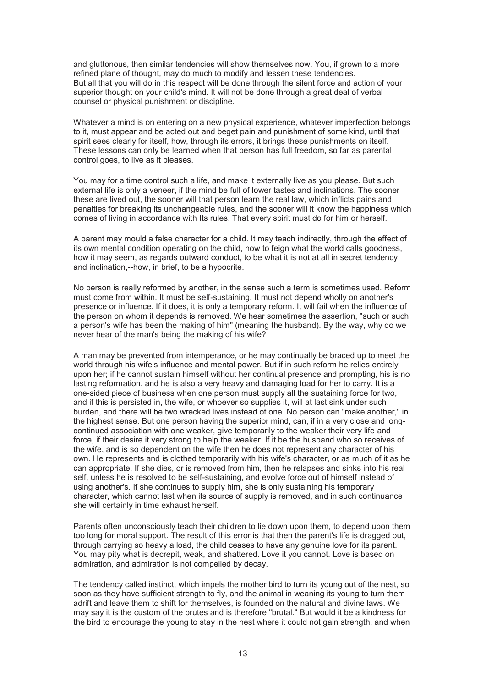and gluttonous, then similar tendencies will show themselves now. You, if grown to a more refined plane of thought, may do much to modify and lessen these tendencies. But all that you will do in this respect will be done through the silent force and action of your superior thought on your child's mind. It will not be done through a great deal of verbal counsel or physical punishment or discipline.

Whatever a mind is on entering on a new physical experience, whatever imperfection belongs to it, must appear and be acted out and beget pain and punishment of some kind, until that spirit sees clearly for itself, how, through its errors, it brings these punishments on itself. These lessons can only be learned when that person has full freedom, so far as parental control goes, to live as it pleases.

You may for a time control such a life, and make it externally live as you please. But such external life is only a veneer, if the mind be full of lower tastes and inclinations. The sooner these are lived out, the sooner will that person learn the real law, which inflicts pains and penalties for breaking its unchangeable rules, and the sooner will it know the happiness which comes of living in accordance with Its rules. That every spirit must do for him or herself.

A parent may mould a false character for a child. It may teach indirectly, through the effect of its own mental condition operating on the child, how to feign what the world calls goodness, how it may seem, as regards outward conduct, to be what it is not at all in secret tendency and inclination,--how, in brief, to be a hypocrite.

No person is really reformed by another, in the sense such a term is sometimes used. Reform must come from within. It must be self-sustaining. It must not depend wholly on another's presence or influence. If it does, it is only a temporary reform. It will fail when the influence of the person on whom it depends is removed. We hear sometimes the assertion, "such or such a person's wife has been the making of him" (meaning the husband). By the way, why do we never hear of the man's being the making of his wife?

A man may be prevented from intemperance, or he may continually be braced up to meet the world through his wife's influence and mental power. But if in such reform he relies entirely upon her; if he cannot sustain himself without her continual presence and prompting, his is no lasting reformation, and he is also a very heavy and damaging load for her to carry. It is a one-sided piece of business when one person must supply all the sustaining force for two, and if this is persisted in, the wife, or whoever so supplies it, will at last sink under such burden, and there will be two wrecked lives instead of one. No person can "make another," in the highest sense. But one person having the superior mind, can, if in a very close and longcontinued association with one weaker, give temporarily to the weaker their very life and force, if their desire it very strong to help the weaker. If it be the husband who so receives of the wife, and is so dependent on the wife then he does not represent any character of his own. He represents and is clothed temporarily with his wife's character, or as much of it as he can appropriate. If she dies, or is removed from him, then he relapses and sinks into his real self, unless he is resolved to be self-sustaining, and evolve force out of himself instead of using another's. If she continues to supply him, she is only sustaining his temporary character, which cannot last when its source of supply is removed, and in such continuance she will certainly in time exhaust herself.

Parents often unconsciously teach their children to lie down upon them, to depend upon them too long for moral support. The result of this error is that then the parent's life is dragged out, through carrying so heavy a load, the child ceases to have any genuine love for its parent. You may pity what is decrepit, weak, and shattered. Love it you cannot. Love is based on admiration, and admiration is not compelled by decay.

The tendency called instinct, which impels the mother bird to turn its young out of the nest, so soon as they have sufficient strength to fly, and the animal in weaning its young to turn them adrift and leave them to shift for themselves, is founded on the natural and divine laws. We may say it is the custom of the brutes and is therefore "brutal." But would it be a kindness for the bird to encourage the young to stay in the nest where it could not gain strength, and when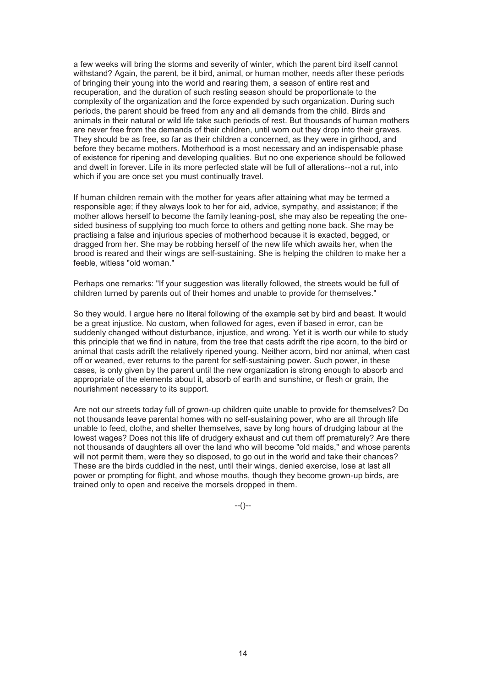a few weeks will bring the storms and severity of winter, which the parent bird itself cannot withstand? Again, the parent, be it bird, animal, or human mother, needs after these periods of bringing their young into the world and rearing them, a season of entire rest and recuperation, and the duration of such resting season should be proportionate to the complexity of the organization and the force expended by such organization. During such periods, the parent should be freed from any and all demands from the child. Birds and animals in their natural or wild life take such periods of rest. But thousands of human mothers are never free from the demands of their children, until worn out they drop into their graves. They should be as free, so far as their children a concerned, as they were in girlhood, and before they became mothers. Motherhood is a most necessary and an indispensable phase of existence for ripening and developing qualities. But no one experience should be followed and dwelt in forever. Life in its more perfected state will be full of alterations--not a rut, into which if you are once set you must continually travel.

If human children remain with the mother for years after attaining what may be termed a responsible age; if they always look to her for aid, advice, sympathy, and assistance; if the mother allows herself to become the family leaning-post, she may also be repeating the onesided business of supplying too much force to others and getting none back. She may be practising a false and injurious species of motherhood because it is exacted, begged, or dragged from her. She may be robbing herself of the new life which awaits her, when the brood is reared and their wings are self-sustaining. She is helping the children to make her a feeble, witless "old woman."

Perhaps one remarks: "If your suggestion was literally followed, the streets would be full of children turned by parents out of their homes and unable to provide for themselves."

So they would. I argue here no literal following of the example set by bird and beast. It would be a great injustice. No custom, when followed for ages, even if based in error, can be suddenly changed without disturbance, injustice, and wrong. Yet it is worth our while to study this principle that we find in nature, from the tree that casts adrift the ripe acorn, to the bird or animal that casts adrift the relatively ripened young. Neither acorn, bird nor animal, when cast off or weaned, ever returns to the parent for self-sustaining power. Such power, in these cases, is only given by the parent until the new organization is strong enough to absorb and appropriate of the elements about it, absorb of earth and sunshine, or flesh or grain, the nourishment necessary to its support.

Are not our streets today full of grown-up children quite unable to provide for themselves? Do not thousands leave parental homes with no self-sustaining power, who are all through life unable to feed, clothe, and shelter themselves, save by long hours of drudging labour at the lowest wages? Does not this life of drudgery exhaust and cut them off prematurely? Are there not thousands of daughters all over the land who will become "old maids," and whose parents will not permit them, were they so disposed, to go out in the world and take their chances? These are the birds cuddled in the nest, until their wings, denied exercise, lose at last all power or prompting for flight, and whose mouths, though they become grown-up birds, are trained only to open and receive the morsels dropped in them.

 $-(-)$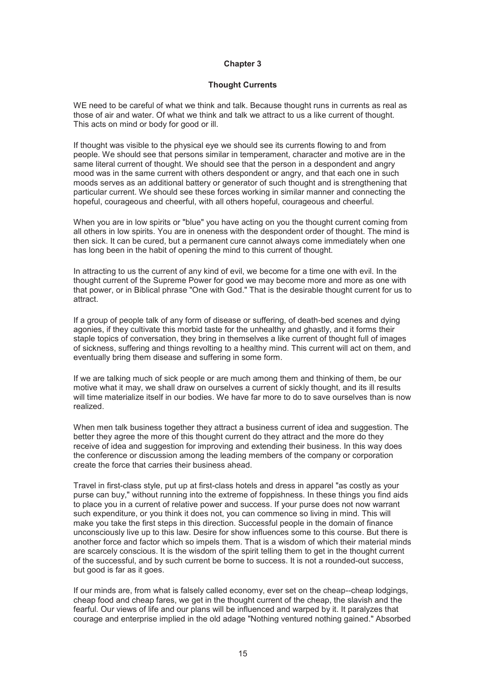#### **Chapter 3**

#### **Thought Currents**

WE need to be careful of what we think and talk. Because thought runs in currents as real as those of air and water. Of what we think and talk we attract to us a like current of thought. This acts on mind or body for good or ill.

If thought was visible to the physical eye we should see its currents flowing to and from people. We should see that persons similar in temperament, character and motive are in the same literal current of thought. We should see that the person in a despondent and angry mood was in the same current with others despondent or angry, and that each one in such moods serves as an additional battery or generator of such thought and is strengthening that particular current. We should see these forces working in similar manner and connecting the hopeful, courageous and cheerful, with all others hopeful, courageous and cheerful.

When you are in low spirits or "blue" you have acting on you the thought current coming from all others in low spirits. You are in oneness with the despondent order of thought. The mind is then sick. It can be cured, but a permanent cure cannot always come immediately when one has long been in the habit of opening the mind to this current of thought.

In attracting to us the current of any kind of evil, we become for a time one with evil. In the thought current of the Supreme Power for good we may become more and more as one with that power, or in Biblical phrase "One with God." That is the desirable thought current for us to attract.

If a group of people talk of any form of disease or suffering, of death-bed scenes and dying agonies, if they cultivate this morbid taste for the unhealthy and ghastly, and it forms their staple topics of conversation, they bring in themselves a like current of thought full of images of sickness, suffering and things revolting to a healthy mind. This current will act on them, and eventually bring them disease and suffering in some form.

If we are talking much of sick people or are much among them and thinking of them, be our motive what it may, we shall draw on ourselves a current of sickly thought, and its ill results will time materialize itself in our bodies. We have far more to do to save ourselves than is now realized.

When men talk business together they attract a business current of idea and suggestion. The better they agree the more of this thought current do they attract and the more do they receive of idea and suggestion for improving and extending their business. In this way does the conference or discussion among the leading members of the company or corporation create the force that carries their business ahead.

Travel in first-class style, put up at first-class hotels and dress in apparel "as costly as your purse can buy," without running into the extreme of foppishness. In these things you find aids to place you in a current of relative power and success. If your purse does not now warrant such expenditure, or you think it does not, you can commence so living in mind. This will make you take the first steps in this direction. Successful people in the domain of finance unconsciously live up to this law. Desire for show influences some to this course. But there is another force and factor which so impels them. That is a wisdom of which their material minds are scarcely conscious. It is the wisdom of the spirit telling them to get in the thought current of the successful, and by such current be borne to success. It is not a rounded-out success, but good is far as it goes.

If our minds are, from what is falsely called economy, ever set on the cheap--cheap lodgings, cheap food and cheap fares, we get in the thought current of the cheap, the slavish and the fearful. Our views of life and our plans will be influenced and warped by it. It paralyzes that courage and enterprise implied in the old adage "Nothing ventured nothing gained." Absorbed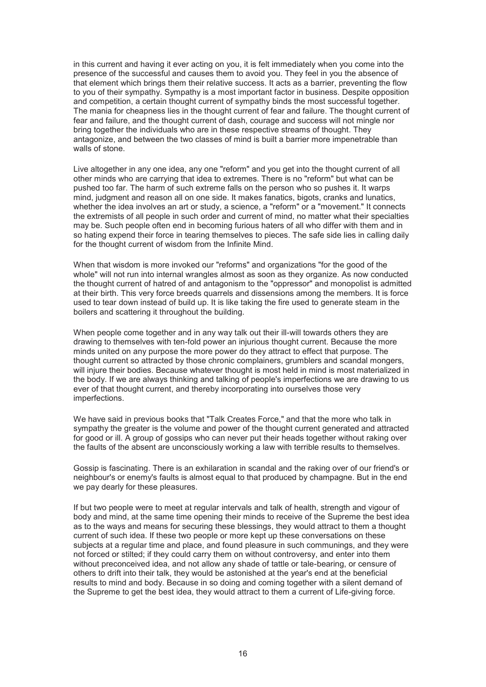in this current and having it ever acting on you, it is felt immediately when you come into the presence of the successful and causes them to avoid you. They feel in you the absence of that element which brings them their relative success. It acts as a barrier, preventing the flow to you of their sympathy. Sympathy is a most important factor in business. Despite opposition and competition, a certain thought current of sympathy binds the most successful together. The mania for cheapness lies in the thought current of fear and failure. The thought current of fear and failure, and the thought current of dash, courage and success will not mingle nor bring together the individuals who are in these respective streams of thought. They antagonize, and between the two classes of mind is built a barrier more impenetrable than walls of stone.

Live altogether in any one idea, any one "reform" and you get into the thought current of all other minds who are carrying that idea to extremes. There is no "reform" but what can be pushed too far. The harm of such extreme falls on the person who so pushes it. It warps mind, judgment and reason all on one side. It makes fanatics, bigots, cranks and lunatics, whether the idea involves an art or study, a science, a "reform" or a "movement." It connects the extremists of all people in such order and current of mind, no matter what their specialties may be. Such people often end in becoming furious haters of all who differ with them and in so hating expend their force in tearing themselves to pieces. The safe side lies in calling daily for the thought current of wisdom from the Infinite Mind.

When that wisdom is more invoked our "reforms" and organizations "for the good of the whole" will not run into internal wrangles almost as soon as they organize. As now conducted the thought current of hatred of and antagonism to the "oppressor" and monopolist is admitted at their birth. This very force breeds quarrels and dissensions among the members. It is force used to tear down instead of build up. It is like taking the fire used to generate steam in the boilers and scattering it throughout the building.

When people come together and in any way talk out their ill-will towards others they are drawing to themselves with ten-fold power an injurious thought current. Because the more minds united on any purpose the more power do they attract to effect that purpose. The thought current so attracted by those chronic complainers, grumblers and scandal mongers, will injure their bodies. Because whatever thought is most held in mind is most materialized in the body. If we are always thinking and talking of people's imperfections we are drawing to us ever of that thought current, and thereby incorporating into ourselves those very imperfections.

We have said in previous books that "Talk Creates Force," and that the more who talk in sympathy the greater is the volume and power of the thought current generated and attracted for good or ill. A group of gossips who can never put their heads together without raking over the faults of the absent are unconsciously working a law with terrible results to themselves.

Gossip is fascinating. There is an exhilaration in scandal and the raking over of our friend's or neighbour's or enemy's faults is almost equal to that produced by champagne. But in the end we pay dearly for these pleasures.

If but two people were to meet at regular intervals and talk of health, strength and vigour of body and mind, at the same time opening their minds to receive of the Supreme the best idea as to the ways and means for securing these blessings, they would attract to them a thought current of such idea. If these two people or more kept up these conversations on these subjects at a regular time and place, and found pleasure in such communings, and they were not forced or stilted; if they could carry them on without controversy, and enter into them without preconceived idea, and not allow any shade of tattle or tale-bearing, or censure of others to drift into their talk, they would be astonished at the year's end at the beneficial results to mind and body. Because in so doing and coming together with a silent demand of the Supreme to get the best idea, they would attract to them a current of Life-giving force.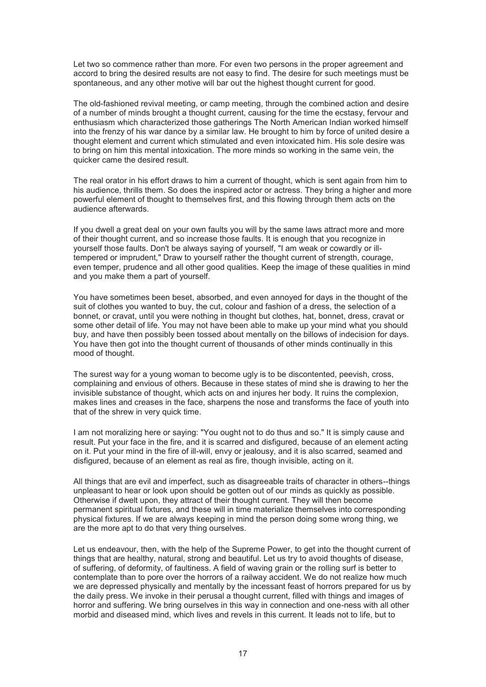Let two so commence rather than more. For even two persons in the proper agreement and accord to bring the desired results are not easy to find. The desire for such meetings must be spontaneous, and any other motive will bar out the highest thought current for good.

The old-fashioned revival meeting, or camp meeting, through the combined action and desire of a number of minds brought a thought current, causing for the time the ecstasy, fervour and enthusiasm which characterized those gatherings The North American Indian worked himself into the frenzy of his war dance by a similar law. He brought to him by force of united desire a thought element and current which stimulated and even intoxicated him. His sole desire was to bring on him this mental intoxication. The more minds so working in the same vein, the quicker came the desired result.

The real orator in his effort draws to him a current of thought, which is sent again from him to his audience, thrills them. So does the inspired actor or actress. They bring a higher and more powerful element of thought to themselves first, and this flowing through them acts on the audience afterwards.

If you dwell a great deal on your own faults you will by the same laws attract more and more of their thought current, and so increase those faults. It is enough that you recognize in yourself those faults. Don't be always saying of yourself, "I am weak or cowardly or illtempered or imprudent," Draw to yourself rather the thought current of strength, courage, even temper, prudence and all other good qualities. Keep the image of these qualities in mind and you make them a part of yourself.

You have sometimes been beset, absorbed, and even annoyed for days in the thought of the suit of clothes you wanted to buy, the cut, colour and fashion of a dress, the selection of a bonnet, or cravat, until you were nothing in thought but clothes, hat, bonnet, dress, cravat or some other detail of life. You may not have been able to make up your mind what you should buy, and have then possibly been tossed about mentally on the billows of indecision for days. You have then got into the thought current of thousands of other minds continually in this mood of thought.

The surest way for a young woman to become ugly is to be discontented, peevish, cross, complaining and envious of others. Because in these states of mind she is drawing to her the invisible substance of thought, which acts on and injures her body. It ruins the complexion, makes lines and creases in the face, sharpens the nose and transforms the face of youth into that of the shrew in very quick time.

I am not moralizing here or saying: "You ought not to do thus and so." It is simply cause and result. Put your face in the fire, and it is scarred and disfigured, because of an element acting on it. Put your mind in the fire of ill-will, envy or jealousy, and it is also scarred, seamed and disfigured, because of an element as real as fire, though invisible, acting on it.

All things that are evil and imperfect, such as disagreeable traits of character in others--things unpleasant to hear or look upon should be gotten out of our minds as quickly as possible. Otherwise if dwelt upon, they attract of their thought current. They will then become permanent spiritual fixtures, and these will in time materialize themselves into corresponding physical fixtures. If we are always keeping in mind the person doing some wrong thing, we are the more apt to do that very thing ourselves.

Let us endeavour, then, with the help of the Supreme Power, to get into the thought current of things that are healthy, natural, strong and beautiful. Let us try to avoid thoughts of disease, of suffering, of deformity, of faultiness. A field of waving grain or the rolling surf is better to contemplate than to pore over the horrors of a railway accident. We do not realize how much we are depressed physically and mentally by the incessant feast of horrors prepared for us by the daily press. We invoke in their perusal a thought current, filled with things and images of horror and suffering. We bring ourselves in this way in connection and one-ness with all other morbid and diseased mind, which lives and revels in this current. It leads not to life, but to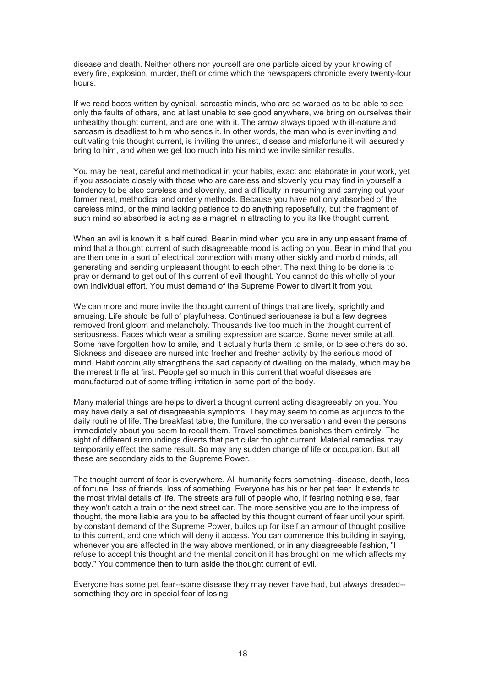disease and death. Neither others nor yourself are one particle aided by your knowing of every fire, explosion, murder, theft or crime which the newspapers chronicle every twenty-four hours.

If we read boots written by cynical, sarcastic minds, who are so warped as to be able to see only the faults of others, and at last unable to see good anywhere, we bring on ourselves their unhealthy thought current, and are one with it. The arrow always tipped with ill-nature and sarcasm is deadliest to him who sends it. In other words, the man who is ever inviting and cultivating this thought current, is inviting the unrest, disease and misfortune it will assuredly bring to him, and when we get too much into his mind we invite similar results.

You may be neat, careful and methodical in your habits, exact and elaborate in your work, yet if you associate closely with those who are careless and slovenly you may find in yourself a tendency to be also careless and slovenly, and a difficulty in resuming and carrying out your former neat, methodical and orderly methods. Because you have not only absorbed of the careless mind, or the mind lacking patience to do anything reposefully, but the fragment of such mind so absorbed is acting as a magnet in attracting to you its like thought current.

When an evil is known it is half cured. Bear in mind when you are in any unpleasant frame of mind that a thought current of such disagreeable mood is acting on you. Bear in mind that you are then one in a sort of electrical connection with many other sickly and morbid minds, all generating and sending unpleasant thought to each other. The next thing to be done is to pray or demand to get out of this current of evil thought. You cannot do this wholly of your own individual effort. You must demand of the Supreme Power to divert it from you.

We can more and more invite the thought current of things that are lively, sprightly and amusing. Life should be full of playfulness. Continued seriousness is but a few degrees removed front gloom and melancholy. Thousands live too much in the thought current of seriousness. Faces which wear a smiling expression are scarce. Some never smile at all. Some have forgotten how to smile, and it actually hurts them to smile, or to see others do so. Sickness and disease are nursed into fresher and fresher activity by the serious mood of mind. Habit continually strengthens the sad capacity of dwelling on the malady, which may be the merest trifle at first. People get so much in this current that woeful diseases are manufactured out of some trifling irritation in some part of the body.

Many material things are helps to divert a thought current acting disagreeably on you. You may have daily a set of disagreeable symptoms. They may seem to come as adjuncts to the daily routine of life. The breakfast table, the furniture, the conversation and even the persons immediately about you seem to recall them. Travel sometimes banishes them entirely. The sight of different surroundings diverts that particular thought current. Material remedies may temporarily effect the same result. So may any sudden change of life or occupation. But all these are secondary aids to the Supreme Power.

The thought current of fear is everywhere. All humanity fears something--disease, death, loss of fortune, loss of friends, loss of something. Everyone has his or her pet fear. It extends to the most trivial details of life. The streets are full of people who, if fearing nothing else, fear they won't catch a train or the next street car. The more sensitive you are to the impress of thought, the more liable are you to be affected by this thought current of fear until your spirit, by constant demand of the Supreme Power, builds up for itself an armour of thought positive to this current, and one which will deny it access. You can commence this building in saying, whenever you are affected in the way above mentioned, or in any disagreeable fashion, "I refuse to accept this thought and the mental condition it has brought on me which affects my body." You commence then to turn aside the thought current of evil.

Everyone has some pet fear--some disease they may never have had, but always dreaded- something they are in special fear of losing.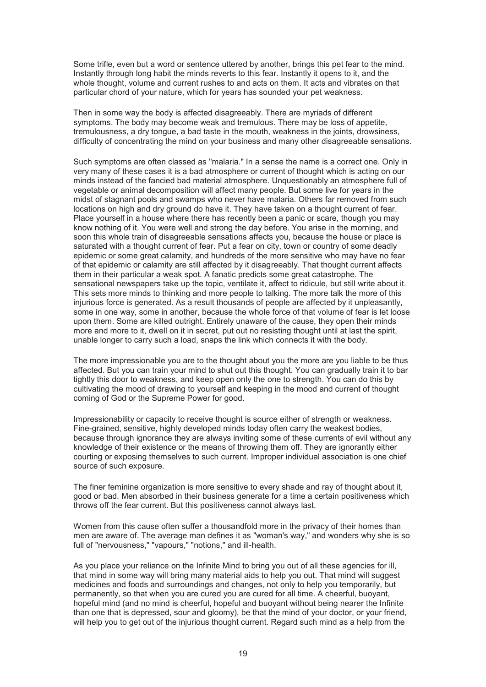Some trifle, even but a word or sentence uttered by another, brings this pet fear to the mind. Instantly through long habit the minds reverts to this fear. Instantly it opens to it, and the whole thought, volume and current rushes to and acts on them. It acts and vibrates on that particular chord of your nature, which for years has sounded your pet weakness.

Then in some way the body is affected disagreeably. There are myriads of different symptoms. The body may become weak and tremulous. There may be loss of appetite, tremulousness, a dry tongue, a bad taste in the mouth, weakness in the joints, drowsiness, difficulty of concentrating the mind on your business and many other disagreeable sensations.

Such symptoms are often classed as "malaria." In a sense the name is a correct one. Only in very many of these cases it is a bad atmosphere or current of thought which is acting on our minds instead of the fancied bad material atmosphere. Unquestionably an atmosphere full of vegetable or animal decomposition will affect many people. But some live for years in the midst of stagnant pools and swamps who never have malaria. Others far removed from such locations on high and dry ground do have it. They have taken on a thought current of fear. Place yourself in a house where there has recently been a panic or scare, though you may know nothing of it. You were well and strong the day before. You arise in the morning, and soon this whole train of disagreeable sensations affects you, because the house or place is saturated with a thought current of fear. Put a fear on city, town or country of some deadly epidemic or some great calamity, and hundreds of the more sensitive who may have no fear of that epidemic or calamity are still affected by it disagreeably. That thought current affects them in their particular a weak spot. A fanatic predicts some great catastrophe. The sensational newspapers take up the topic, ventilate it, affect to ridicule, but still write about it. This sets more minds to thinking and more people to talking. The more talk the more of this injurious force is generated. As a result thousands of people are affected by it unpleasantly, some in one way, some in another, because the whole force of that volume of fear is let loose upon them. Some are killed outright. Entirely unaware of the cause, they open their minds more and more to it, dwell on it in secret, put out no resisting thought until at last the spirit, unable longer to carry such a load, snaps the link which connects it with the body.

The more impressionable you are to the thought about you the more are you liable to be thus affected. But you can train your mind to shut out this thought. You can gradually train it to bar tightly this door to weakness, and keep open only the one to strength. You can do this by cultivating the mood of drawing to yourself and keeping in the mood and current of thought coming of God or the Supreme Power for good.

Impressionability or capacity to receive thought is source either of strength or weakness. Fine-grained, sensitive, highly developed minds today often carry the weakest bodies, because through ignorance they are always inviting some of these currents of evil without any knowledge of their existence or the means of throwing them off. They are ignorantly either courting or exposing themselves to such current. Improper individual association is one chief source of such exposure.

The finer feminine organization is more sensitive to every shade and ray of thought about it, good or bad. Men absorbed in their business generate for a time a certain positiveness which throws off the fear current. But this positiveness cannot always last.

Women from this cause often suffer a thousandfold more in the privacy of their homes than men are aware of. The average man defines it as "woman's way," and wonders why she is so full of "nervousness," "vapours," "notions," and ill-health.

As you place your reliance on the Infinite Mind to bring you out of all these agencies for ill, that mind in some way will bring many material aids to help you out. That mind will suggest medicines and foods and surroundings and changes, not only to help you temporarily, but permanently, so that when you are cured you are cured for all time. A cheerful, buoyant, hopeful mind (and no mind is cheerful, hopeful and buoyant without being nearer the Infinite than one that is depressed, sour and gloomy), be that the mind of your doctor, or your friend, will help you to get out of the injurious thought current. Regard such mind as a help from the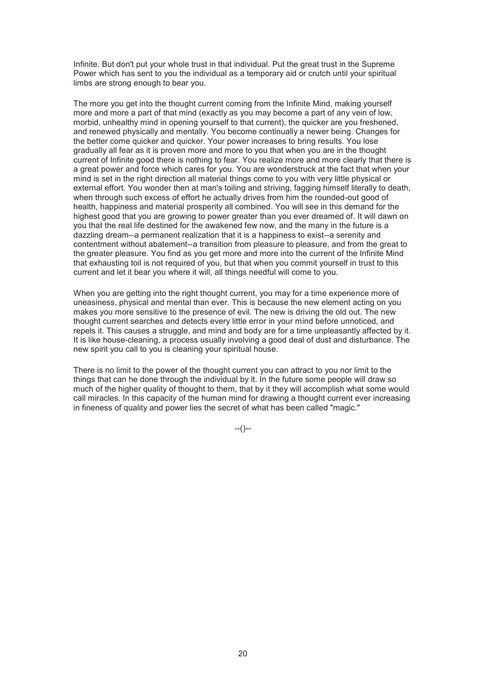Infinite. But don't put your whole trust in that individual. Put the great trust in the Supreme Power which has sent to you the individual as a temporary aid or crutch until your spiritual limbs are strong enough to bear you.

The more you get into the thought current coming from the Infinite Mind, making yourself more and more a part of that mind (exactly as you may become a part of any vein of low, morbid, unhealthy mind in opening yourself to that current), the quicker are you freshened, and renewed physically and mentally. You become continually a newer being. Changes for the better come quicker and quicker. Your power increases to bring results. You lose gradually all fear as it is proven more and more to you that when you are in the thought current of Infinite good there is nothing to fear. You realize more and more clearly that there is a great power and force which cares for you. You are wonderstruck at the fact that when your mind is set in the right direction all material things come to you with very little physical or external effort. You wonder then at man's toiling and striving, fagging himself literally to death, when through such excess of effort he actually drives from him the rounded-out good of health, happiness and material prosperity all combined. You will see in this demand for the highest good that you are growing to power greater than you ever dreamed of. It will dawn on you that the real life destined for the awakened few now, and the many in the future is a dazzling dream--a permanent realization that it is a happiness to exist--a serenity and contentment without abatement--a transition from pleasure to pleasure, and from the great to the greater pleasure. You find as you get more and more into the current of the Infinite Mind that exhausting toil is not required of you, but that when you commit yourself in trust to this current and let it bear you where it will, all things needful will come to you.

When you are getting into the right thought current, you may for a time experience more of uneasiness, physical and mental than ever. This is because the new element acting on you makes you more sensitive to the presence of evil. The new is driving the old out. The new thought current searches and detects every little error in your mind before unnoticed, and repels it. This causes a struggle, and mind and body are for a time unpleasantly affected by it. It is like house-cleaning, a process usually involving a good deal of dust and disturbance. The new spirit you call to you is cleaning your spiritual house.

There is no limit to the power of the thought current you can attract to you nor limit to the things that can he done through the individual by it. In the future some people will draw so much of the higher quality of thought to them, that by it they will accomplish what some would call miracles. In this capacity of the human mind for drawing a thought current ever increasing in fineness of quality and power lies the secret of what has been called "magic."

--()--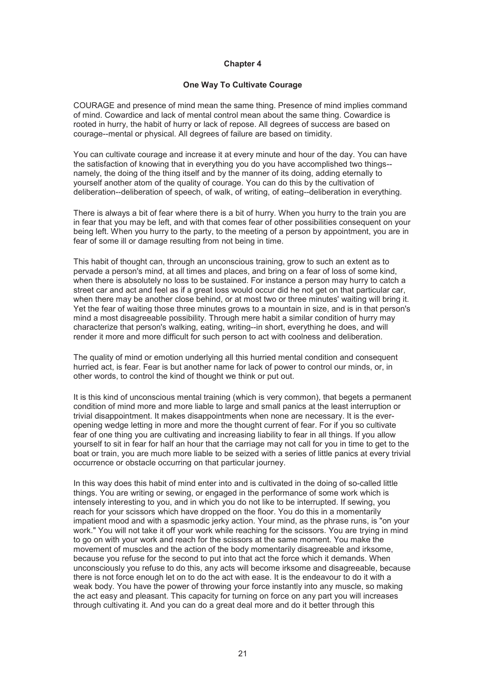#### **Chapter 4**

#### **One Way To Cultivate Courage**

COURAGE and presence of mind mean the same thing. Presence of mind implies command of mind. Cowardice and lack of mental control mean about the same thing. Cowardice is rooted in hurry, the habit of hurry or lack of repose. All degrees of success are based on courage--mental or physical. All degrees of failure are based on timidity.

You can cultivate courage and increase it at every minute and hour of the day. You can have the satisfaction of knowing that in everything you do you have accomplished two things- namely, the doing of the thing itself and by the manner of its doing, adding eternally to yourself another atom of the quality of courage. You can do this by the cultivation of deliberation--deliberation of speech, of walk, of writing, of eating--deliberation in everything.

There is always a bit of fear where there is a bit of hurry. When you hurry to the train you are in fear that you may be left, and with that comes fear of other possibilities consequent on your being left. When you hurry to the party, to the meeting of a person by appointment, you are in fear of some ill or damage resulting from not being in time.

This habit of thought can, through an unconscious training, grow to such an extent as to pervade a person's mind, at all times and places, and bring on a fear of loss of some kind, when there is absolutely no loss to be sustained. For instance a person may hurry to catch a street car and act and feel as if a great loss would occur did he not get on that particular car, when there may be another close behind, or at most two or three minutes' waiting will bring it. Yet the fear of waiting those three minutes grows to a mountain in size, and is in that person's mind a most disagreeable possibility. Through mere habit a similar condition of hurry may characterize that person's walking, eating, writing--in short, everything he does, and will render it more and more difficult for such person to act with coolness and deliberation.

The quality of mind or emotion underlying all this hurried mental condition and consequent hurried act, is fear. Fear is but another name for lack of power to control our minds, or, in other words, to control the kind of thought we think or put out.

It is this kind of unconscious mental training (which is very common), that begets a permanent condition of mind more and more liable to large and small panics at the least interruption or trivial disappointment. It makes disappointments when none are necessary. It is the everopening wedge letting in more and more the thought current of fear. For if you so cultivate fear of one thing you are cultivating and increasing liability to fear in all things. If you allow yourself to sit in fear for half an hour that the carriage may not call for you in time to get to the boat or train, you are much more liable to be seized with a series of little panics at every trivial occurrence or obstacle occurring on that particular journey.

In this way does this habit of mind enter into and is cultivated in the doing of so-called little things. You are writing or sewing, or engaged in the performance of some work which is intensely interesting to you, and in which you do not like to be interrupted. If sewing, you reach for your scissors which have dropped on the floor. You do this in a momentarily impatient mood and with a spasmodic jerky action. Your mind, as the phrase runs, is "on your work." You will not take it off your work while reaching for the scissors. You are trying in mind to go on with your work and reach for the scissors at the same moment. You make the movement of muscles and the action of the body momentarily disagreeable and irksome, because you refuse for the second to put into that act the force which it demands. When unconsciously you refuse to do this, any acts will become irksome and disagreeable, because there is not force enough let on to do the act with ease. It is the endeavour to do it with a weak body. You have the power of throwing your force instantly into any muscle, so making the act easy and pleasant. This capacity for turning on force on any part you will increases through cultivating it. And you can do a great deal more and do it better through this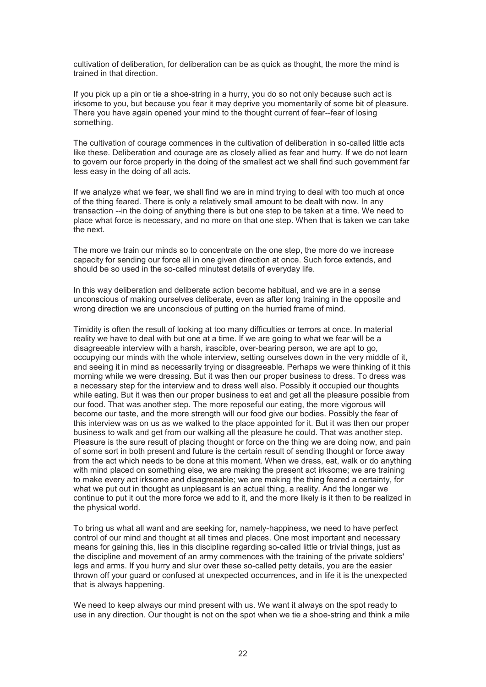cultivation of deliberation, for deliberation can be as quick as thought, the more the mind is trained in that direction.

If you pick up a pin or tie a shoe-string in a hurry, you do so not only because such act is irksome to you, but because you fear it may deprive you momentarily of some bit of pleasure. There you have again opened your mind to the thought current of fear--fear of losing something.

The cultivation of courage commences in the cultivation of deliberation in so-called little acts like these. Deliberation and courage are as closely allied as fear and hurry. If we do not learn to govern our force properly in the doing of the smallest act we shall find such government far less easy in the doing of all acts.

If we analyze what we fear, we shall find we are in mind trying to deal with too much at once of the thing feared. There is only a relatively small amount to be dealt with now. In any transaction --in the doing of anything there is but one step to be taken at a time. We need to place what force is necessary, and no more on that one step. When that is taken we can take the next.

The more we train our minds so to concentrate on the one step, the more do we increase capacity for sending our force all in one given direction at once. Such force extends, and should be so used in the so-called minutest details of everyday life.

In this way deliberation and deliberate action become habitual, and we are in a sense unconscious of making ourselves deliberate, even as after long training in the opposite and wrong direction we are unconscious of putting on the hurried frame of mind.

Timidity is often the result of looking at too many difficulties or terrors at once. In material reality we have to deal with but one at a time. If we are going to what we fear will be a disagreeable interview with a harsh, irascible, over-bearing person, we are apt to go, occupying our minds with the whole interview, setting ourselves down in the very middle of it, and seeing it in mind as necessarily trying or disagreeable. Perhaps we were thinking of it this morning while we were dressing. But it was then our proper business to dress. To dress was a necessary step for the interview and to dress well also. Possibly it occupied our thoughts while eating. But it was then our proper business to eat and get all the pleasure possible from our food. That was another step. The more reposeful our eating, the more vigorous will become our taste, and the more strength will our food give our bodies. Possibly the fear of this interview was on us as we walked to the place appointed for it. But it was then our proper business to walk and get from our walking all the pleasure he could. That was another step. Pleasure is the sure result of placing thought or force on the thing we are doing now, and pain of some sort in both present and future is the certain result of sending thought or force away from the act which needs to be done at this moment. When we dress, eat, walk or do anything with mind placed on something else, we are making the present act irksome; we are training to make every act irksome and disagreeable; we are making the thing feared a certainty, for what we put out in thought as unpleasant is an actual thing, a reality. And the longer we continue to put it out the more force we add to it, and the more likely is it then to be realized in the physical world.

To bring us what all want and are seeking for, namely-happiness, we need to have perfect control of our mind and thought at all times and places. One most important and necessary means for gaining this, lies in this discipline regarding so-called little or trivial things, just as the discipline and movement of an army commences with the training of the private soldiers' legs and arms. If you hurry and slur over these so-called petty details, you are the easier thrown off your guard or confused at unexpected occurrences, and in life it is the unexpected that is always happening.

We need to keep always our mind present with us. We want it always on the spot ready to use in any direction. Our thought is not on the spot when we tie a shoe-string and think a mile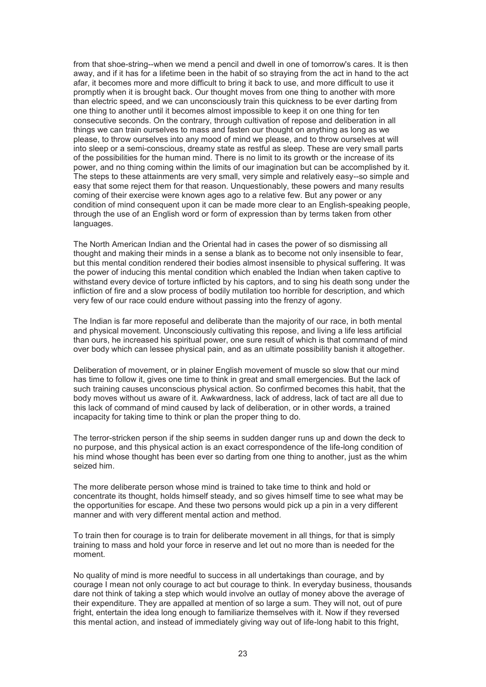from that shoe-string--when we mend a pencil and dwell in one of tomorrow's cares. It is then away, and if it has for a lifetime been in the habit of so straying from the act in hand to the act afar, it becomes more and more difficult to bring it back to use, and more difficult to use it promptly when it is brought back. Our thought moves from one thing to another with more than electric speed, and we can unconsciously train this quickness to be ever darting from one thing to another until it becomes almost impossible to keep it on one thing for ten consecutive seconds. On the contrary, through cultivation of repose and deliberation in all things we can train ourselves to mass and fasten our thought on anything as long as we please, to throw ourselves into any mood of mind we please, and to throw ourselves at will into sleep or a semi-conscious, dreamy state as restful as sleep. These are very small parts of the possibilities for the human mind. There is no limit to its growth or the increase of its power, and no thing coming within the limits of our imagination but can be accomplished by it. The steps to these attainments are very small, very simple and relatively easy--so simple and easy that some reject them for that reason. Unquestionably, these powers and many results coming of their exercise were known ages ago to a relative few. But any power or any condition of mind consequent upon it can be made more clear to an English-speaking people, through the use of an English word or form of expression than by terms taken from other languages.

The North American Indian and the Oriental had in cases the power of so dismissing all thought and making their minds in a sense a blank as to become not only insensible to fear, but this mental condition rendered their bodies almost insensible to physical suffering. It was the power of inducing this mental condition which enabled the Indian when taken captive to withstand every device of torture inflicted by his captors, and to sing his death song under the infliction of fire and a slow process of bodily mutilation too horrible for description, and which very few of our race could endure without passing into the frenzy of agony.

The Indian is far more reposeful and deliberate than the majority of our race, in both mental and physical movement. Unconsciously cultivating this repose, and living a life less artificial than ours, he increased his spiritual power, one sure result of which is that command of mind over body which can lessee physical pain, and as an ultimate possibility banish it altogether.

Deliberation of movement, or in plainer English movement of muscle so slow that our mind has time to follow it, gives one time to think in great and small emergencies. But the lack of such training causes unconscious physical action. So confirmed becomes this habit, that the body moves without us aware of it. Awkwardness, lack of address, lack of tact are all due to this lack of command of mind caused by lack of deliberation, or in other words, a trained incapacity for taking time to think or plan the proper thing to do.

The terror-stricken person if the ship seems in sudden danger runs up and down the deck to no purpose, and this physical action is an exact correspondence of the life-long condition of his mind whose thought has been ever so darting from one thing to another, just as the whim seized him.

The more deliberate person whose mind is trained to take time to think and hold or concentrate its thought, holds himself steady, and so gives himself time to see what may be the opportunities for escape. And these two persons would pick up a pin in a very different manner and with very different mental action and method.

To train then for courage is to train for deliberate movement in all things, for that is simply training to mass and hold your force in reserve and let out no more than is needed for the moment.

No quality of mind is more needful to success in all undertakings than courage, and by courage I mean not only courage to act but courage to think. In everyday business, thousands dare not think of taking a step which would involve an outlay of money above the average of their expenditure. They are appalled at mention of so large a sum. They will not, out of pure fright, entertain the idea long enough to familiarize themselves with it. Now if they reversed this mental action, and instead of immediately giving way out of life-long habit to this fright,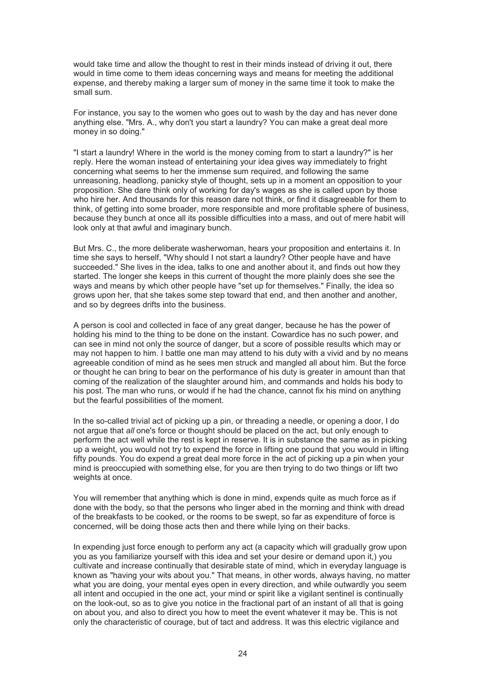would take time and allow the thought to rest in their minds instead of driving it out, there would in time come to them ideas concerning ways and means for meeting the additional expense, and thereby making a larger sum of money in the same time it took to make the small sum.

For instance, you say to the women who goes out to wash by the day and has never done anything else. "Mrs. A., why don't you start a laundry? You can make a great deal more money in so doing."

"I start a laundry! Where in the world is the money coming from to start a laundry?" is her reply. Here the woman instead of entertaining your idea gives way immediately to fright concerning what seems to her the immense sum required, and following the same unreasoning, headlong, panicky style of thought, sets up in a moment an opposition to your proposition. She dare think only of working for day's wages as she is called upon by those who hire her. And thousands for this reason dare not think, or find it disagreeable for them to think, of getting into some broader, more responsible and more profitable sphere of business, because they bunch at once all its possible difficulties into a mass, and out of mere habit will look only at that awful and imaginary bunch.

But Mrs. C., the more deliberate washerwoman, hears your proposition and entertains it. In time she says to herself, "Why should I not start a laundry? Other people have and have succeeded." She lives in the idea, talks to one and another about it, and finds out how they started. The longer she keeps in this current of thought the more plainly does she see the ways and means by which other people have "set up for themselves." Finally, the idea so grows upon her, that she takes some step toward that end, and then another and another, and so by degrees drifts into the business.

A person is cool and collected in face of any great danger, because he has the power of holding his mind to the thing to be done on the instant. Cowardice has no such power, and can see in mind not only the source of danger, but a score of possible results which may or may not happen to him. I battle one man may attend to his duty with a vivid and by no means agreeable condition of mind as he sees men struck and mangled all about him. But the force or thought he can bring to bear on the performance of his duty is greater in amount than that coming of the realization of the slaughter around him, and commands and holds his body to his post. The man who runs, or would if he had the chance, cannot fix his mind on anything but the fearful possibilities of the moment.

In the so-called trivial act of picking up a pin, or threading a needle, or opening a door, I do not argue that *all* one's force or thought should be placed on the act, but only enough to perform the act well while the rest is kept in reserve. It is in substance the same as in picking up a weight, you would not try to expend the force in lifting one pound that you would in lifting fifty pounds. You do expend a great deal more force in the act of picking up a pin when your mind is preoccupied with something else, for you are then trying to do two things or lift two weights at once.

You will remember that anything which is done in mind, expends quite as much force as if done with the body, so that the persons who linger abed in the morning and think with dread of the breakfasts to be cooked, or the rooms to be swept, so far as expenditure of force is concerned, will be doing those acts then and there while lying on their backs.

In expending just force enough to perform any act (a capacity which will gradually grow upon you as you familiarize yourself with this idea and set your desire or demand upon it,) you cultivate and increase continually that desirable state of mind, which in everyday language is known as "having your wits about you." That means, in other words, always having, no matter what you are doing, your mental eyes open in every direction, and while outwardly you seem all intent and occupied in the one act, your mind or spirit like a vigilant sentinel is continually on the look-out, so as to give you notice in the fractional part of an instant of all that is going on about you, and also to direct you how to meet the event whatever it may be. This is not only the characteristic of courage, but of tact and address. It was this electric vigilance and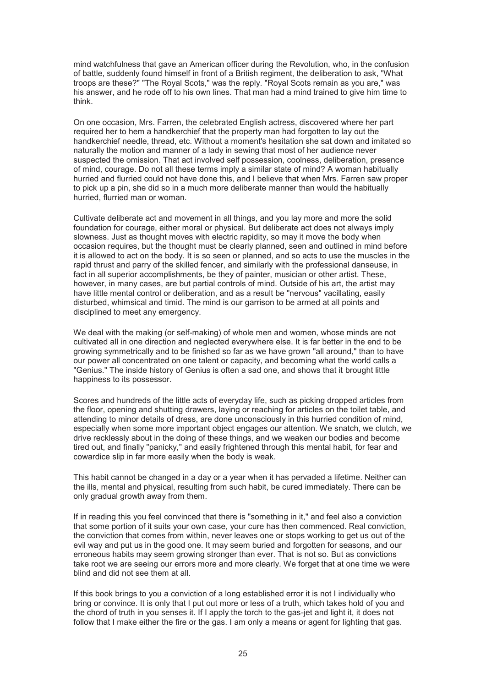mind watchfulness that gave an American officer during the Revolution, who, in the confusion of battle, suddenly found himself in front of a British regiment, the deliberation to ask, "What troops are these?" "The Royal Scots," was the reply. "Royal Scots remain as you are," was his answer, and he rode off to his own lines. That man had a mind trained to give him time to think.

On one occasion, Mrs. Farren, the celebrated English actress, discovered where her part required her to hem a handkerchief that the property man had forgotten to lay out the handkerchief needle, thread, etc. Without a moment's hesitation she sat down and imitated so naturally the motion and manner of a lady in sewing that most of her audience never suspected the omission. That act involved self possession, coolness, deliberation, presence of mind, courage. Do not all these terms imply a similar state of mind? A woman habitually hurried and flurried could not have done this, and I believe that when Mrs. Farren saw proper to pick up a pin, she did so in a much more deliberate manner than would the habitually hurried, flurried man or woman.

Cultivate deliberate act and movement in all things, and you lay more and more the solid foundation for courage, either moral or physical. But deliberate act does not always imply slowness. Just as thought moves with electric rapidity, so may it move the body when occasion requires, but the thought must be clearly planned, seen and outlined in mind before it is allowed to act on the body. It is so seen or planned, and so acts to use the muscles in the rapid thrust and parry of the skilled fencer, and similarly with the professional danseuse, in fact in all superior accomplishments, be they of painter, musician or other artist. These, however, in many cases, are but partial controls of mind. Outside of his art, the artist may have little mental control or deliberation, and as a result be "nervous" vacillating, easily disturbed, whimsical and timid. The mind is our garrison to be armed at all points and disciplined to meet any emergency.

We deal with the making (or self-making) of whole men and women, whose minds are not cultivated all in one direction and neglected everywhere else. It is far better in the end to be growing symmetrically and to be finished so far as we have grown "all around," than to have our power all concentrated on one talent or capacity, and becoming what the world calls a "Genius." The inside history of Genius is often a sad one, and shows that it brought little happiness to its possessor.

Scores and hundreds of the little acts of everyday life, such as picking dropped articles from the floor, opening and shutting drawers, laying or reaching for articles on the toilet table, and attending to minor details of dress, are done unconsciously in this hurried condition of mind, especially when some more important object engages our attention. We snatch, we clutch, we drive recklessly about in the doing of these things, and we weaken our bodies and become tired out, and finally "panicky," and easily frightened through this mental habit, for fear and cowardice slip in far more easily when the body is weak.

This habit cannot be changed in a day or a year when it has pervaded a lifetime. Neither can the ills, mental and physical, resulting from such habit, be cured immediately. There can be only gradual growth away from them.

If in reading this you feel convinced that there is "something in it," and feel also a conviction that some portion of it suits your own case, your cure has then commenced. Real conviction, the conviction that comes from within, never leaves one or stops working to get us out of the evil way and put us in the good one. It may seem buried and forgotten for seasons, and our erroneous habits may seem growing stronger than ever. That is not so. But as convictions take root we are seeing our errors more and more clearly. We forget that at one time we were blind and did not see them at all.

If this book brings to you a conviction of a long established error it is not I individually who bring or convince. It is only that I put out more or less of a truth, which takes hold of you and the chord of truth in you senses it. If I apply the torch to the gas-jet and light it, it does not follow that I make either the fire or the gas. I am only a means or agent for lighting that gas.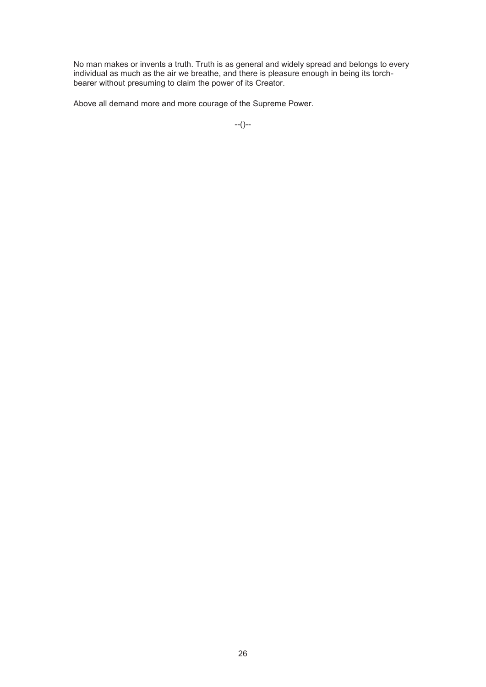No man makes or invents a truth. Truth is as general and widely spread and belongs to every individual as much as the air we breathe, and there is pleasure enough in being its torchbearer without presuming to claim the power of its Creator.

Above all demand more and more courage of the Supreme Power.

--()--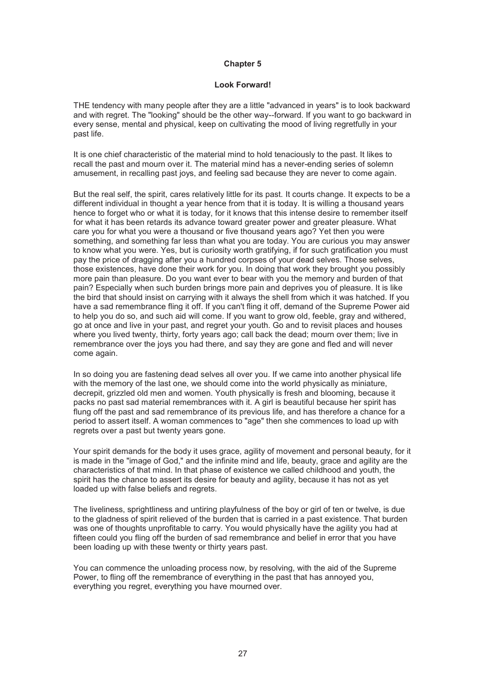#### **Chapter 5**

#### **Look Forward!**

THE tendency with many people after they are a little "advanced in years" is to look backward and with regret. The "looking" should be the other way--forward. If you want to go backward in every sense, mental and physical, keep on cultivating the mood of living regretfully in your past life.

It is one chief characteristic of the material mind to hold tenaciously to the past. It likes to recall the past and mourn over it. The material mind has a never-ending series of solemn amusement, in recalling past joys, and feeling sad because they are never to come again.

But the real self, the spirit, cares relatively little for its past. It courts change. It expects to be a different individual in thought a year hence from that it is today. It is willing a thousand years hence to forget who or what it is today, for it knows that this intense desire to remember itself for what it has been retards its advance toward greater power and greater pleasure. What care you for what you were a thousand or five thousand years ago? Yet then you were something, and something far less than what you are today. You are curious you may answer to know what you were. Yes, but is curiosity worth gratifying, if for such gratification you must pay the price of dragging after you a hundred corpses of your dead selves. Those selves, those existences, have done their work for you. In doing that work they brought you possibly more pain than pleasure. Do you want ever to bear with you the memory and burden of that pain? Especially when such burden brings more pain and deprives you of pleasure. It is like the bird that should insist on carrying with it always the shell from which it was hatched. If you have a sad remembrance fling it off. If you can't fling it off, demand of the Supreme Power aid to help you do so, and such aid will come. If you want to grow old, feeble, gray and withered, go at once and live in your past, and regret your youth. Go and to revisit places and houses where you lived twenty, thirty, forty years ago; call back the dead; mourn over them; live in remembrance over the joys you had there, and say they are gone and fled and will never come again.

In so doing you are fastening dead selves all over you. If we came into another physical life with the memory of the last one, we should come into the world physically as miniature, decrepit, grizzled old men and women. Youth physically is fresh and blooming, because it packs no past sad material remembrances with it. A girl is beautiful because her spirit has flung off the past and sad remembrance of its previous life, and has therefore a chance for a period to assert itself. A woman commences to "age" then she commences to load up with regrets over a past but twenty years gone.

Your spirit demands for the body it uses grace, agility of movement and personal beauty, for it is made in the "image of God," and the infinite mind and life, beauty, grace and agility are the characteristics of that mind. In that phase of existence we called childhood and youth, the spirit has the chance to assert its desire for beauty and agility, because it has not as yet loaded up with false beliefs and regrets.

The liveliness, sprightliness and untiring playfulness of the boy or girl of ten or twelve, is due to the gladness of spirit relieved of the burden that is carried in a past existence. That burden was one of thoughts unprofitable to carry. You would physically have the agility you had at fifteen could you fling off the burden of sad remembrance and belief in error that you have been loading up with these twenty or thirty years past.

You can commence the unloading process now, by resolving, with the aid of the Supreme Power, to fling off the remembrance of everything in the past that has annoyed you, everything you regret, everything you have mourned over.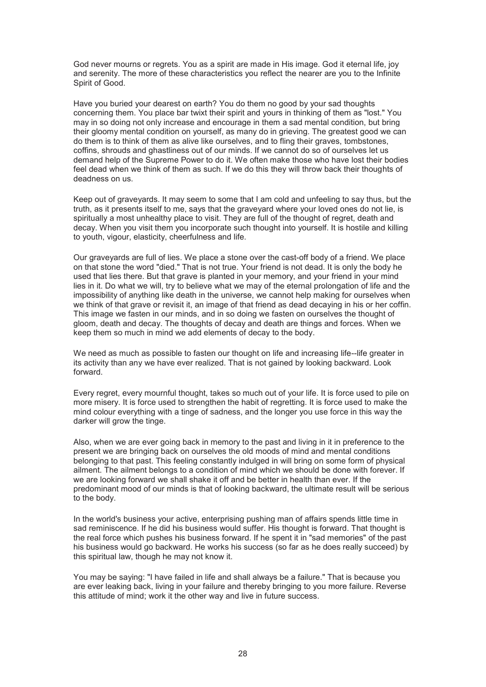God never mourns or regrets. You as a spirit are made in His image. God it eternal life, joy and serenity. The more of these characteristics you reflect the nearer are you to the Infinite Spirit of Good.

Have you buried your dearest on earth? You do them no good by your sad thoughts concerning them. You place bar twixt their spirit and yours in thinking of them as "lost." You may in so doing not only increase and encourage in them a sad mental condition, but bring their gloomy mental condition on yourself, as many do in grieving. The greatest good we can do them is to think of them as alive like ourselves, and to fling their graves, tombstones, coffins, shrouds and ghastliness out of our minds. If we cannot do so of ourselves let us demand help of the Supreme Power to do it. We often make those who have lost their bodies feel dead when we think of them as such. If we do this they will throw back their thoughts of deadness on us.

Keep out of graveyards. It may seem to some that I am cold and unfeeling to say thus, but the truth, as it presents itself to me, says that the graveyard where your loved ones do not lie, is spiritually a most unhealthy place to visit. They are full of the thought of regret, death and decay. When you visit them you incorporate such thought into yourself. It is hostile and killing to youth, vigour, elasticity, cheerfulness and life.

Our graveyards are full of lies. We place a stone over the cast-off body of a friend. We place on that stone the word "died." That is not true. Your friend is not dead. It is only the body he used that lies there. But that grave is planted in your memory, and your friend in your mind lies in it. Do what we will, try to believe what we may of the eternal prolongation of life and the impossibility of anything like death in the universe, we cannot help making for ourselves when we think of that grave or revisit it, an image of that friend as dead decaying in his or her coffin. This image we fasten in our minds, and in so doing we fasten on ourselves the thought of gloom, death and decay. The thoughts of decay and death are things and forces. When we keep them so much in mind we add elements of decay to the body.

We need as much as possible to fasten our thought on life and increasing life--life greater in its activity than any we have ever realized. That is not gained by looking backward. Look forward.

Every regret, every mournful thought, takes so much out of your life. It is force used to pile on more misery. It is force used to strengthen the habit of regretting. It is force used to make the mind colour everything with a tinge of sadness, and the longer you use force in this way the darker will grow the tinge.

Also, when we are ever going back in memory to the past and living in it in preference to the present we are bringing back on ourselves the old moods of mind and mental conditions belonging to that past. This feeling constantly indulged in will bring on some form of physical ailment. The ailment belongs to a condition of mind which we should be done with forever. If we are looking forward we shall shake it off and be better in health than ever. If the predominant mood of our minds is that of looking backward, the ultimate result will be serious to the body.

In the world's business your active, enterprising pushing man of affairs spends little time in sad reminiscence. If he did his business would suffer. His thought is forward. That thought is the real force which pushes his business forward. If he spent it in "sad memories" of the past his business would go backward. He works his success (so far as he does really succeed) by this spiritual law, though he may not know it.

You may be saying: "I have failed in life and shall always be a failure." That is because you are ever leaking back, living in your failure and thereby bringing to you more failure. Reverse this attitude of mind; work it the other way and live in future success.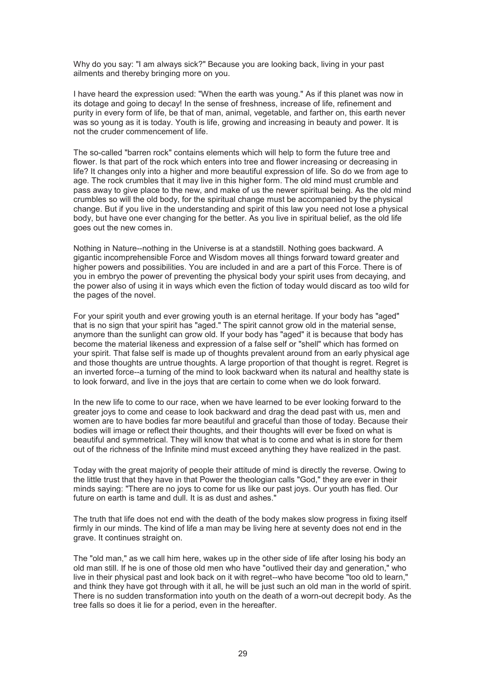Why do you say: "I am always sick?" Because you are looking back, living in your past ailments and thereby bringing more on you.

I have heard the expression used: "When the earth was young." As if this planet was now in its dotage and going to decay! In the sense of freshness, increase of life, refinement and purity in every form of life, be that of man, animal, vegetable, and farther on, this earth never was so young as it is today. Youth is life, growing and increasing in beauty and power. It is not the cruder commencement of life.

The so-called "barren rock" contains elements which will help to form the future tree and flower. Is that part of the rock which enters into tree and flower increasing or decreasing in life? It changes only into a higher and more beautiful expression of life. So do we from age to age. The rock crumbles that it may live in this higher form. The old mind must crumble and pass away to give place to the new, and make of us the newer spiritual being. As the old mind crumbles so will the old body, for the spiritual change must be accompanied by the physical change. But if you live in the understanding and spirit of this law you need not lose a physical body, but have one ever changing for the better. As you live in spiritual belief, as the old life goes out the new comes in.

Nothing in Nature--nothing in the Universe is at a standstill. Nothing goes backward. A gigantic incomprehensible Force and Wisdom moves all things forward toward greater and higher powers and possibilities. You are included in and are a part of this Force. There is of you in embryo the power of preventing the physical body your spirit uses from decaying, and the power also of using it in ways which even the fiction of today would discard as too wild for the pages of the novel.

For your spirit youth and ever growing youth is an eternal heritage. If your body has "aged" that is no sign that your spirit has "aged." The spirit cannot grow old in the material sense, anymore than the sunlight can grow old. If your body has "aged" it is because that body has become the material likeness and expression of a false self or "shell" which has formed on your spirit. That false self is made up of thoughts prevalent around from an early physical age and those thoughts are untrue thoughts. A large proportion of that thought is regret. Regret is an inverted force--a turning of the mind to look backward when its natural and healthy state is to look forward, and live in the joys that are certain to come when we do look forward.

In the new life to come to our race, when we have learned to be ever looking forward to the greater joys to come and cease to look backward and drag the dead past with us, men and women are to have bodies far more beautiful and graceful than those of today. Because their bodies will image or reflect their thoughts, and their thoughts will ever be fixed on what is beautiful and symmetrical. They will know that what is to come and what is in store for them out of the richness of the Infinite mind must exceed anything they have realized in the past.

Today with the great majority of people their attitude of mind is directly the reverse. Owing to the little trust that they have in that Power the theologian calls "God," they are ever in their minds saying: "There are no joys to come for us like our past joys. Our youth has fled. Our future on earth is tame and dull. It is as dust and ashes."

The truth that life does not end with the death of the body makes slow progress in fixing itself firmly in our minds. The kind of life a man may be living here at seventy does not end in the grave. It continues straight on.

The "old man," as we call him here, wakes up in the other side of life after losing his body an old man still. If he is one of those old men who have "outlived their day and generation," who live in their physical past and look back on it with regret--who have become "too old to learn," and think they have got through with it all, he will be just such an old man in the world of spirit. There is no sudden transformation into youth on the death of a worn-out decrepit body. As the tree falls so does it lie for a period, even in the hereafter.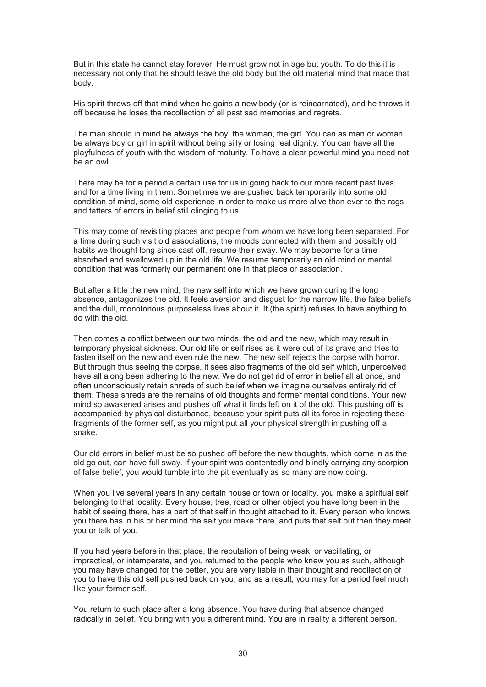But in this state he cannot stay forever. He must grow not in age but youth. To do this it is necessary not only that he should leave the old body but the old material mind that made that body.

His spirit throws off that mind when he gains a new body (or is reincarnated), and he throws it off because he loses the recollection of all past sad memories and regrets.

The man should in mind be always the boy, the woman, the girl. You can as man or woman be always boy or girl in spirit without being silly or losing real dignity. You can have all the playfulness of youth with the wisdom of maturity. To have a clear powerful mind you need not be an owl.

There may be for a period a certain use for us in going back to our more recent past lives, and for a time living in them. Sometimes we are pushed back temporarily into some old condition of mind, some old experience in order to make us more alive than ever to the rags and tatters of errors in belief still clinging to us.

This may come of revisiting places and people from whom we have long been separated. For a time during such visit old associations, the moods connected with them and possibly old habits we thought long since cast off, resume their sway. We may become for a time absorbed and swallowed up in the old life. We resume temporarily an old mind or mental condition that was formerly our permanent one in that place or association.

But after a little the new mind, the new self into which we have grown during the long absence, antagonizes the old. It feels aversion and disgust for the narrow life, the false beliefs and the dull, monotonous purposeless lives about it. It (the spirit) refuses to have anything to do with the old.

Then comes a conflict between our two minds, the old and the new, which may result in temporary physical sickness. Our old life or self rises as it were out of its grave and tries to fasten itself on the new and even rule the new. The new self rejects the corpse with horror. But through thus seeing the corpse, it sees also fragments of the old self which, unperceived have all along been adhering to the new. We do not get rid of error in belief all at once, and often unconsciously retain shreds of such belief when we imagine ourselves entirely rid of them. These shreds are the remains of old thoughts and former mental conditions. Your new mind so awakened arises and pushes off what it finds left on it of the old. This pushing off is accompanied by physical disturbance, because your spirit puts all its force in rejecting these fragments of the former self, as you might put all your physical strength in pushing off a snake.

Our old errors in belief must be so pushed off before the new thoughts, which come in as the old go out, can have full sway. If your spirit was contentedly and blindly carrying any scorpion of false belief, you would tumble into the pit eventually as so many are now doing.

When you live several years in any certain house or town or locality, you make a spiritual self belonging to that locality. Every house, tree, road or other object you have long been in the habit of seeing there, has a part of that self in thought attached to it. Every person who knows you there has in his or her mind the self you make there, and puts that self out then they meet you or talk of you.

If you had years before in that place, the reputation of being weak, or vacillating, or impractical, or intemperate, and you returned to the people who knew you as such, although you may have changed for the better, you are very liable in their thought and recollection of you to have this old self pushed back on you, and as a result, you may for a period feel much like your former self.

You return to such place after a long absence. You have during that absence changed radically in belief. You bring with you a different mind. You are in reality a different person.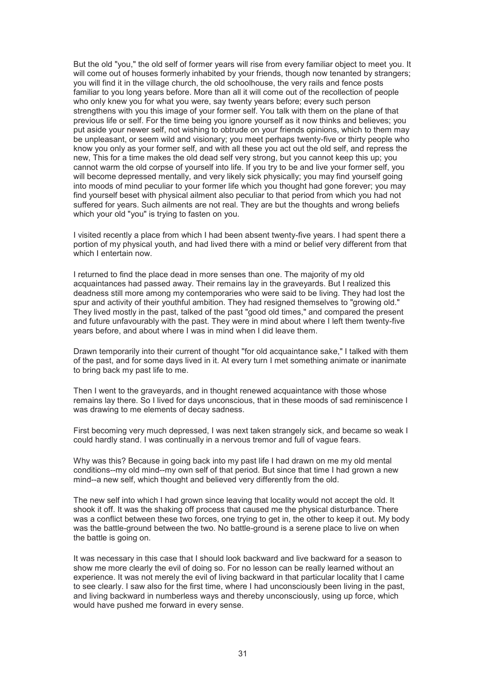But the old "you," the old self of former years will rise from every familiar object to meet you. It will come out of houses formerly inhabited by your friends, though now tenanted by strangers; you will find it in the village church, the old schoolhouse, the very rails and fence posts familiar to you long years before. More than all it will come out of the recollection of people who only knew you for what you were, say twenty years before; every such person strengthens with you this image of your former self. You talk with them on the plane of that previous life or self. For the time being you ignore yourself as it now thinks and believes; you put aside your newer self, not wishing to obtrude on your friends opinions, which to them may be unpleasant, or seem wild and visionary; you meet perhaps twenty-five or thirty people who know you only as your former self, and with all these you act out the old self, and repress the new, This for a time makes the old dead self very strong, but you cannot keep this up; you cannot warm the old corpse of yourself into life. If you try to be and live your former self, you will become depressed mentally, and very likely sick physically; you may find yourself going into moods of mind peculiar to your former life which you thought had gone forever; you may find yourself beset with physical ailment also peculiar to that period from which you had not suffered for years. Such ailments are not real. They are but the thoughts and wrong beliefs which your old "you" is trying to fasten on you.

I visited recently a place from which I had been absent twenty-five years. I had spent there a portion of my physical youth, and had lived there with a mind or belief very different from that which I entertain now.

I returned to find the place dead in more senses than one. The majority of my old acquaintances had passed away. Their remains lay in the graveyards. But I realized this deadness still more among my contemporaries who were said to be living. They had lost the spur and activity of their youthful ambition. They had resigned themselves to "growing old." They lived mostly in the past, talked of the past "good old times," and compared the present and future unfavourably with the past. They were in mind about where I left them twenty-five years before, and about where I was in mind when I did leave them.

Drawn temporarily into their current of thought ''for old acquaintance sake," I talked with them of the past, and for some days lived in it. At every turn I met something animate or inanimate to bring back my past life to me.

Then I went to the graveyards, and in thought renewed acquaintance with those whose remains lay there. So I lived for days unconscious, that in these moods of sad reminiscence I was drawing to me elements of decay sadness.

First becoming very much depressed, I was next taken strangely sick, and became so weak I could hardly stand. I was continually in a nervous tremor and full of vague fears.

Why was this? Because in going back into my past life I had drawn on me my old mental conditions--my old mind--my own self of that period. But since that time I had grown a new mind--a new self, which thought and believed very differently from the old.

The new self into which I had grown since leaving that locality would not accept the old. It shook it off. It was the shaking off process that caused me the physical disturbance. There was a conflict between these two forces, one trying to get in, the other to keep it out. My body was the battle-ground between the two. No battle-ground is a serene place to live on when the battle is going on.

It was necessary in this case that I should look backward and live backward for a season to show me more clearly the evil of doing so. For no lesson can be really learned without an experience. It was not merely the evil of living backward in that particular locality that I came to see clearly. I saw also for the first time, where I had unconsciously been living in the past, and living backward in numberless ways and thereby unconsciously, using up force, which would have pushed me forward in every sense.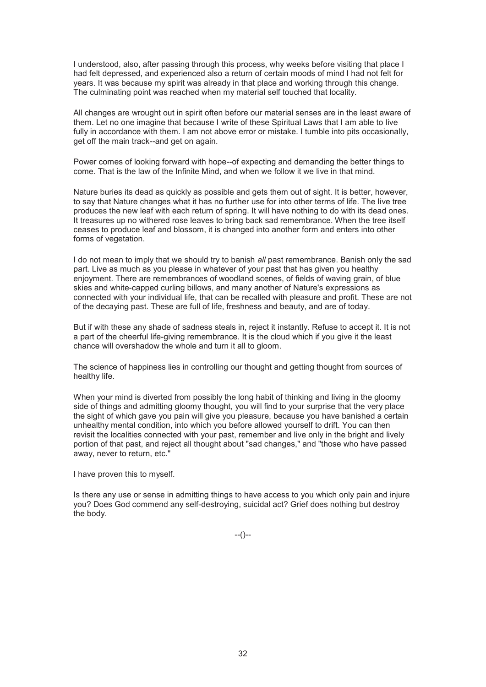I understood, also, after passing through this process, why weeks before visiting that place I had felt depressed, and experienced also a return of certain moods of mind I had not felt for years. It was because my spirit was already in that place and working through this change. The culminating point was reached when my material self touched that locality.

All changes are wrought out in spirit often before our material senses are in the least aware of them. Let no one imagine that because I write of these Spiritual Laws that I am able to live fully in accordance with them. I am not above error or mistake. I tumble into pits occasionally, get off the main track--and get on again.

Power comes of looking forward with hope--of expecting and demanding the better things to come. That is the law of the Infinite Mind, and when we follow it we live in that mind.

Nature buries its dead as quickly as possible and gets them out of sight. It is better, however, to say that Nature changes what it has no further use for into other terms of life. The live tree produces the new leaf with each return of spring. It will have nothing to do with its dead ones. It treasures up no withered rose leaves to bring back sad remembrance. When the tree itself ceases to produce leaf and blossom, it is changed into another form and enters into other forms of vegetation.

I do not mean to imply that we should try to banish *all* past remembrance. Banish only the sad part. Live as much as you please in whatever of your past that has given you healthy enjoyment. There are remembrances of woodland scenes, of fields of waving grain, of blue skies and white-capped curling billows, and many another of Nature's expressions as connected with your individual life, that can be recalled with pleasure and profit. These are not of the decaying past. These are full of life, freshness and beauty, and are of today.

But if with these any shade of sadness steals in, reject it instantly. Refuse to accept it. It is not a part of the cheerful life-giving remembrance. It is the cloud which if you give it the least chance will overshadow the whole and turn it all to gloom.

The science of happiness lies in controlling our thought and getting thought from sources of healthy life.

When your mind is diverted from possibly the long habit of thinking and living in the gloomy side of things and admitting gloomy thought, you will find to your surprise that the very place the sight of which gave you pain will give you pleasure, because you have banished a certain unhealthy mental condition, into which you before allowed yourself to drift. You can then revisit the localities connected with your past, remember and live only in the bright and lively portion of that past, and reject all thought about "sad changes," and "those who have passed away, never to return, etc."

I have proven this to myself.

Is there any use or sense in admitting things to have access to you which only pain and injure you? Does God commend any self-destroying, suicidal act? Grief does nothing but destroy the body.

 $-(-)$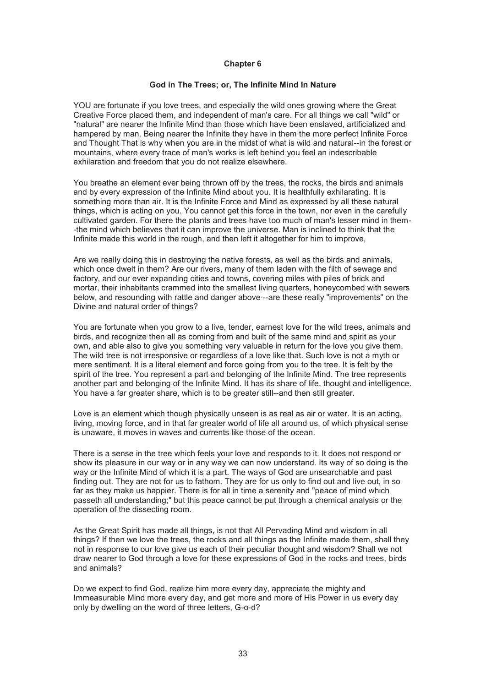#### **Chapter 6**

#### **God in The Trees; or, The Infinite Mind In Nature**

YOU are fortunate if you love trees, and especially the wild ones growing where the Great Creative Force placed them, and independent of man's care. For all things we call "wild" or "natural" are nearer the Infinite Mind than those which have been enslaved, artificialized and hampered by man. Being nearer the Infinite they have in them the more perfect Infinite Force and Thought That is why when you are in the midst of what is wild and natural--in the forest or mountains, where every trace of man's works is left behind you feel an indescribable exhilaration and freedom that you do not realize elsewhere.

You breathe an element ever being thrown off by the trees, the rocks, the birds and animals and by every expression of the Infinite Mind about you. It is healthfully exhilarating. It is something more than air. It is the Infinite Force and Mind as expressed by all these natural things, which is acting on you. You cannot get this force in the town, nor even in the carefully cultivated garden. For there the plants and trees have too much of man's lesser mind in them- -the mind which believes that it can improve the universe. Man is inclined to think that the Infinite made this world in the rough, and then left it altogether for him to improve,

Are we really doing this in destroying the native forests, as well as the birds and animals, which once dwelt in them? Are our rivers, many of them laden with the filth of sewage and factory, and our ever expanding cities and towns, covering miles with piles of brick and mortar, their inhabitants crammed into the smallest living quarters, honeycombed with sewers below, and resounding with rattle and danger above·--are these really "improvements" on the Divine and natural order of things?

You are fortunate when you grow to a live, tender, earnest love for the wild trees, animals and birds, and recognize then all as coming from and built of the same mind and spirit as your own, and able also to give you something very valuable in return for the love you give them. The wild tree is not irresponsive or regardless of a love like that. Such love is not a myth or mere sentiment. It is a literal element and force going from you to the tree. It is felt by the spirit of the tree. You represent a part and belonging of the Infinite Mind. The tree represents another part and belonging of the Infinite Mind. It has its share of life, thought and intelligence. You have a far greater share, which is to be greater still--and then still greater.

Love is an element which though physically unseen is as real as air or water. It is an acting, living, moving force, and in that far greater world of life all around us, of which physical sense is unaware, it moves in waves and currents like those of the ocean.

There is a sense in the tree which feels your love and responds to it. It does not respond or show its pleasure in our way or in any way we can now understand. Its way of so doing is the way or the Infinite Mind of which it is a part. The ways of God are unsearchable and past finding out. They are not for us to fathom. They are for us only to find out and live out, in so far as they make us happier. There is for all in time a serenity and "peace of mind which passeth all understanding;" but this peace cannot be put through a chemical analysis or the operation of the dissecting room.

As the Great Spirit has made all things, is not that All Pervading Mind and wisdom in all things? If then we love the trees, the rocks and all things as the Infinite made them, shall they not in response to our love give us each of their peculiar thought and wisdom? Shall we not draw nearer to God through a love for these expressions of God in the rocks and trees, birds and animals?

Do we expect to find God, realize him more every day, appreciate the mighty and Immeasurable Mind more every day, and get more and more of His Power in us every day only by dwelling on the word of three letters, G-o-d?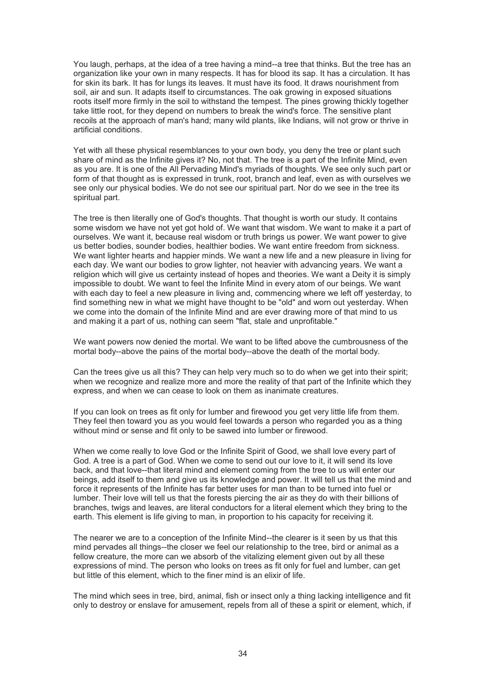You laugh, perhaps, at the idea of a tree having a mind--a tree that thinks. But the tree has an organization like your own in many respects. It has for blood its sap. It has a circulation. It has for skin its bark. It has for lungs its leaves. It must have its food. It draws nourishment from soil, air and sun. It adapts itself to circumstances. The oak growing in exposed situations roots itself more firmly in the soil to withstand the tempest. The pines growing thickly together take little root, for they depend on numbers to break the wind's force. The sensitive plant recoils at the approach of man's hand; many wild plants, like Indians, will not grow or thrive in artificial conditions.

Yet with all these physical resemblances to your own body, you deny the tree or plant such share of mind as the Infinite gives it? No, not that. The tree is a part of the Infinite Mind, even as you are. It is one of the All Pervading Mind's myriads of thoughts. We see only such part or form of that thought as is expressed in trunk, root, branch and leaf, even as with ourselves we see only our physical bodies. We do not see our spiritual part. Nor do we see in the tree its spiritual part.

The tree is then literally one of God's thoughts. That thought is worth our study. It contains some wisdom we have not yet got hold of. We want that wisdom. We want to make it a part of ourselves. We want it, because real wisdom or truth brings us power. We want power to give us better bodies, sounder bodies, healthier bodies. We want entire freedom from sickness. We want lighter hearts and happier minds. We want a new life and a new pleasure in living for each day. We want our bodies to grow lighter, not heavier with advancing years. We want a religion which will give us certainty instead of hopes and theories. We want a Deity it is simply impossible to doubt. We want to feel the Infinite Mind in every atom of our beings. We want with each day to feel a new pleasure in living and, commencing where we left off yesterday, to find something new in what we might have thought to be "old" and worn out yesterday. When we come into the domain of the Infinite Mind and are ever drawing more of that mind to us and making it a part of us, nothing can seem "flat, stale and unprofitable."

We want powers now denied the mortal. We want to be lifted above the cumbrousness of the mortal body--above the pains of the mortal body--above the death of the mortal body.

Can the trees give us all this? They can help very much so to do when we get into their spirit; when we recognize and realize more and more the reality of that part of the Infinite which they express, and when we can cease to look on them as inanimate creatures.

If you can look on trees as fit only for lumber and firewood you get very little life from them. They feel then toward you as you would feel towards a person who regarded you as a thing without mind or sense and fit only to be sawed into lumber or firewood.

When we come really to love God or the Infinite Spirit of Good, we shall love every part of God. A tree is a part of God. When we come to send out our love to it, it will send its love back, and that love--that literal mind and element coming from the tree to us will enter our beings, add itself to them and give us its knowledge and power. It will tell us that the mind and force it represents of the Infinite has far better uses for man than to be turned into fuel or lumber. Their love will tell us that the forests piercing the air as they do with their billions of branches, twigs and leaves, are literal conductors for a literal element which they bring to the earth. This element is life giving to man, in proportion to his capacity for receiving it.

The nearer we are to a conception of the Infinite Mind--the clearer is it seen by us that this mind pervades all things--the closer we feel our relationship to the tree, bird or animal as a fellow creature, the more can we absorb of the vitalizing element given out by all these expressions of mind. The person who looks on trees as fit only for fuel and lumber, can get but little of this element, which to the finer mind is an elixir of life.

The mind which sees in tree, bird, animal, fish or insect only a thing lacking intelligence and fit only to destroy or enslave for amusement, repels from all of these a spirit or element, which, if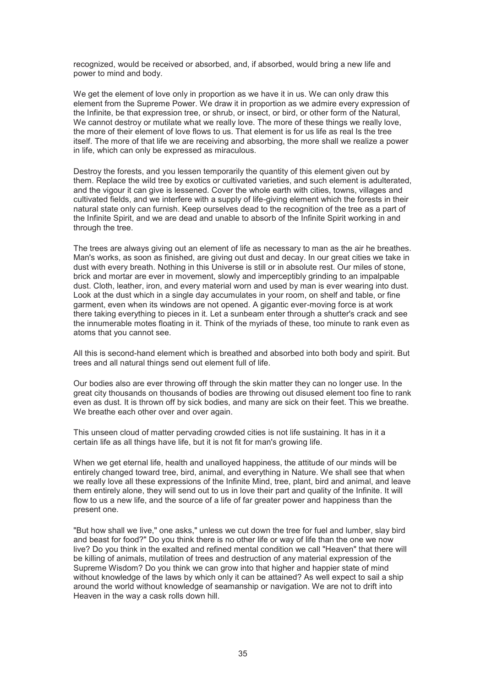recognized, would be received or absorbed, and, if absorbed, would bring a new life and power to mind and body.

We get the element of love only in proportion as we have it in us. We can only draw this element from the Supreme Power. We draw it in proportion as we admire every expression of the Infinite, be that expression tree, or shrub, or insect, or bird, or other form of the Natural, We cannot destroy or mutilate what we really love. The more of these things we really love, the more of their element of love flows to us. That element is for us life as real Is the tree itself. The more of that life we are receiving and absorbing, the more shall we realize a power in life, which can only be expressed as miraculous.

Destroy the forests, and you lessen temporarily the quantity of this element given out by them. Replace the wild tree by exotics or cultivated varieties, and such element is adulterated, and the vigour it can give is lessened. Cover the whole earth with cities, towns, villages and cultivated fields, and we interfere with a supply of life-giving element which the forests in their natural state only can furnish. Keep ourselves dead to the recognition of the tree as a part of the Infinite Spirit, and we are dead and unable to absorb of the Infinite Spirit working in and through the tree.

The trees are always giving out an element of life as necessary to man as the air he breathes. Man's works, as soon as finished, are giving out dust and decay. In our great cities we take in dust with every breath. Nothing in this Universe is still or in absolute rest. Our miles of stone, brick and mortar are ever in movement, slowly and imperceptibly grinding to an impalpable dust. Cloth, leather, iron, and every material worn and used by man is ever wearing into dust. Look at the dust which in a single day accumulates in your room, on shelf and table, or fine garment, even when its windows are not opened. A gigantic ever-moving force is at work there taking everything to pieces in it. Let a sunbeam enter through a shutter's crack and see the innumerable motes floating in it. Think of the myriads of these, too minute to rank even as atoms that you cannot see.

All this is second-hand element which is breathed and absorbed into both body and spirit. But trees and all natural things send out element full of life.

Our bodies also are ever throwing off through the skin matter they can no longer use. In the great city thousands on thousands of bodies are throwing out disused element too fine to rank even as dust. It is thrown off by sick bodies, and many are sick on their feet. This we breathe. We breathe each other over and over again.

This unseen cloud of matter pervading crowded cities is not life sustaining. It has in it a certain life as all things have life, but it is not fit for man's growing life.

When we get eternal life, health and unalloyed happiness, the attitude of our minds will be entirely changed toward tree, bird, animal, and everything in Nature. We shall see that when we really love all these expressions of the Infinite Mind, tree, plant, bird and animal, and leave them entirely alone, they will send out to us in love their part and quality of the Infinite. It will flow to us a new life, and the source of a life of far greater power and happiness than the present one.

"But how shall we live," one asks," unless we cut down the tree for fuel and lumber, slay bird and beast for food?" Do you think there is no other life or way of life than the one we now live? Do you think in the exalted and refined mental condition we call "Heaven" that there will be killing of animals, mutilation of trees and destruction of any material expression of the Supreme Wisdom? Do you think we can grow into that higher and happier state of mind without knowledge of the laws by which only it can be attained? As well expect to sail a ship around the world without knowledge of seamanship or navigation. We are not to drift into Heaven in the way a cask rolls down hill.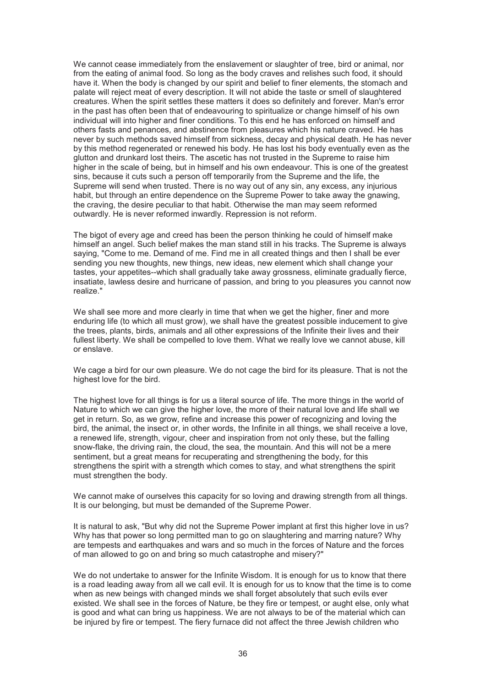We cannot cease immediately from the enslavement or slaughter of tree, bird or animal, nor from the eating of animal food. So long as the body craves and relishes such food, it should have it. When the body is changed by our spirit and belief to finer elements, the stomach and palate will reject meat of every description. It will not abide the taste or smell of slaughtered creatures. When the spirit settles these matters it does so definitely and forever. Man's error in the past has often been that of endeavouring to spiritualize or change himself of his own individual will into higher and finer conditions. To this end he has enforced on himself and others fasts and penances, and abstinence from pleasures which his nature craved. He has never by such methods saved himself from sickness, decay and physical death. He has never by this method regenerated or renewed his body. He has lost his body eventually even as the glutton and drunkard lost theirs. The ascetic has not trusted in the Supreme to raise him higher in the scale of being, but in himself and his own endeavour. This is one of the greatest sins, because it cuts such a person off temporarily from the Supreme and the life, the Supreme will send when trusted. There is no way out of any sin, any excess, any injurious habit, but through an entire dependence on the Supreme Power to take away the gnawing, the craving, the desire peculiar to that habit. Otherwise the man may seem reformed outwardly. He is never reformed inwardly. Repression is not reform.

The bigot of every age and creed has been the person thinking he could of himself make himself an angel. Such belief makes the man stand still in his tracks. The Supreme is always saying, "Come to me. Demand of me. Find me in all created things and then I shall be ever sending you new thoughts, new things, new ideas, new element which shall change your tastes, your appetites--which shall gradually take away grossness, eliminate gradually fierce, insatiate, lawless desire and hurricane of passion, and bring to you pleasures you cannot now realize."

We shall see more and more clearly in time that when we get the higher, finer and more enduring life (to which all must grow), we shall have the greatest possible inducement to give the trees, plants, birds, animals and all other expressions of the Infinite their lives and their fullest liberty. We shall be compelled to love them. What we really love we cannot abuse, kill or enslave.

We cage a bird for our own pleasure. We do not cage the bird for its pleasure. That is not the highest love for the bird.

The highest love for all things is for us a literal source of life. The more things in the world of Nature to which we can give the higher love, the more of their natural love and life shall we get in return. So, as we grow, refine and increase this power of recognizing and loving the bird, the animal, the insect or, in other words, the Infinite in all things, we shall receive a love, a renewed life, strength, vigour, cheer and inspiration from not only these, but the falling snow-flake, the driving rain, the cloud, the sea, the mountain. And this will not be a mere sentiment, but a great means for recuperating and strengthening the body, for this strengthens the spirit with a strength which comes to stay, and what strengthens the spirit must strengthen the body.

We cannot make of ourselves this capacity for so loving and drawing strength from all things. It is our belonging, but must be demanded of the Supreme Power.

It is natural to ask, "But why did not the Supreme Power implant at first this higher love in us? Why has that power so long permitted man to go on slaughtering and marring nature? Why are tempests and earthquakes and wars and so much in the forces of Nature and the forces of man allowed to go on and bring so much catastrophe and misery?"

We do not undertake to answer for the Infinite Wisdom. It is enough for us to know that there is a road leading away from all we call evil. It is enough for us to know that the time is to come when as new beings with changed minds we shall forget absolutely that such evils ever existed. We shall see in the forces of Nature, be they fire or tempest, or aught else, only what is good and what can bring us happiness. We are not always to be of the material which can be injured by fire or tempest. The fiery furnace did not affect the three Jewish children who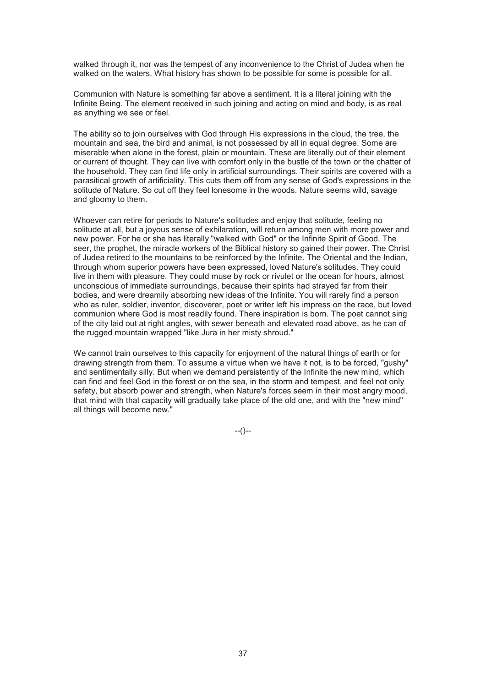walked through it, nor was the tempest of any inconvenience to the Christ of Judea when he walked on the waters. What history has shown to be possible for some is possible for all.

Communion with Nature is something far above a sentiment. It is a literal joining with the Infinite Being. The element received in such joining and acting on mind and body, is as real as anything we see or feel.

The ability so to join ourselves with God through His expressions in the cloud, the tree, the mountain and sea, the bird and animal, is not possessed by all in equal degree. Some are miserable when alone in the forest, plain or mountain. These are literally out of their element or current of thought. They can live with comfort only in the bustle of the town or the chatter of the household. They can find life only in artificial surroundings. Their spirits are covered with a parasitical growth of artificiality. This cuts them off from any sense of God's expressions in the solitude of Nature. So cut off they feel lonesome in the woods. Nature seems wild, savage and gloomy to them.

Whoever can retire for periods to Nature's solitudes and enjoy that solitude, feeling no solitude at all, but a joyous sense of exhilaration, will return among men with more power and new power. For he or she has literally "walked with God" or the Infinite Spirit of Good. The seer, the prophet, the miracle workers of the Biblical history so gained their power. The Christ of Judea retired to the mountains to be reinforced by the Infinite. The Oriental and the Indian, through whom superior powers have been expressed, loved Nature's solitudes. They could live in them with pleasure. They could muse by rock or rivulet or the ocean for hours, almost unconscious of immediate surroundings, because their spirits had strayed far from their bodies, and were dreamily absorbing new ideas of the Infinite. You will rarely find a person who as ruler, soldier, inventor, discoverer, poet or writer left his impress on the race, but loved communion where God is most readily found. There inspiration is born. The poet cannot sing of the city laid out at right angles, with sewer beneath and elevated road above, as he can of the rugged mountain wrapped "like Jura in her misty shroud."

We cannot train ourselves to this capacity for enjoyment of the natural things of earth or for drawing strength from them. To assume a virtue when we have it not, is to be forced, "gushy" and sentimentally silly. But when we demand persistently of the Infinite the new mind, which can find and feel God in the forest or on the sea, in the storm and tempest, and feel not only safety, but absorb power and strength, when Nature's forces seem in their most angry mood, that mind with that capacity will gradually take place of the old one, and with the "new mind" all things will become new."

--()--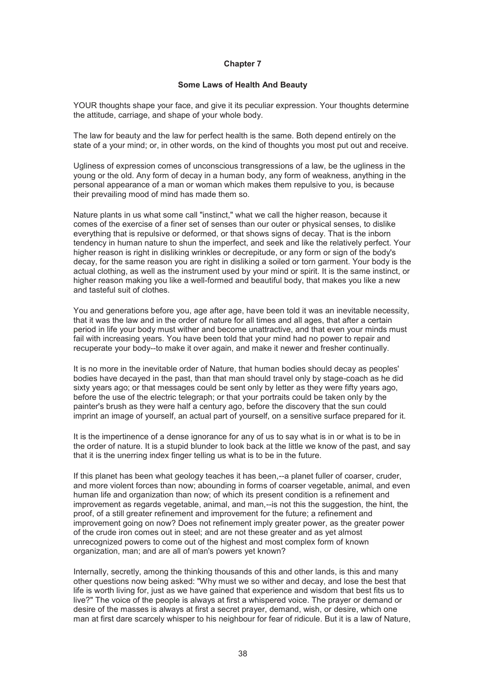## **Some Laws of Health And Beauty**

YOUR thoughts shape your face, and give it its peculiar expression. Your thoughts determine the attitude, carriage, and shape of your whole body.

The law for beauty and the law for perfect health is the same. Both depend entirely on the state of a your mind; or, in other words, on the kind of thoughts you most put out and receive.

Ugliness of expression comes of unconscious transgressions of a law, be the ugliness in the young or the old. Any form of decay in a human body, any form of weakness, anything in the personal appearance of a man or woman which makes them repulsive to you, is because their prevailing mood of mind has made them so.

Nature plants in us what some call "instinct," what we call the higher reason, because it comes of the exercise of a finer set of senses than our outer or physical senses, to dislike everything that is repulsive or deformed, or that shows signs of decay. That is the inborn tendency in human nature to shun the imperfect, and seek and like the relatively perfect. Your higher reason is right in disliking wrinkles or decrepitude, or any form or sign of the body's decay, for the same reason you are right in disliking a soiled or torn garment. Your body is the actual clothing, as well as the instrument used by your mind or spirit. It is the same instinct, or higher reason making you like a well-formed and beautiful body, that makes you like a new and tasteful suit of clothes.

You and generations before you, age after age, have been told it was an inevitable necessity, that it was the law and in the order of nature for all times and all ages, that after a certain period in life your body must wither and become unattractive, and that even your minds must fail with increasing years. You have been told that your mind had no power to repair and recuperate your body--to make it over again, and make it newer and fresher continually.

It is no more in the inevitable order of Nature, that human bodies should decay as peoples' bodies have decayed in the past, than that man should travel only by stage-coach as he did sixty years ago; or that messages could be sent only by letter as they were fifty years ago, before the use of the electric telegraph; or that your portraits could be taken only by the painter's brush as they were half a century ago, before the discovery that the sun could imprint an image of yourself, an actual part of yourself, on a sensitive surface prepared for it.

It is the impertinence of a dense ignorance for any of us to say what is in or what is to be in the order of nature. It is a stupid blunder to look back at the little we know of the past, and say that it is the unerring index finger telling us what is to be in the future.

If this planet has been what geology teaches it has been,--a planet fuller of coarser, cruder, and more violent forces than now; abounding in forms of coarser vegetable, animal, and even human life and organization than now; of which its present condition is a refinement and improvement as regards vegetable, animal, and man,--is not this the suggestion, the hint, the proof, of a still greater refinement and improvement for the future; a refinement and improvement going on now? Does not refinement imply greater power, as the greater power of the crude iron comes out in steel; and are not these greater and as yet almost unrecognized powers to come out of the highest and most complex form of known organization, man; and are all of man's powers yet known?

Internally, secretly, among the thinking thousands of this and other lands, is this and many other questions now being asked: "Why must we so wither and decay, and lose the best that life is worth living for, just as we have gained that experience and wisdom that best fits us to live?" The voice of the people is always at first a whispered voice. The prayer or demand or desire of the masses is always at first a secret prayer, demand, wish, or desire, which one man at first dare scarcely whisper to his neighbour for fear of ridicule. But it is a law of Nature,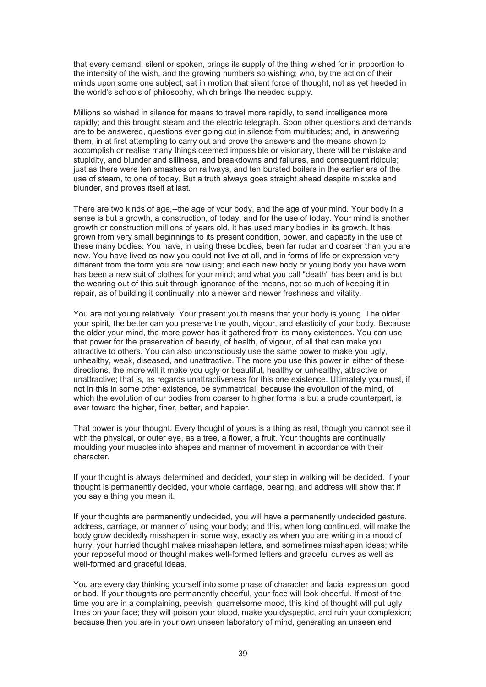that every demand, silent or spoken, brings its supply of the thing wished for in proportion to the intensity of the wish, and the growing numbers so wishing; who, by the action of their minds upon some one subject, set in motion that silent force of thought, not as yet heeded in the world's schools of philosophy, which brings the needed supply.

Millions so wished in silence for means to travel more rapidly, to send intelligence more rapidly; and this brought steam and the electric telegraph. Soon other questions and demands are to be answered, questions ever going out in silence from multitudes; and, in answering them, in at first attempting to carry out and prove the answers and the means shown to accomplish or realise many things deemed impossible or visionary, there will be mistake and stupidity, and blunder and silliness, and breakdowns and failures, and consequent ridicule; just as there were ten smashes on railways, and ten bursted boilers in the earlier era of the use of steam, to one of today. But a truth always goes straight ahead despite mistake and blunder, and proves itself at last.

There are two kinds of age,--the age of your body, and the age of your mind. Your body in a sense is but a growth, a construction, of today, and for the use of today. Your mind is another growth or construction millions of years old. It has used many bodies in its growth. It has grown from very small beginnings to its present condition, power, and capacity in the use of these many bodies. You have, in using these bodies, been far ruder and coarser than you are now. You have lived as now you could not live at all, and in forms of life or expression very different from the form you are now using; and each new body or young body you have worn has been a new suit of clothes for your mind; and what you call "death" has been and is but the wearing out of this suit through ignorance of the means, not so much of keeping it in repair, as of building it continually into a newer and newer freshness and vitality.

You are not young relatively. Your present youth means that your body is young. The older your spirit, the better can you preserve the youth, vigour, and elasticity of your body. Because the older your mind, the more power has it gathered from its many existences. You can use that power for the preservation of beauty, of health, of vigour, of all that can make you attractive to others. You can also unconsciously use the same power to make you ugly, unhealthy, weak, diseased, and unattractive. The more you use this power in either of these directions, the more will it make you ugly or beautiful, healthy or unhealthy, attractive or unattractive; that is, as regards unattractiveness for this one existence. Ultimately you must, if not in this in some other existence, be symmetrical; because the evolution of the mind, of which the evolution of our bodies from coarser to higher forms is but a crude counterpart, is ever toward the higher, finer, better, and happier.

That power is your thought. Every thought of yours is a thing as real, though you cannot see it with the physical, or outer eye, as a tree, a flower, a fruit. Your thoughts are continually moulding your muscles into shapes and manner of movement in accordance with their character.

If your thought is always determined and decided, your step in walking will be decided. If your thought is permanently decided, your whole carriage, bearing, and address will show that if you say a thing you mean it.

If your thoughts are permanently undecided, you will have a permanently undecided gesture, address, carriage, or manner of using your body; and this, when long continued, will make the body grow decidedly misshapen in some way, exactly as when you are writing in a mood of hurry, your hurried thought makes misshapen letters, and sometimes misshapen ideas; while your reposeful mood or thought makes well-formed letters and graceful curves as well as well-formed and graceful ideas.

You are every day thinking yourself into some phase of character and facial expression, good or bad. If your thoughts are permanently cheerful, your face will look cheerful. If most of the time you are in a complaining, peevish, quarrelsome mood, this kind of thought will put ugly lines on your face; they will poison your blood, make you dyspeptic, and ruin your complexion; because then you are in your own unseen laboratory of mind, generating an unseen end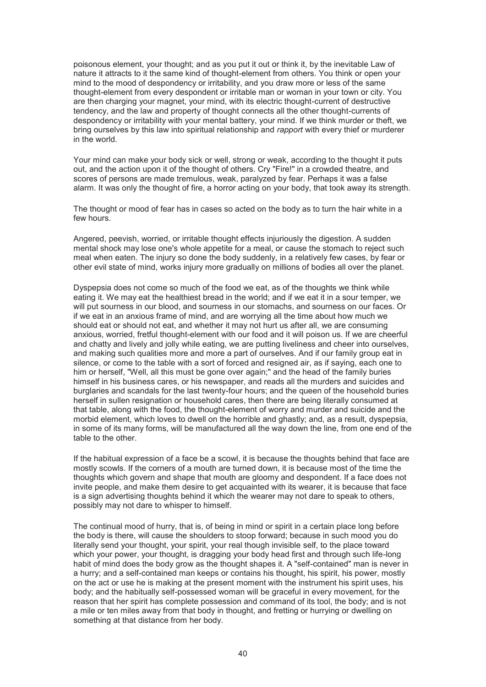poisonous element, your thought; and as you put it out or think it, by the inevitable Law of nature it attracts to it the same kind of thought-element from others. You think or open your mind to the mood of despondency or irritability, and you draw more or less of the same thought-element from every despondent or irritable man or woman in your town or city. You are then charging your magnet, your mind, with its electric thought-current of destructive tendency, and the law and property of thought connects all the other thought-currents of despondency or irritability with your mental battery, your mind. If we think murder or theft, we bring ourselves by this law into spiritual relationship and *rapport* with every thief or murderer in the world.

Your mind can make your body sick or well, strong or weak, according to the thought it puts out, and the action upon it of the thought of others. Cry "Fire!" in a crowded theatre, and scores of persons are made tremulous, weak, paralyzed by fear. Perhaps it was a false alarm. It was only the thought of fire, a horror acting on your body, that took away its strength.

The thought or mood of fear has in cases so acted on the body as to turn the hair white in a few hours.

Angered, peevish, worried, or irritable thought effects injuriously the digestion. A sudden mental shock may lose one's whole appetite for a meal, or cause the stomach to reject such meal when eaten. The injury so done the body suddenly, in a relatively few cases, by fear or other evil state of mind, works injury more gradually on millions of bodies all over the planet.

Dyspepsia does not come so much of the food we eat, as of the thoughts we think while eating it. We may eat the healthiest bread in the world; and if we eat it in a sour temper, we will put sourness in our blood, and sourness in our stomachs, and sourness on our faces. Or if we eat in an anxious frame of mind, and are worrying all the time about how much we should eat or should not eat, and whether it may not hurt us after all, we are consuming anxious, worried, fretful thought-element with our food and it will poison us. If we are cheerful and chatty and lively and jolly while eating, we are putting liveliness and cheer into ourselves, and making such qualities more and more a part of ourselves. And if our family group eat in silence, or come to the table with a sort of forced and resigned air, as if saying, each one to him or herself, "Well, all this must be gone over again;" and the head of the family buries himself in his business cares, or his newspaper, and reads all the murders and suicides and burglaries and scandals for the last twenty-four hours; and the queen of the household buries herself in sullen resignation or household cares, then there are being literally consumed at that table, along with the food, the thought-element of worry and murder and suicide and the morbid element, which loves to dwell on the horrible and ghastly; and, as a result, dyspepsia, in some of its many forms, will be manufactured all the way down the line, from one end of the table to the other.

If the habitual expression of a face be a scowl, it is because the thoughts behind that face are mostly scowls. If the corners of a mouth are turned down, it is because most of the time the thoughts which govern and shape that mouth are gloomy and despondent. If a face does not invite people, and make them desire to get acquainted with its wearer, it is because that face is a sign advertising thoughts behind it which the wearer may not dare to speak to others, possibly may not dare to whisper to himself.

The continual mood of hurry, that is, of being in mind or spirit in a certain place long before the body is there, will cause the shoulders to stoop forward; because in such mood you do literally send your thought, your spirit, your real though invisible self, to the place toward which your power, your thought, is dragging your body head first and through such life-long habit of mind does the body grow as the thought shapes it. A "self-contained" man is never in a hurry; and a self-contained man keeps or contains his thought, his spirit, his power, mostly on the act or use he is making at the present moment with the instrument his spirit uses, his body; and the habitually self-possessed woman will be graceful in every movement, for the reason that her spirit has complete possession and command of its tool, the body; and is not a mile or ten miles away from that body in thought, and fretting or hurrying or dwelling on something at that distance from her body.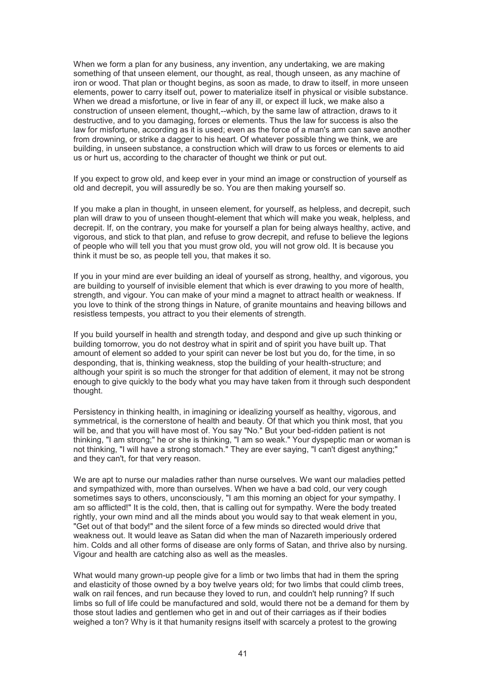When we form a plan for any business, any invention, any undertaking, we are making something of that unseen element, our thought, as real, though unseen, as any machine of iron or wood. That plan or thought begins, as soon as made, to draw to itself, in more unseen elements, power to carry itself out, power to materialize itself in physical or visible substance. When we dread a misfortune, or live in fear of any ill, or expect ill luck, we make also a construction of unseen element, thought,--which, by the same law of attraction, draws to it destructive, and to you damaging, forces or elements. Thus the law for success is also the law for misfortune, according as it is used; even as the force of a man's arm can save another from drowning, or strike a dagger to his heart. Of whatever possible thing we think, we are building, in unseen substance, a construction which will draw to us forces or elements to aid us or hurt us, according to the character of thought we think or put out.

If you expect to grow old, and keep ever in your mind an image or construction of yourself as old and decrepit, you will assuredly be so. You are then making yourself so.

If you make a plan in thought, in unseen element, for yourself, as helpless, and decrepit, such plan will draw to you of unseen thought-element that which will make you weak, helpless, and decrepit. If, on the contrary, you make for yourself a plan for being always healthy, active, and vigorous, and stick to that plan, and refuse to grow decrepit, and refuse to believe the legions of people who will tell you that you must grow old, you will not grow old. It is because you think it must be so, as people tell you, that makes it so.

If you in your mind are ever building an ideal of yourself as strong, healthy, and vigorous, you are building to yourself of invisible element that which is ever drawing to you more of health, strength, and vigour. You can make of your mind a magnet to attract health or weakness. If you love to think of the strong things in Nature, of granite mountains and heaving billows and resistless tempests, you attract to you their elements of strength.

If you build yourself in health and strength today, and despond and give up such thinking or building tomorrow, you do not destroy what in spirit and of spirit you have built up. That amount of element so added to your spirit can never be lost but you do, for the time, in so desponding, that is, thinking weakness, stop the building of your health-structure; and although your spirit is so much the stronger for that addition of element, it may not be strong enough to give quickly to the body what you may have taken from it through such despondent thought.

Persistency in thinking health, in imagining or idealizing yourself as healthy, vigorous, and symmetrical, is the cornerstone of health and beauty. Of that which you think most, that you will be, and that you will have most of. You say "No." But your bed-ridden patient is not thinking, "I am strong;" he or she is thinking, "I am so weak." Your dyspeptic man or woman is not thinking, "I will have a strong stomach." They are ever saying, "I can't digest anything;" and they can't, for that very reason.

We are apt to nurse our maladies rather than nurse ourselves. We want our maladies petted and sympathized with, more than ourselves. When we have a bad cold, our very cough sometimes says to others, unconsciously, "I am this morning an object for your sympathy. I am so afflicted!" It is the cold, then, that is calling out for sympathy. Were the body treated rightly, your own mind and all the minds about you would say to that weak element in you, "Get out of that body!" and the silent force of a few minds so directed would drive that weakness out. It would leave as Satan did when the man of Nazareth imperiously ordered him. Colds and all other forms of disease are only forms of Satan, and thrive also by nursing. Vigour and health are catching also as well as the measles.

What would many grown-up people give for a limb or two limbs that had in them the spring and elasticity of those owned by a boy twelve years old; for two limbs that could climb trees, walk on rail fences, and run because they loved to run, and couldn't help running? If such limbs so full of life could be manufactured and sold, would there not be a demand for them by those stout ladies and gentlemen who get in and out of their carriages as if their bodies weighed a ton? Why is it that humanity resigns itself with scarcely a protest to the growing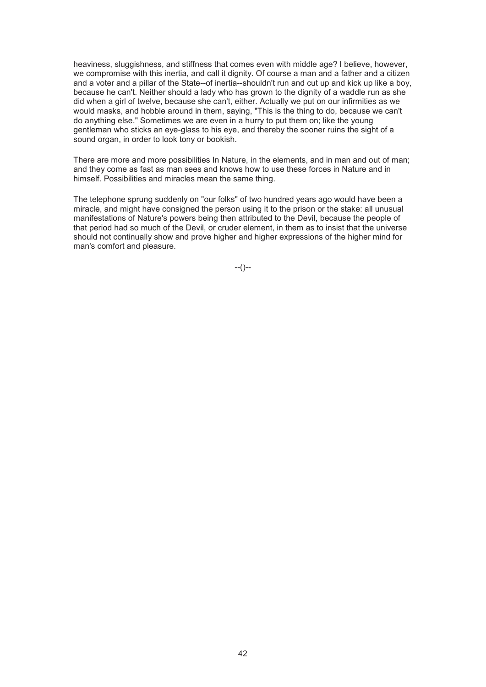heaviness, sluggishness, and stiffness that comes even with middle age? I believe, however, we compromise with this inertia, and call it dignity. Of course a man and a father and a citizen and a voter and a pillar of the State--of inertia--shouldn't run and cut up and kick up like a boy, because he can't. Neither should a lady who has grown to the dignity of a waddle run as she did when a girl of twelve, because she can't, either. Actually we put on our infirmities as we would masks, and hobble around in them, saying, "This is the thing to do, because we can't do anything else." Sometimes we are even in a hurry to put them on; like the young gentleman who sticks an eye-glass to his eye, and thereby the sooner ruins the sight of a sound organ, in order to look tony or bookish.

There are more and more possibilities In Nature, in the elements, and in man and out of man; and they come as fast as man sees and knows how to use these forces in Nature and in himself. Possibilities and miracles mean the same thing.

The telephone sprung suddenly on "our folks" of two hundred years ago would have been a miracle, and might have consigned the person using it to the prison or the stake: all unusual manifestations of Nature's powers being then attributed to the Devil, because the people of that period had so much of the Devil, or cruder element, in them as to insist that the universe should not continually show and prove higher and higher expressions of the higher mind for man's comfort and pleasure.

 $-(-)$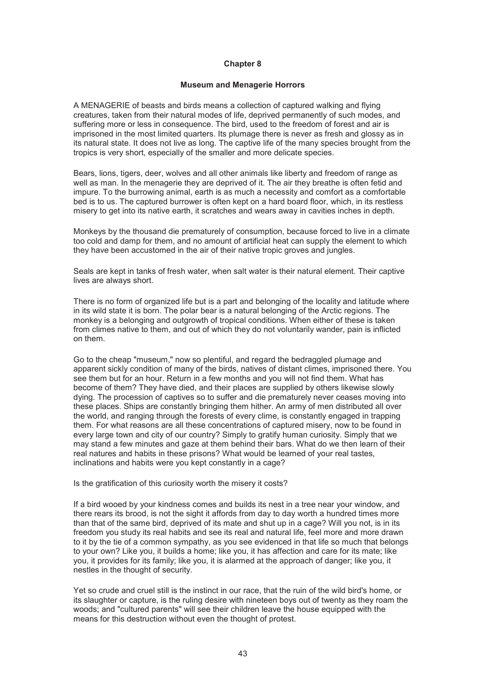### **Museum and Menagerie Horrors**

A MENAGERIE of beasts and birds means a collection of captured walking and flying creatures, taken from their natural modes of life, deprived permanently of such modes, and suffering more or less in consequence. The bird, used to the freedom of forest and air is imprisoned in the most limited quarters. Its plumage there is never as fresh and glossy as in its natural state. It does not live as long. The captive life of the many species brought from the tropics is very short, especially of the smaller and more delicate species.

Bears, lions, tigers, deer, wolves and all other animals like liberty and freedom of range as well as man. In the menagerie they are deprived of it. The air they breathe is often fetid and impure. To the burrowing animal, earth is as much a necessity and comfort as a comfortable bed is to us. The captured burrower is often kept on a hard board floor, which, in its restless misery to get into its native earth, it scratches and wears away in cavities inches in depth.

Monkeys by the thousand die prematurely of consumption, because forced to live in a climate too cold and damp for them, and no amount of artificial heat can supply the element to which they have been accustomed in the air of their native tropic groves and jungles.

Seals are kept in tanks of fresh water, when salt water is their natural element. Their captive lives are always short.

There is no form of organized life but is a part and belonging of the locality and latitude where in its wild state it is born. The polar bear is a natural belonging of the Arctic regions. The monkey is a belonging and outgrowth of tropical conditions. When either of these is taken from climes native to them, and out of which they do not voluntarily wander, pain is inflicted on them.

Go to the cheap "museum," now so plentiful, and regard the bedraggled plumage and apparent sickly condition of many of the birds, natives of distant climes, imprisoned there. You see them but for an hour. Return in a few months and you will not find them. What has become of them? They have died, and their places are supplied by others likewise slowly dying. The procession of captives so to suffer and die prematurely never ceases moving into these places. Ships are constantly bringing them hither. An army of men distributed all over the world, and ranging through the forests of every clime, is constantly engaged in trapping them. For what reasons are all these concentrations of captured misery, now to be found in every large town and city of our country? Simply to gratify human curiosity. Simply that we may stand a few minutes and gaze at them behind their bars. What do we then learn of their real natures and habits in these prisons? What would be learned of your real tastes, inclinations and habits were you kept constantly in a cage?

Is the gratification of this curiosity worth the misery it costs?

If a bird wooed by your kindness comes and builds its nest in a tree near your window, and there rears its brood, is not the sight it affords from day to day worth a hundred times more than that of the same bird, deprived of its mate and shut up in a cage? Will you not, is in its freedom you study its real habits and see its real and natural life, feel more and more drawn to it by the tie of a common sympathy, as you see evidenced in that life so much that belongs to your own? Like you, it builds a home; like you, it has affection and care for its mate; like you, it provides for its family; like you, it is alarmed at the approach of danger; like you, it nestles in the thought of security.

Yet so crude and cruel still is the instinct in our race, that the ruin of the wild bird's home, or its slaughter or capture, is the ruling desire with nineteen boys out of twenty as they roam the woods; and "cultured parents" will see their children leave the house equipped with the means for this destruction without even the thought of protest.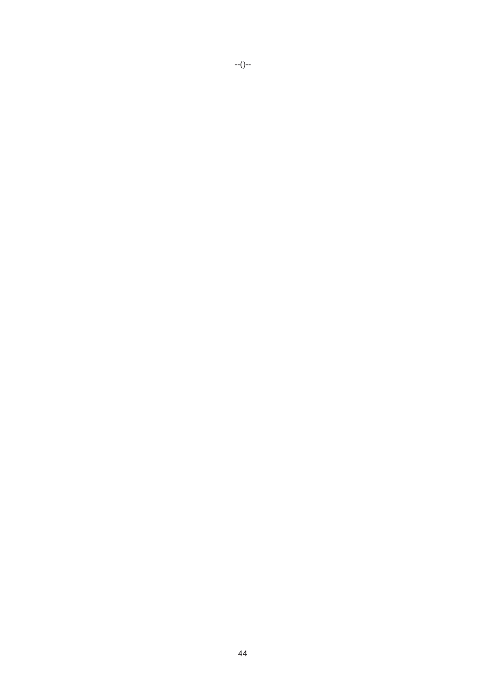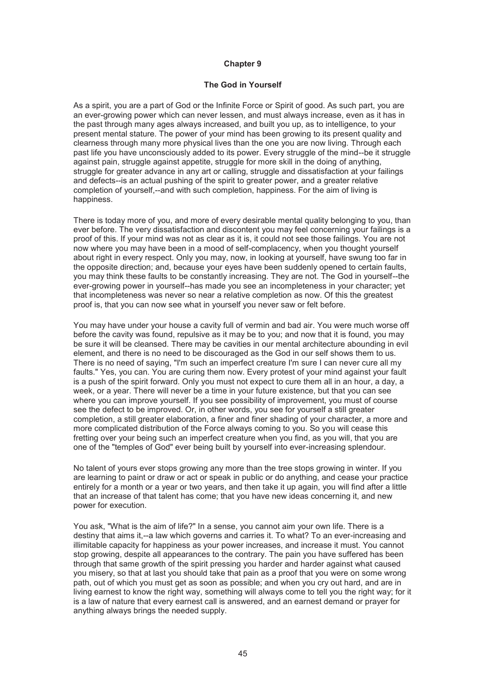# **The God in Yourself**

As a spirit, you are a part of God or the Infinite Force or Spirit of good. As such part, you are an ever-growing power which can never lessen, and must always increase, even as it has in the past through many ages always increased, and built you up, as to intelligence, to your present mental stature. The power of your mind has been growing to its present quality and clearness through many more physical lives than the one you are now living. Through each past life you have unconsciously added to its power. Every struggle of the mind--be it struggle against pain, struggle against appetite, struggle for more skill in the doing of anything, struggle for greater advance in any art or calling, struggle and dissatisfaction at your failings and defects--is an actual pushing of the spirit to greater power, and a greater relative completion of yourself,--and with such completion, happiness. For the aim of living is happiness.

There is today more of you, and more of every desirable mental quality belonging to you, than ever before. The very dissatisfaction and discontent you may feel concerning your failings is a proof of this. If your mind was not as clear as it is, it could not see those failings. You are not now where you may have been in a mood of self-complacency, when you thought yourself about right in every respect. Only you may, now, in looking at yourself, have swung too far in the opposite direction; and, because your eyes have been suddenly opened to certain faults, you may think these faults to be constantly increasing. They are not. The God in yourself--the ever-growing power in yourself--has made you see an incompleteness in your character; yet that incompleteness was never so near a relative completion as now. Of this the greatest proof is, that you can now see what in yourself you never saw or felt before.

You may have under your house a cavity full of vermin and bad air. You were much worse off before the cavity was found, repulsive as it may be to you; and now that it is found, you may be sure it will be cleansed. There may be cavities in our mental architecture abounding in evil element, and there is no need to be discouraged as the God in our self shows them to us. There is no need of saying, "I'm such an imperfect creature I'm sure I can never cure all my faults." Yes, you can. You are curing them now. Every protest of your mind against your fault is a push of the spirit forward. Only you must not expect to cure them all in an hour, a day, a week, or a year. There will never be a time in your future existence, but that you can see where you can improve yourself. If you see possibility of improvement, you must of course see the defect to be improved. Or, in other words, you see for yourself a still greater completion, a still greater elaboration, a finer and finer shading of your character, a more and more complicated distribution of the Force always coming to you. So you will cease this fretting over your being such an imperfect creature when you find, as you will, that you are one of the "temples of God" ever being built by yourself into ever-increasing splendour.

No talent of yours ever stops growing any more than the tree stops growing in winter. If you are learning to paint or draw or act or speak in public or do anything, and cease your practice entirely for a month or a year or two years, and then take it up again, you will find after a little that an increase of that talent has come; that you have new ideas concerning it, and new power for execution.

You ask, "What is the aim of life?" In a sense, you cannot aim your own life. There is a destiny that aims it,--a law which governs and carries it. To what? To an ever-increasing and illimitable capacity for happiness as your power increases, and increase it must. You cannot stop growing, despite all appearances to the contrary. The pain you have suffered has been through that same growth of the spirit pressing you harder and harder against what caused you misery, so that at last you should take that pain as a proof that you were on some wrong path, out of which you must get as soon as possible; and when you cry out hard, and are in living earnest to know the right way, something will always come to tell you the right way; for it is a law of nature that every earnest call is answered, and an earnest demand or prayer for anything always brings the needed supply.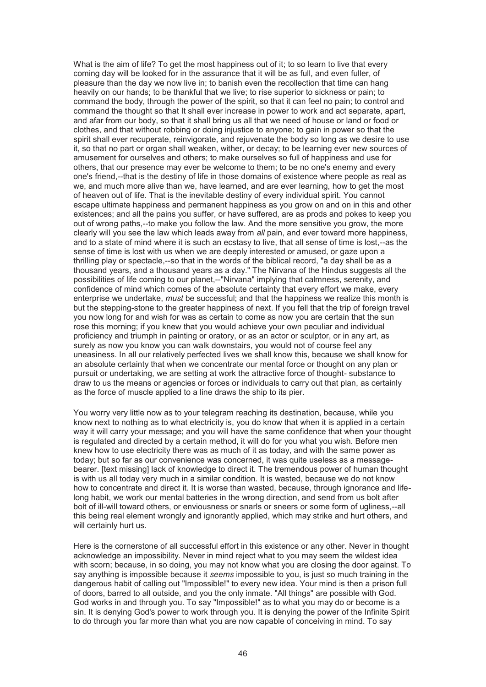What is the aim of life? To get the most happiness out of it; to so learn to live that every coming day will be looked for in the assurance that it will be as full, and even fuller, of pleasure than the day we now live in; to banish even the recollection that time can hang heavily on our hands; to be thankful that we live; to rise superior to sickness or pain; to command the body, through the power of the spirit, so that it can feel no pain; to control and command the thought so that It shall ever increase in power to work and act separate, apart, and afar from our body, so that it shall bring us all that we need of house or land or food or clothes, and that without robbing or doing injustice to anyone; to gain in power so that the spirit shall ever recuperate, reinvigorate, and rejuvenate the body so long as we desire to use it, so that no part or organ shall weaken, wither, or decay; to be learning ever new sources of amusement for ourselves and others; to make ourselves so full of happiness and use for others, that our presence may ever be welcome to them; to be no one's enemy and every one's friend,--that is the destiny of life in those domains of existence where people as real as we, and much more alive than we, have learned, and are ever learning, how to get the most of heaven out of life. That is the inevitable destiny of every individual spirit. You cannot escape ultimate happiness and permanent happiness as you grow on and on in this and other existences; and all the pains you suffer, or have suffered, are as prods and pokes to keep you out of wrong paths,--to make you follow the law. And the more sensitive you grow, the more clearly will you see the law which leads away from *all* pain, and ever toward more happiness, and to a state of mind where it is such an ecstasy to live, that all sense of time is lost,--as the sense of time is lost with us when we are deeply interested or amused, or gaze upon a thrilling play or spectacle,--so that in the words of the biblical record, "a day shall be as a thousand years, and a thousand years as a day." The Nirvana of the Hindus suggests all the possibilities of life coming to our planet,--"Nirvana" implying that calmness, serenity, and confidence of mind which comes of the absolute certainty that every effort we make, every enterprise we undertake, *must* be successful; and that the happiness we realize this month is but the stepping-stone to the greater happiness of next. If you fell that the trip of foreign travel you now long for and wish for was as certain to come as now you are certain that the sun rose this morning; if you knew that you would achieve your own peculiar and individual proficiency and triumph in painting or oratory, or as an actor or sculptor, or in any art, as surely as now you know you can walk downstairs, you would not of course feel any uneasiness. In all our relatively perfected lives we shall know this, because we shall know for an absolute certainty that when we concentrate our mental force or thought on any plan or pursuit or undertaking, we are setting at work the attractive force of thought- substance to draw to us the means or agencies or forces or individuals to carry out that plan, as certainly as the force of muscle applied to a line draws the ship to its pier.

You worry very little now as to your telegram reaching its destination, because, while you know next to nothing as to what electricity is, you do know that when it is applied in a certain way it will carry your message; and you will have the same confidence that when your thought is regulated and directed by a certain method, it will do for you what you wish. Before men knew how to use electricity there was as much of it as today, and with the same power as today; but so far as our convenience was concerned, it was quite useless as a messagebearer. [text missing] lack of knowledge to direct it. The tremendous power of human thought is with us all today very much in a similar condition. It is wasted, because we do not know how to concentrate and direct it. It is worse than wasted, because, through ignorance and lifelong habit, we work our mental batteries in the wrong direction, and send from us bolt after bolt of ill-will toward others, or enviousness or snarls or sneers or some form of ugliness,--all this being real element wrongly and ignorantly applied, which may strike and hurt others, and will certainly hurt us.

Here is the cornerstone of all successful effort in this existence or any other. Never in thought acknowledge an impossibility. Never in mind reject what to you may seem the wildest idea with scorn; because, in so doing, you may not know what you are closing the door against. To say anything is impossible because it *seems* impossible to you, is just so much training in the dangerous habit of calling out "Impossible!" to every new idea. Your mind is then a prison full of doors, barred to all outside, and you the only inmate. "All things" are possible with God. God works in and through you. To say "Impossible!" as to what you may do or become is a sin. It is denying God's power to work through you. It is denying the power of the Infinite Spirit to do through you far more than what you are now capable of conceiving in mind. To say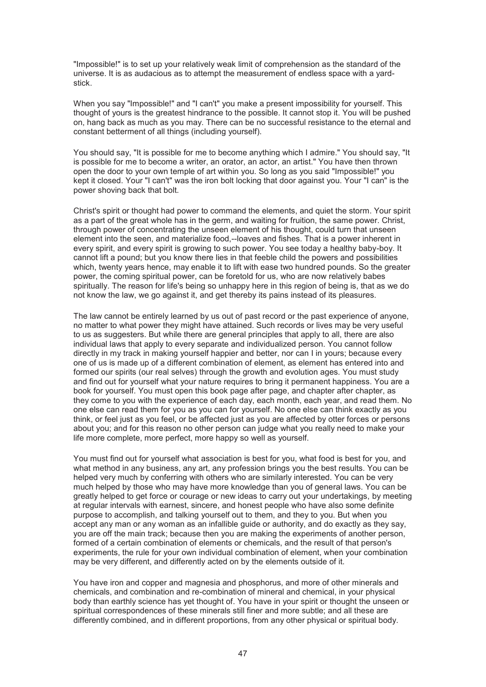"Impossible!" is to set up your relatively weak limit of comprehension as the standard of the universe. It is as audacious as to attempt the measurement of endless space with a yardstick.

When you say "Impossible!" and "I can't" you make a present impossibility for yourself. This thought of yours is the greatest hindrance to the possible. It cannot stop it. You will be pushed on, hang back as much as you may. There can be no successful resistance to the eternal and constant betterment of all things (including yourself).

You should say, "It is possible for me to become anything which I admire." You should say, "It is possible for me to become a writer, an orator, an actor, an artist." You have then thrown open the door to your own temple of art within you. So long as you said "Impossible!" you kept it closed. Your "I can't" was the iron bolt locking that door against you. Your "I can" is the power shoving back that bolt.

Christ's spirit or thought had power to command the elements, and quiet the storm. Your spirit as a part of the great whole has in the germ, and waiting for fruition, the same power. Christ, through power of concentrating the unseen element of his thought, could turn that unseen element into the seen, and materialize food,--loaves and fishes. That is a power inherent in every spirit, and every spirit is growing to such power. You see today a healthy baby-boy. It cannot lift a pound; but you know there lies in that feeble child the powers and possibilities which, twenty years hence, may enable it to lift with ease two hundred pounds. So the greater power, the coming spiritual power, can be foretold for us, who are now relatively babes spiritually. The reason for life's being so unhappy here in this region of being is, that as we do not know the law, we go against it, and get thereby its pains instead of its pleasures.

The law cannot be entirely learned by us out of past record or the past experience of anyone, no matter to what power they might have attained. Such records or lives may be very useful to us as suggesters. But while there are general principles that apply to all, there are also individual laws that apply to every separate and individualized person. You cannot follow directly in my track in making yourself happier and better, nor can I in yours; because every one of us is made up of a different combination of element, as element has entered into and formed our spirits (our real selves) through the growth and evolution ages. You must study and find out for yourself what your nature requires to bring it permanent happiness. You are a book for yourself. You must open this book page after page, and chapter after chapter, as they come to you with the experience of each day, each month, each year, and read them. No one else can read them for you as you can for yourself. No one else can think exactly as you think, or feel just as you feel, or be affected just as you are affected by otter forces or persons about you; and for this reason no other person can judge what you really need to make your life more complete, more perfect, more happy so well as yourself.

You must find out for yourself what association is best for you, what food is best for you, and what method in any business, any art, any profession brings you the best results. You can be helped very much by conferring with others who are similarly interested. You can be very much helped by those who may have more knowledge than you of general laws. You can be greatly helped to get force or courage or new ideas to carry out your undertakings, by meeting at regular intervals with earnest, sincere, and honest people who have also some definite purpose to accomplish, and talking yourself out to them, and they to you. But when you accept any man or any woman as an infallible guide or authority, and do exactly as they say, you are off the main track; because then you are making the experiments of another person, formed of a certain combination of elements or chemicals, and the result of that person's experiments, the rule for your own individual combination of element, when your combination may be very different, and differently acted on by the elements outside of it.

You have iron and copper and magnesia and phosphorus, and more of other minerals and chemicals, and combination and re-combination of mineral and chemical, in your physical body than earthly science has yet thought of. You have in your spirit or thought the unseen or spiritual correspondences of these minerals still finer and more subtle; and all these are differently combined, and in different proportions, from any other physical or spiritual body.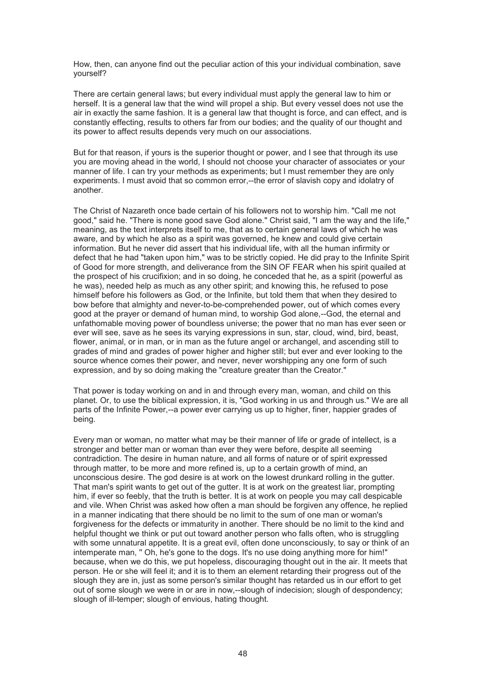How, then, can anyone find out the peculiar action of this your individual combination, save yourself?

There are certain general laws; but every individual must apply the general law to him or herself. It is a general law that the wind will propel a ship. But every vessel does not use the air in exactly the same fashion. It is a general law that thought is force, and can effect, and is constantly effecting, results to others far from our bodies; and the quality of our thought and its power to affect results depends very much on our associations.

But for that reason, if yours is the superior thought or power, and I see that through its use you are moving ahead in the world, I should not choose your character of associates or your manner of life. I can try your methods as experiments; but I must remember they are only experiments. I must avoid that so common error,--the error of slavish copy and idolatry of another.

The Christ of Nazareth once bade certain of his followers not to worship him. "Call me not good," said he. "There is none good save God alone." Christ said, "I am the way and the life," meaning, as the text interprets itself to me, that as to certain general laws of which he was aware, and by which he also as a spirit was governed, he knew and could give certain information. But he never did assert that his individual life, with all the human infirmity or defect that he had "taken upon him," was to be strictly copied. He did pray to the Infinite Spirit of Good for more strength, and deliverance from the SIN OF FEAR when his spirit quailed at the prospect of his crucifixion; and in so doing, he conceded that he, as a spirit (powerful as he was), needed help as much as any other spirit; and knowing this, he refused to pose himself before his followers as God, or the Infinite, but told them that when they desired to bow before that almighty and never-to-be-comprehended power, out of which comes every good at the prayer or demand of human mind, to worship God alone,--God, the eternal and unfathomable moving power of boundless universe; the power that no man has ever seen or ever will see, save as he sees its varying expressions in sun, star, cloud, wind, bird, beast, flower, animal, or in man, or in man as the future angel or archangel, and ascending still to grades of mind and grades of power higher and higher still; but ever and ever looking to the source whence comes their power, and never, never worshipping any one form of such expression, and by so doing making the "creature greater than the Creator."

That power is today working on and in and through every man, woman, and child on this planet. Or, to use the biblical expression, it is, "God working in us and through us." We are all parts of the Infinite Power,--a power ever carrying us up to higher, finer, happier grades of being.

Every man or woman, no matter what may be their manner of life or grade of intellect, is a stronger and better man or woman than ever they were before, despite all seeming contradiction. The desire in human nature, and all forms of nature or of spirit expressed through matter, to be more and more refined is, up to a certain growth of mind, an unconscious desire. The god desire is at work on the lowest drunkard rolling in the gutter. That man's spirit wants to get out of the gutter. It is at work on the greatest liar, prompting him, if ever so feebly, that the truth is better. It is at work on people you may call despicable and vile. When Christ was asked how often a man should be forgiven any offence, he replied in a manner indicating that there should be no limit to the sum of one man or woman's forgiveness for the defects or immaturity in another. There should be no limit to the kind and helpful thought we think or put out toward another person who falls often, who is struggling with some unnatural appetite. It is a great evil, often done unconsciously, to say or think of an intemperate man, '' Oh, he's gone to the dogs. It's no use doing anything more for him!" because, when we do this, we put hopeless, discouraging thought out in the air. It meets that person. He or she will feel it; and it is to them an element retarding their progress out of the slough they are in, just as some person's similar thought has retarded us in our effort to get out of some slough we were in or are in now,--slough of indecision; slough of despondency; slough of ill-temper; slough of envious, hating thought.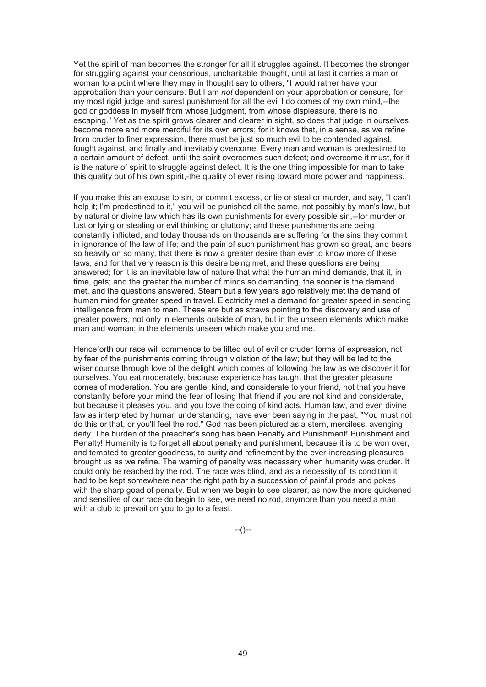Yet the spirit of man becomes the stronger for all it struggles against. It becomes the stronger for struggling against your censorious, uncharitable thought, until at last it carries a man or woman to a point where they may in thought say to others, "I would rather have your approbation than your censure. But I am *not* dependent on your approbation or censure, for my most rigid judge and surest punishment for all the evil I do comes of my own mind,--the god or goddess in myself from whose judgment, from whose displeasure, there is no escaping." Yet as the spirit grows clearer and clearer in sight, so does that judge in ourselves become more and more merciful for its own errors; for it knows that, in a sense, as we refine from cruder to finer expression, there must be just so much evil to be contended against, fought against, and finally and inevitably overcome. Every man and woman is predestined to a certain amount of defect, until the spirit overcomes such defect; and overcome it must, for it is the nature of spirit to struggle against defect. It is the one thing impossible for man to take this quality out of his own spirit,-the quality of ever rising toward more power and happiness.

If you make this an excuse to sin, or commit excess, or lie or steal or murder, and say, "I can't help it; I'm predestined to it," you will be punished all the same, not possibly by man's law, but by natural or divine law which has its own punishments for every possible sin,--for murder or lust or lying or stealing or evil thinking or gluttony; and these punishments are being constantly inflicted, and today thousands on thousands are suffering for the sins they commit in ignorance of the law of life; and the pain of such punishment has grown so great, and bears so heavily on so many, that there is now a greater desire than ever to know more of these laws; and for that very reason is this desire being met, and these questions are being answered; for it is an inevitable law of nature that what the human mind demands, that it, in time, gets; and the greater the number of minds so demanding, the sooner is the demand met, and the questions answered. Steam but a few years ago relatively met the demand of human mind for greater speed in travel. Electricity met a demand for greater speed in sending intelligence from man to man. These are but as straws pointing to the discovery and use of greater powers, not only in elements outside of man, but in the unseen elements which make man and woman; in the elements unseen which make you and me.

Henceforth our race will commence to be lifted out of evil or cruder forms of expression, not by fear of the punishments coming through violation of the law; but they will be led to the wiser course through love of the delight which comes of following the law as we discover it for ourselves. You eat moderately, because experience has taught that the greater pleasure comes of moderation. You are gentle, kind, and considerate to your friend, not that you have constantly before your mind the fear of losing that friend if you are not kind and considerate, but because it pleases you, and you love the doing of kind acts. Human law, and even divine law as interpreted by human understanding, have ever been saying in the past, "You must not do this or that, or you'll feel the rod." God has been pictured as a stern, merciless, avenging deity. The burden of the preacher's song has been Penalty and Punishment! Punishment and Penalty! Humanity is to forget all about penalty and punishment, because it is to be won over, and tempted to greater goodness, to purity and refinement by the ever-increasing pleasures brought us as we refine. The warning of penalty was necessary when humanity was cruder. It could only be reached by the rod. The race was blind, and as a necessity of its condition it had to be kept somewhere near the right path by a succession of painful prods and pokes with the sharp goad of penalty. But when we begin to see clearer, as now the more quickened and sensitive of our race do begin to see, we need no rod, anymore than you need a man with a club to prevail on you to go to a feast.

--()--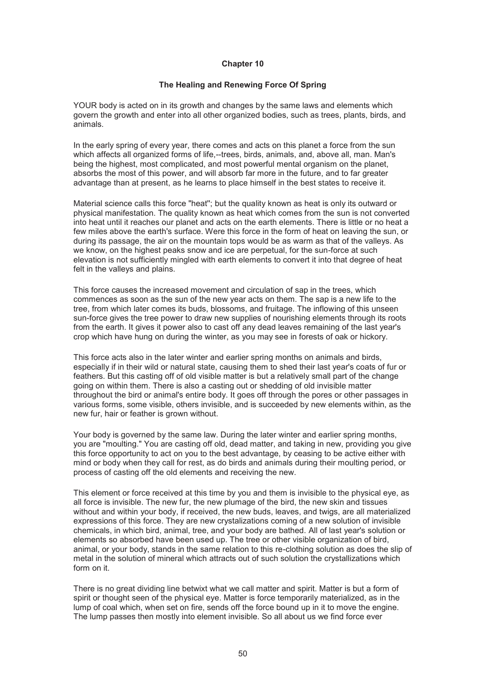# **The Healing and Renewing Force Of Spring**

YOUR body is acted on in its growth and changes by the same laws and elements which govern the growth and enter into all other organized bodies, such as trees, plants, birds, and animals.

In the early spring of every year, there comes and acts on this planet a force from the sun which affects all organized forms of life,--trees, birds, animals, and, above all, man. Man's being the highest, most complicated, and most powerful mental organism on the planet, absorbs the most of this power, and will absorb far more in the future, and to far greater advantage than at present, as he learns to place himself in the best states to receive it.

Material science calls this force "heat''; but the quality known as heat is only its outward or physical manifestation. The quality known as heat which comes from the sun is not converted into heat until it reaches our planet and acts on the earth elements. There is little or no heat a few miles above the earth's surface. Were this force in the form of heat on leaving the sun, or during its passage, the air on the mountain tops would be as warm as that of the valleys. As we know, on the highest peaks snow and ice are perpetual, for the sun-force at such elevation is not sufficiently mingled with earth elements to convert it into that degree of heat felt in the valleys and plains.

This force causes the increased movement and circulation of sap in the trees, which commences as soon as the sun of the new year acts on them. The sap is a new life to the tree, from which later comes its buds, blossoms, and fruitage. The inflowing of this unseen sun-force gives the tree power to draw new supplies of nourishing elements through its roots from the earth. It gives it power also to cast off any dead leaves remaining of the last year's crop which have hung on during the winter, as you may see in forests of oak or hickory.

This force acts also in the later winter and earlier spring months on animals and birds, especially if in their wild or natural state, causing them to shed their last year's coats of fur or feathers. But this casting off of old visible matter is but a relatively small part of the change going on within them. There is also a casting out or shedding of old invisible matter throughout the bird or animal's entire body. It goes off through the pores or other passages in various forms, some visible, others invisible, and is succeeded by new elements within, as the new fur, hair or feather is grown without.

Your body is governed by the same law. During the later winter and earlier spring months, you are "moulting." You are casting off old, dead matter, and taking in new, providing you give this force opportunity to act on you to the best advantage, by ceasing to be active either with mind or body when they call for rest, as do birds and animals during their moulting period, or process of casting off the old elements and receiving the new.

This element or force received at this time by you and them is invisible to the physical eye, as all force is invisible. The new fur, the new plumage of the bird, the new skin and tissues without and within your body, if received, the new buds, leaves, and twigs, are all materialized expressions of this force. They are new crystalizations coming of a new solution of invisible chemicals, in which bird, animal, tree, and your body are bathed. All of last year's solution or elements so absorbed have been used up. The tree or other visible organization of bird, animal, or your body, stands in the same relation to this re-clothing solution as does the slip of metal in the solution of mineral which attracts out of such solution the crystallizations which form on it.

There is no great dividing line betwixt what we call matter and spirit. Matter is but a form of spirit or thought seen of the physical eye. Matter is force temporarily materialized, as in the lump of coal which, when set on fire, sends off the force bound up in it to move the engine. The lump passes then mostly into element invisible. So all about us we find force ever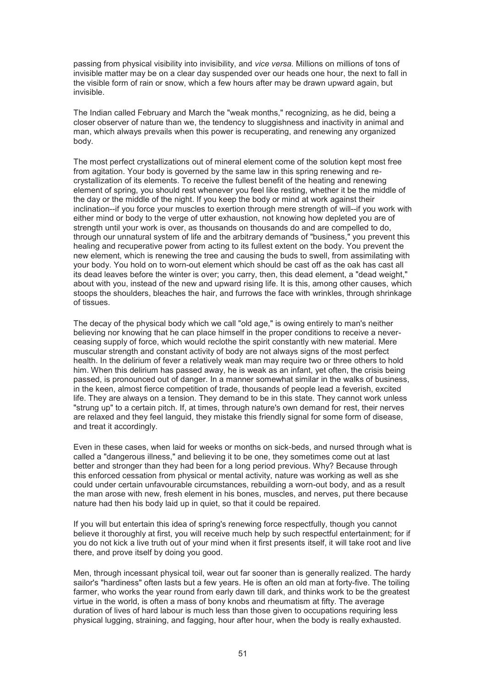passing from physical visibility into invisibility, and *vice versa.* Millions on millions of tons of invisible matter may be on a clear day suspended over our heads one hour, the next to fall in the visible form of rain or snow, which a few hours after may be drawn upward again, but invisible.

The Indian called February and March the "weak months," recognizing, as he did, being a closer observer of nature than we, the tendency to sluggishness and inactivity in animal and man, which always prevails when this power is recuperating, and renewing any organized body.

The most perfect crystallizations out of mineral element come of the solution kept most free from agitation. Your body is governed by the same law in this spring renewing and recrystallization of its elements. To receive the fullest benefit of the heating and renewing element of spring, you should rest whenever you feel like resting, whether it be the middle of the day or the middle of the night. If you keep the body or mind at work against their inclination--if you force your muscles to exertion through mere strength of will--if you work with either mind or body to the verge of utter exhaustion, not knowing how depleted you are of strength until your work is over, as thousands on thousands do and are compelled to do, through our unnatural system of life and the arbitrary demands of "business," you prevent this healing and recuperative power from acting to its fullest extent on the body. You prevent the new element, which is renewing the tree and causing the buds to swell, from assimilating with your body. You hold on to worn-out element which should be cast off as the oak has cast all its dead leaves before the winter is over; you carry, then, this dead element, a "dead weight," about with you, instead of the new and upward rising life. It is this, among other causes, which stoops the shoulders, bleaches the hair, and furrows the face with wrinkles, through shrinkage of tissues.

The decay of the physical body which we call "old age," is owing entirely to man's neither believing nor knowing that he can place himself in the proper conditions to receive a neverceasing supply of force, which would reclothe the spirit constantly with new material. Mere muscular strength and constant activity of body are not always signs of the most perfect health. In the delirium of fever a relatively weak man may require two or three others to hold him. When this delirium has passed away, he is weak as an infant, yet often, the crisis being passed, is pronounced out of danger. In a manner somewhat similar in the walks of business, in the keen, almost fierce competition of trade, thousands of people lead a feverish, excited life. They are always on a tension. They demand to be in this state. They cannot work unless "strung up" to a certain pitch. If, at times, through nature's own demand for rest, their nerves are relaxed and they feel languid, they mistake this friendly signal for some form of disease, and treat it accordingly.

Even in these cases, when laid for weeks or months on sick-beds, and nursed through what is called a "dangerous illness," and believing it to be one, they sometimes come out at last better and stronger than they had been for a long period previous. Why? Because through this enforced cessation from physical or mental activity, nature was working as well as she could under certain unfavourable circumstances, rebuilding a worn-out body, and as a result the man arose with new, fresh element in his bones, muscles, and nerves, put there because nature had then his body laid up in quiet, so that it could be repaired.

If you will but entertain this idea of spring's renewing force respectfully, though you cannot believe it thoroughly at first, you will receive much help by such respectful entertainment; for if you do not kick a live truth out of your mind when it first presents itself, it will take root and live there, and prove itself by doing you good.

Men, through incessant physical toil, wear out far sooner than is generally realized. The hardy sailor's "hardiness" often lasts but a few years. He is often an old man at forty-five. The toiling farmer, who works the year round from early dawn till dark, and thinks work to be the greatest virtue in the world, is often a mass of bony knobs and rheumatism at fifty. The average duration of lives of hard labour is much less than those given to occupations requiring less physical lugging, straining, and fagging, hour after hour, when the body is really exhausted.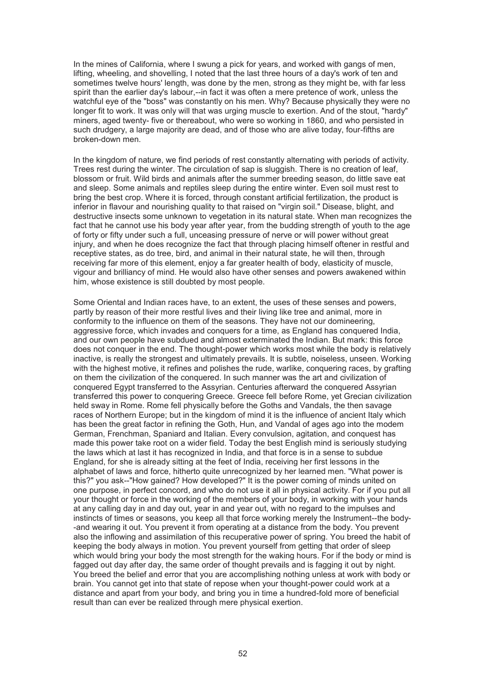In the mines of California, where I swung a pick for years, and worked with gangs of men, lifting, wheeling, and shovelling, I noted that the last three hours of a day's work of ten and sometimes twelve hours' length, was done by the men, strong as they might be, with far less spirit than the earlier day's labour,--in fact it was often a mere pretence of work, unless the watchful eye of the "boss" was constantly on his men. Why? Because physically they were no longer fit to work. It was only will that was urging muscle to exertion. And of the stout, "hardy" miners, aged twenty- five or thereabout, who were so working in 1860, and who persisted in such drudgery, a large majority are dead, and of those who are alive today, four-fifths are broken-down men.

In the kingdom of nature, we find periods of rest constantly alternating with periods of activity. Trees rest during the winter. The circulation of sap is sluggish. There is no creation of leaf, blossom or fruit. Wild birds and animals after the summer breeding season, do little save eat and sleep. Some animals and reptiles sleep during the entire winter. Even soil must rest to bring the best crop. Where it is forced, through constant artificial fertilization, the product is inferior in flavour and nourishing quality to that raised on "virgin soil." Disease, blight, and destructive insects some unknown to vegetation in its natural state. When man recognizes the fact that he cannot use his body year after year, from the budding strength of youth to the age of forty or fifty under such a full, unceasing pressure of nerve or will power without great injury, and when he does recognize the fact that through placing himself oftener in restful and receptive states, as do tree, bird, and animal in their natural state, he will then, through receiving far more of this element, enjoy a far greater health of body, elasticity of muscle, vigour and brilliancy of mind. He would also have other senses and powers awakened within him, whose existence is still doubted by most people.

Some Oriental and Indian races have, to an extent, the uses of these senses and powers, partly by reason of their more restful lives and their living like tree and animal, more in conformity to the influence on them of the seasons. They have not our domineering, aggressive force, which invades and conquers for a time, as England has conquered India, and our own people have subdued and almost exterminated the Indian. But mark: this force does not conquer in the end. The thought-power which works most while the body is relatively inactive, is really the strongest and ultimately prevails. It is subtle, noiseless, unseen. Working with the highest motive, it refines and polishes the rude, warlike, conquering races, by grafting on them the civilization of the conquered. In such manner was the art and civilization of conquered Egypt transferred to the Assyrian. Centuries afterward the conquered Assyrian transferred this power to conquering Greece. Greece fell before Rome, yet Grecian civilization held sway in Rome. Rome fell physically before the Goths and Vandals, the then savage races of Northern Europe; but in the kingdom of mind it is the influence of ancient Italy which has been the great factor in refining the Goth, Hun, and Vandal of ages ago into the modem German, Frenchman, Spaniard and Italian. Every convulsion, agitation, and conquest has made this power take root on a wider field. Today the best English mind is seriously studying the laws which at last it has recognized in India, and that force is in a sense to subdue England, for she is already sitting at the feet of India, receiving her first lessons in the alphabet of laws and force, hitherto quite unrecognized by her learned men. "What power is this?" you ask--"How gained? How developed?" It is the power coming of minds united on one purpose, in perfect concord, and who do not use it all in physical activity. For if you put all your thought or force in the working of the members of your body, in working with your hands at any calling day in and day out, year in and year out, with no regard to the impulses and instincts of times or seasons, you keep all that force working merely the Instrument--the body- -and wearing it out. You prevent it from operating at a distance from the body. You prevent also the inflowing and assimilation of this recuperative power of spring. You breed the habit of keeping the body always in motion. You prevent yourself from getting that order of sleep which would bring your body the most strength for the waking hours. For if the body or mind is fagged out day after day, the same order of thought prevails and is fagging it out by night. You breed the belief and error that you are accomplishing nothing unless at work with body or brain. You cannot get into that state of repose when your thought-power could work at a distance and apart from your body, and bring you in time a hundred-fold more of beneficial result than can ever be realized through mere physical exertion.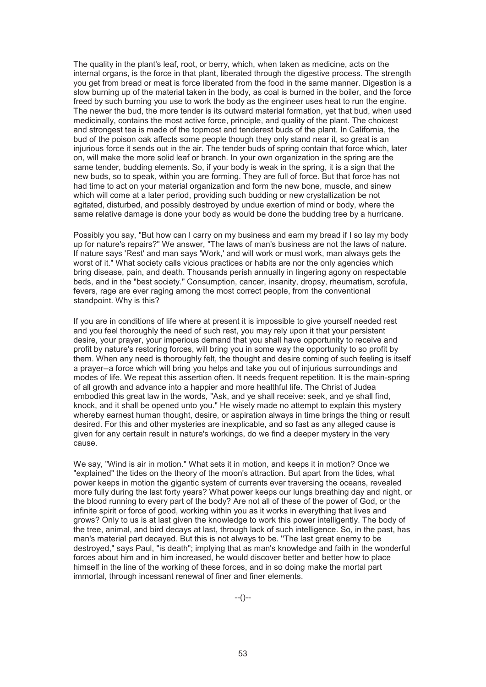The quality in the plant's leaf, root, or berry, which, when taken as medicine, acts on the internal organs, is the force in that plant, liberated through the digestive process. The strength you get from bread or meat is force liberated from the food in the same manner. Digestion is a slow burning up of the material taken in the body, as coal is burned in the boiler, and the force freed by such burning you use to work the body as the engineer uses heat to run the engine. The newer the bud, the more tender is its outward material formation, yet that bud, when used medicinally, contains the most active force, principle, and quality of the plant. The choicest and strongest tea is made of the topmost and tenderest buds of the plant. In California, the bud of the poison oak affects some people though they only stand near it, so great is an injurious force it sends out in the air. The tender buds of spring contain that force which, later on, will make the more solid leaf or branch. In your own organization in the spring are the same tender, budding elements. So, if your body is weak in the spring, it is a sign that the new buds, so to speak, within you are forming. They are full of force. But that force has not had time to act on your material organization and form the new bone, muscle, and sinew which will come at a later period, providing such budding or new crystallization be not agitated, disturbed, and possibly destroyed by undue exertion of mind or body, where the same relative damage is done your body as would be done the budding tree by a hurricane.

Possibly you say, "But how can I carry on my business and earn my bread if I so lay my body up for nature's repairs?" We answer, "The laws of man's business are not the laws of nature. If nature says 'Rest' and man says 'Work,' and will work or must work, man always gets the worst of it." What society calls vicious practices or habits are nor the only agencies which bring disease, pain, and death. Thousands perish annually in lingering agony on respectable beds, and in the "best society." Consumption, cancer, insanity, dropsy, rheumatism, scrofula, fevers, rage are ever raging among the most correct people, from the conventional standpoint. Why is this?

If you are in conditions of life where at present it is impossible to give yourself needed rest and you feel thoroughly the need of such rest, you may rely upon it that your persistent desire, your prayer, your imperious demand that you shall have opportunity to receive and profit by nature's restoring forces, will bring you in some way the opportunity to so profit by them. When any need is thoroughly felt, the thought and desire coming of such feeling is itself a prayer--a force which will bring you helps and take you out of injurious surroundings and modes of life. We repeat this assertion often. It needs frequent repetition. It is the main-spring of all growth and advance into a happier and more healthful life. The Christ of Judea embodied this great law in the words, "Ask, and ye shall receive: seek, and ye shall find, knock, and it shall be opened unto you." He wisely made no attempt to explain this mystery whereby earnest human thought, desire, or aspiration always in time brings the thing or result desired. For this and other mysteries are inexplicable, and so fast as any alleged cause is given for any certain result in nature's workings, do we find a deeper mystery in the very cause.

We say, "Wind is air in motion." What sets it in motion, and keeps it in motion? Once we "explained" the tides on the theory of the moon's attraction. But apart from the tides, what power keeps in motion the gigantic system of currents ever traversing the oceans, revealed more fully during the last forty years? What power keeps our lungs breathing day and night, or the blood running to every part of the body? Are not all of these of the power of God, or the infinite spirit or force of good, working within you as it works in everything that lives and grows? Only to us is at last given the knowledge to work this power intelligently. The body of the tree, animal, and bird decays at last, through lack of such intelligence. So, in the past, has man's material part decayed. But this is not always to be. ''The last great enemy to be destroyed," says Paul, "is death"; implying that as man's knowledge and faith in the wonderful forces about him and in him increased, he would discover better and better how to place himself in the line of the working of these forces, and in so doing make the mortal part immortal, through incessant renewal of finer and finer elements.

--()--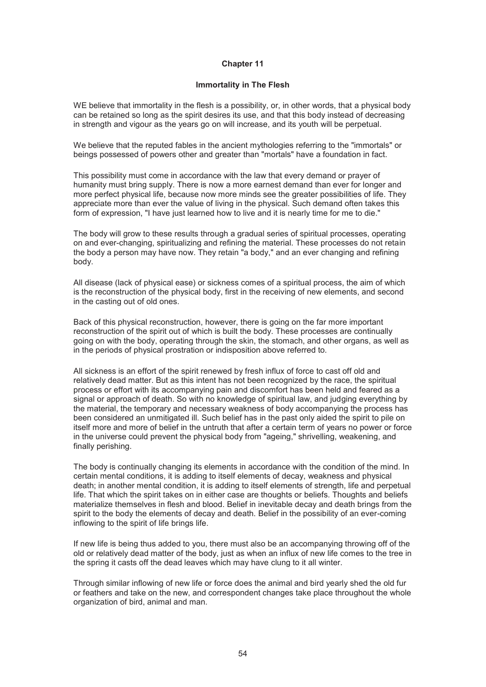## **Immortality in The Flesh**

WE believe that immortality in the flesh is a possibility, or, in other words, that a physical body can be retained so long as the spirit desires its use, and that this body instead of decreasing in strength and vigour as the years go on will increase, and its youth will be perpetual.

We believe that the reputed fables in the ancient mythologies referring to the "immortals" or beings possessed of powers other and greater than "mortals" have a foundation in fact.

This possibility must come in accordance with the law that every demand or prayer of humanity must bring supply. There is now a more earnest demand than ever for longer and more perfect physical life, because now more minds see the greater possibilities of life. They appreciate more than ever the value of living in the physical. Such demand often takes this form of expression, "I have just learned how to live and it is nearly time for me to die."

The body will grow to these results through a gradual series of spiritual processes, operating on and ever-changing, spiritualizing and refining the material. These processes do not retain the body a person may have now. They retain "a body," and an ever changing and refining body.

All disease (lack of physical ease) or sickness comes of a spiritual process, the aim of which is the reconstruction of the physical body, first in the receiving of new elements, and second in the casting out of old ones.

Back of this physical reconstruction, however, there is going on the far more important reconstruction of the spirit out of which is built the body. These processes are continually going on with the body, operating through the skin, the stomach, and other organs, as well as in the periods of physical prostration or indisposition above referred to.

All sickness is an effort of the spirit renewed by fresh influx of force to cast off old and relatively dead matter. But as this intent has not been recognized by the race, the spiritual process or effort with its accompanying pain and discomfort has been held and feared as a signal or approach of death. So with no knowledge of spiritual law, and judging everything by the material, the temporary and necessary weakness of body accompanying the process has been considered an unmitigated ill. Such belief has in the past only aided the spirit to pile on itself more and more of belief in the untruth that after a certain term of years no power or force in the universe could prevent the physical body from "ageing," shrivelling, weakening, and finally perishing.

The body is continually changing its elements in accordance with the condition of the mind. In certain mental conditions, it is adding to itself elements of decay, weakness and physical death; in another mental condition, it is adding to itself elements of strength, life and perpetual life. That which the spirit takes on in either case are thoughts or beliefs. Thoughts and beliefs materialize themselves in flesh and blood. Belief in inevitable decay and death brings from the spirit to the body the elements of decay and death. Belief in the possibility of an ever-coming inflowing to the spirit of life brings life.

If new life is being thus added to you, there must also be an accompanying throwing off of the old or relatively dead matter of the body, just as when an influx of new life comes to the tree in the spring it casts off the dead leaves which may have clung to it all winter.

Through similar inflowing of new life or force does the animal and bird yearly shed the old fur or feathers and take on the new, and correspondent changes take place throughout the whole organization of bird, animal and man.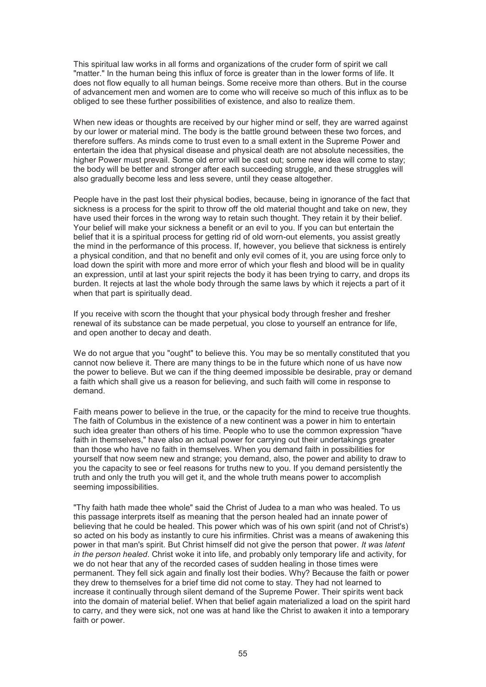This spiritual law works in all forms and organizations of the cruder form of spirit we call "matter." In the human being this influx of force is greater than in the lower forms of life. It does not flow equally to all human beings. Some receive more than others. But in the course of advancement men and women are to come who will receive so much of this influx as to be obliged to see these further possibilities of existence, and also to realize them.

When new ideas or thoughts are received by our higher mind or self, they are warred against by our lower or material mind. The body is the battle ground between these two forces, and therefore suffers. As minds come to trust even to a small extent in the Supreme Power and entertain the idea that physical disease and physical death are not absolute necessities, the higher Power must prevail. Some old error will be cast out; some new idea will come to stay; the body will be better and stronger after each succeeding struggle, and these struggles will also gradually become less and less severe, until they cease altogether.

People have in the past lost their physical bodies, because, being in ignorance of the fact that sickness is a process for the spirit to throw off the old material thought and take on new, they have used their forces in the wrong way to retain such thought. They retain it by their belief. Your belief will make your sickness a benefit or an evil to you. If you can but entertain the belief that it is a spiritual process for getting rid of old worn-out elements, you assist greatly the mind in the performance of this process. If, however, you believe that sickness is entirely a physical condition, and that no benefit and only evil comes of it, you are using force only to load down the spirit with more and more error of which your flesh and blood will be in quality an expression, until at last your spirit rejects the body it has been trying to carry, and drops its burden. It rejects at last the whole body through the same laws by which it rejects a part of it when that part is spiritually dead.

If you receive with scorn the thought that your physical body through fresher and fresher renewal of its substance can be made perpetual, you close to yourself an entrance for life, and open another to decay and death.

We do not arque that you "ought" to believe this. You may be so mentally constituted that you cannot now believe it. There are many things to be in the future which none of us have now the power to believe. But we can if the thing deemed impossible be desirable, pray or demand a faith which shall give us a reason for believing, and such faith will come in response to demand.

Faith means power to believe in the true, or the capacity for the mind to receive true thoughts. The faith of Columbus in the existence of a new continent was a power in him to entertain such idea greater than others of his time. People who to use the common expression "have faith in themselves," have also an actual power for carrying out their undertakings greater than those who have no faith in themselves. When you demand faith in possibilities for yourself that now seem new and strange; you demand, also, the power and ability to draw to you the capacity to see or feel reasons for truths new to you. If you demand persistently the truth and only the truth you will get it, and the whole truth means power to accomplish seeming impossibilities.

"Thy faith hath made thee whole" said the Christ of Judea to a man who was healed. To us this passage interprets itself as meaning that the person healed had an innate power of believing that he could be healed. This power which was of his own spirit (and not of Christ's) so acted on his body as instantly to cure his infirmities. Christ was a means of awakening this power in that man's spirit. But Christ himself did not give the person that power. *It was latent in the person healed*. Christ woke it into life, and probably only temporary life and activity, for we do not hear that any of the recorded cases of sudden healing in those times were permanent. They fell sick again and finally lost their bodies. Why? Because the faith or power they drew to themselves for a brief time did not come to stay. They had not learned to increase it continually through silent demand of the Supreme Power. Their spirits went back into the domain of material belief. When that belief again materialized a load on the spirit hard to carry, and they were sick, not one was at hand like the Christ to awaken it into a temporary faith or power.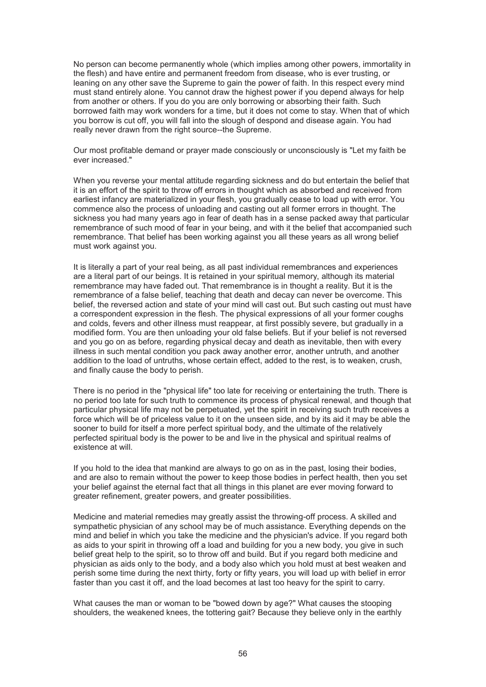No person can become permanently whole (which implies among other powers, immortality in the flesh) and have entire and permanent freedom from disease, who is ever trusting, or leaning on any other save the Supreme to gain the power of faith. In this respect every mind must stand entirely alone. You cannot draw the highest power if you depend always for help from another or others. If you do you are only borrowing or absorbing their faith. Such borrowed faith may work wonders for a time, but it does not come to stay. When that of which you borrow is cut off, you will fall into the slough of despond and disease again. You had really never drawn from the right source--the Supreme.

Our most profitable demand or prayer made consciously or unconsciously is "Let my faith be ever increased."

When you reverse your mental attitude regarding sickness and do but entertain the belief that it is an effort of the spirit to throw off errors in thought which as absorbed and received from earliest infancy are materialized in your flesh, you gradually cease to load up with error. You commence also the process of unloading and casting out all former errors in thought. The sickness you had many years ago in fear of death has in a sense packed away that particular remembrance of such mood of fear in your being, and with it the belief that accompanied such remembrance. That belief has been working against you all these years as all wrong belief must work against you.

It is literally a part of your real being, as all past individual remembrances and experiences are a literal part of our beings. It is retained in your spiritual memory, although its material remembrance may have faded out. That remembrance is in thought a reality. But it is the remembrance of a false belief, teaching that death and decay can never be overcome. This belief, the reversed action and state of your mind will cast out. But such casting out must have a correspondent expression in the flesh. The physical expressions of all your former coughs and colds, fevers and other illness must reappear, at first possibly severe, but gradually in a modified form. You are then unloading your old false beliefs. But if your belief is not reversed and you go on as before, regarding physical decay and death as inevitable, then with every illness in such mental condition you pack away another error, another untruth, and another addition to the load of untruths, whose certain effect, added to the rest, is to weaken, crush, and finally cause the body to perish.

There is no period in the "physical life" too late for receiving or entertaining the truth. There is no period too late for such truth to commence its process of physical renewal, and though that particular physical life may not be perpetuated, yet the spirit in receiving such truth receives a force which will be of priceless value to it on the unseen side, and by its aid it may be able the sooner to build for itself a more perfect spiritual body, and the ultimate of the relatively perfected spiritual body is the power to be and live in the physical and spiritual realms of existence at will.

If you hold to the idea that mankind are always to go on as in the past, losing their bodies, and are also to remain without the power to keep those bodies in perfect health, then you set your belief against the eternal fact that all things in this planet are ever moving forward to greater refinement, greater powers, and greater possibilities.

Medicine and material remedies may greatly assist the throwing-off process. A skilled and sympathetic physician of any school may be of much assistance. Everything depends on the mind and belief in which you take the medicine and the physician's advice. If you regard both as aids to your spirit in throwing off a load and building for you a new body, you give in such belief great help to the spirit, so to throw off and build. But if you regard both medicine and physician as aids only to the body, and a body also which you hold must at best weaken and perish some time during the next thirty, forty or fifty years, you will load up with belief in error faster than you cast it off, and the load becomes at last too heavy for the spirit to carry.

What causes the man or woman to be "bowed down by age?" What causes the stooping shoulders, the weakened knees, the tottering gait? Because they believe only in the earthly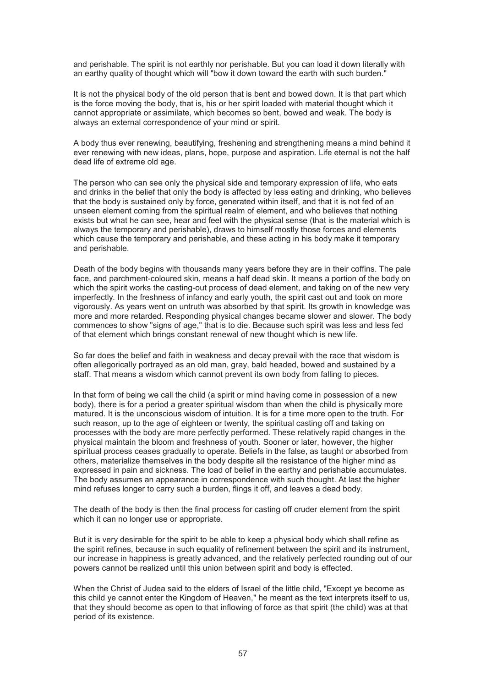and perishable. The spirit is not earthly nor perishable. But you can load it down literally with an earthy quality of thought which will "bow it down toward the earth with such burden."

It is not the physical body of the old person that is bent and bowed down. It is that part which is the force moving the body, that is, his or her spirit loaded with material thought which it cannot appropriate or assimilate, which becomes so bent, bowed and weak. The body is always an external correspondence of your mind or spirit.

A body thus ever renewing, beautifying, freshening and strengthening means a mind behind it ever renewing with new ideas, plans, hope, purpose and aspiration. Life eternal is not the half dead life of extreme old age.

The person who can see only the physical side and temporary expression of life, who eats and drinks in the belief that only the body is affected by less eating and drinking, who believes that the body is sustained only by force, generated within itself, and that it is not fed of an unseen element coming from the spiritual realm of element, and who believes that nothing exists but what he can see, hear and feel with the physical sense (that is the material which is always the temporary and perishable), draws to himself mostly those forces and elements which cause the temporary and perishable, and these acting in his body make it temporary and perishable.

Death of the body begins with thousands many years before they are in their coffins. The pale face, and parchment-coloured skin, means a half dead skin. It means a portion of the body on which the spirit works the casting-out process of dead element, and taking on of the new very imperfectly. In the freshness of infancy and early youth, the spirit cast out and took on more vigorously. As years went on untruth was absorbed by that spirit. Its growth in knowledge was more and more retarded. Responding physical changes became slower and slower. The body commences to show "signs of age," that is to die. Because such spirit was less and less fed of that element which brings constant renewal of new thought which is new life.

So far does the belief and faith in weakness and decay prevail with the race that wisdom is often allegorically portrayed as an old man, gray, bald headed, bowed and sustained by a staff. That means a wisdom which cannot prevent its own body from falling to pieces.

In that form of being we call the child (a spirit or mind having come in possession of a new body), there is for a period a greater spiritual wisdom than when the child is physically more matured. It is the unconscious wisdom of intuition. It is for a time more open to the truth. For such reason, up to the age of eighteen or twenty, the spiritual casting off and taking on processes with the body are more perfectly performed. These relatively rapid changes in the physical maintain the bloom and freshness of youth. Sooner or later, however, the higher spiritual process ceases gradually to operate. Beliefs in the false, as taught or absorbed from others, materialize themselves in the body despite all the resistance of the higher mind as expressed in pain and sickness. The load of belief in the earthy and perishable accumulates. The body assumes an appearance in correspondence with such thought. At last the higher mind refuses longer to carry such a burden, flings it off, and leaves a dead body.

The death of the body is then the final process for casting off cruder element from the spirit which it can no longer use or appropriate.

But it is very desirable for the spirit to be able to keep a physical body which shall refine as the spirit refines, because in such equality of refinement between the spirit and its instrument, our increase in happiness is greatly advanced, and the relatively perfected rounding out of our powers cannot be realized until this union between spirit and body is effected.

When the Christ of Judea said to the elders of Israel of the little child. "Except ye become as this child ye cannot enter the Kingdom of Heaven," he meant as the text interprets itself to us, that they should become as open to that inflowing of force as that spirit (the child) was at that period of its existence.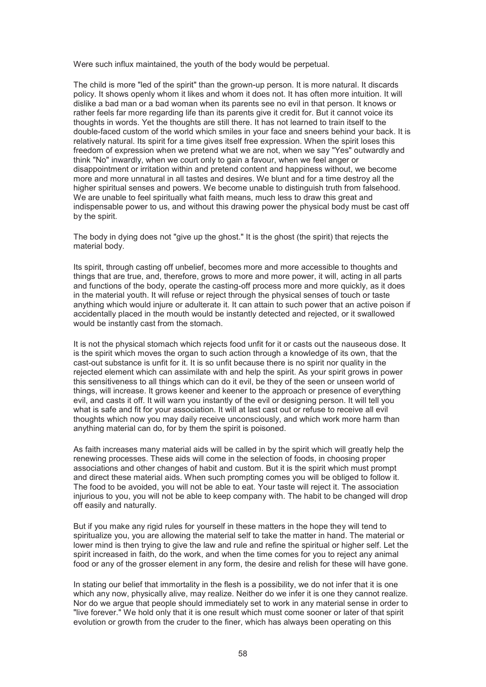Were such influx maintained, the youth of the body would be perpetual.

The child is more "led of the spirit" than the grown-up person. It is more natural. It discards policy. It shows openly whom it likes and whom it does not. It has often more intuition. It will dislike a bad man or a bad woman when its parents see no evil in that person. It knows or rather feels far more regarding life than its parents give it credit for. But it cannot voice its thoughts in words. Yet the thoughts are still there. It has not learned to train itself to the double-faced custom of the world which smiles in your face and sneers behind your back. It is relatively natural. Its spirit for a time gives itself free expression. When the spirit loses this freedom of expression when we pretend what we are not, when we say "Yes" outwardly and think "No" inwardly, when we court only to gain a favour, when we feel anger or disappointment or irritation within and pretend content and happiness without, we become more and more unnatural in all tastes and desires. We blunt and for a time destroy all the higher spiritual senses and powers. We become unable to distinguish truth from falsehood. We are unable to feel spiritually what faith means, much less to draw this great and indispensable power to us, and without this drawing power the physical body must be cast off by the spirit.

The body in dying does not "give up the ghost." It is the ghost (the spirit) that rejects the material body.

Its spirit, through casting off unbelief, becomes more and more accessible to thoughts and things that are true, and, therefore, grows to more and more power, it will, acting in all parts and functions of the body, operate the casting-off process more and more quickly, as it does in the material youth. It will refuse or reject through the physical senses of touch or taste anything which would injure or adulterate it. It can attain to such power that an active poison if accidentally placed in the mouth would be instantly detected and rejected, or it swallowed would be instantly cast from the stomach.

It is not the physical stomach which rejects food unfit for it or casts out the nauseous dose. It is the spirit which moves the organ to such action through a knowledge of its own, that the cast-out substance is unfit for it. It is so unfit because there is no spirit nor quality in the rejected element which can assimilate with and help the spirit. As your spirit grows in power this sensitiveness to all things which can do it evil, be they of the seen or unseen world of things, will increase. It grows keener and keener to the approach or presence of everything evil, and casts it off. It will warn you instantly of the evil or designing person. It will tell you what is safe and fit for your association. It will at last cast out or refuse to receive all evil thoughts which now you may daily receive unconsciously, and which work more harm than anything material can do, for by them the spirit is poisoned.

As faith increases many material aids will be called in by the spirit which will greatly help the renewing processes. These aids will come in the selection of foods, in choosing proper associations and other changes of habit and custom. But it is the spirit which must prompt and direct these material aids. When such prompting comes you will be obliged to follow it. The food to be avoided, you will not be able to eat. Your taste will reject it. The association injurious to you, you will not be able to keep company with. The habit to be changed will drop off easily and naturally.

But if you make any rigid rules for yourself in these matters in the hope they will tend to spiritualize you, you are allowing the material self to take the matter in hand. The material or lower mind is then trying to give the law and rule and refine the spiritual or higher self. Let the spirit increased in faith, do the work, and when the time comes for you to reject any animal food or any of the grosser element in any form, the desire and relish for these will have gone.

In stating our belief that immortality in the flesh is a possibility, we do not infer that it is one which any now, physically alive, may realize. Neither do we infer it is one they cannot realize. Nor do we argue that people should immediately set to work in any material sense in order to "live forever." We hold only that it is one result which must come sooner or later of that spirit evolution or growth from the cruder to the finer, which has always been operating on this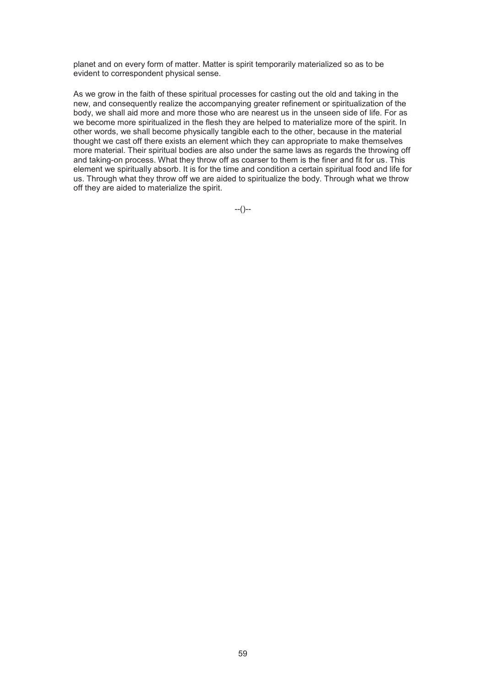planet and on every form of matter. Matter is spirit temporarily materialized so as to be evident to correspondent physical sense.

As we grow in the faith of these spiritual processes for casting out the old and taking in the new, and consequently realize the accompanying greater refinement or spiritualization of the body, we shall aid more and more those who are nearest us in the unseen side of life. For as we become more spiritualized in the flesh they are helped to materialize more of the spirit. In other words, we shall become physically tangible each to the other, because in the material thought we cast off there exists an element which they can appropriate to make themselves more material. Their spiritual bodies are also under the same laws as regards the throwing off and taking-on process. What they throw off as coarser to them is the finer and fit for us. This element we spiritually absorb. It is for the time and condition a certain spiritual food and life for us. Through what they throw off we are aided to spiritualize the body. Through what we throw off they are aided to materialize the spirit.

--()--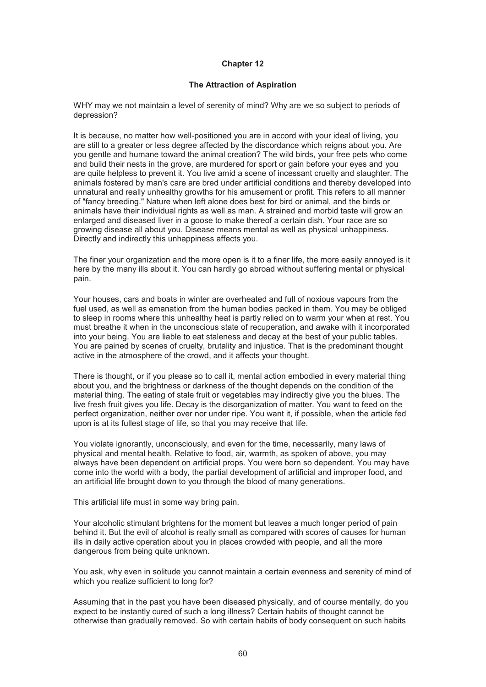## **The Attraction of Aspiration**

WHY may we not maintain a level of serenity of mind? Why are we so subject to periods of depression?

It is because, no matter how well-positioned you are in accord with your ideal of living, you are still to a greater or less degree affected by the discordance which reigns about you. Are you gentle and humane toward the animal creation? The wild birds, your free pets who come and build their nests in the grove, are murdered for sport or gain before your eyes and you are quite helpless to prevent it. You live amid a scene of incessant cruelty and slaughter. The animals fostered by man's care are bred under artificial conditions and thereby developed into unnatural and really unhealthy growths for his amusement or profit. This refers to all manner of "fancy breeding." Nature when left alone does best for bird or animal, and the birds or animals have their individual rights as well as man. A strained and morbid taste will grow an enlarged and diseased liver in a goose to make thereof a certain dish. Your race are so growing disease all about you. Disease means mental as well as physical unhappiness. Directly and indirectly this unhappiness affects you.

The finer your organization and the more open is it to a finer life, the more easily annoyed is it here by the many ills about it. You can hardly go abroad without suffering mental or physical pain.

Your houses, cars and boats in winter are overheated and full of noxious vapours from the fuel used, as well as emanation from the human bodies packed in them. You may be obliged to sleep in rooms where this unhealthy heat is partly relied on to warm your when at rest. You must breathe it when in the unconscious state of recuperation, and awake with it incorporated into your being. You are liable to eat staleness and decay at the best of your public tables. You are pained by scenes of cruelty, brutality and injustice. That is the predominant thought active in the atmosphere of the crowd, and it affects your thought.

There is thought, or if you please so to call it, mental action embodied in every material thing about you, and the brightness or darkness of the thought depends on the condition of the material thing. The eating of stale fruit or vegetables may indirectly give you the blues. The live fresh fruit gives you life. Decay is the disorganization of matter. You want to feed on the perfect organization, neither over nor under ripe. You want it, if possible, when the article fed upon is at its fullest stage of life, so that you may receive that life.

You violate ignorantly, unconsciously, and even for the time, necessarily, many laws of physical and mental health. Relative to food, air, warmth, as spoken of above, you may always have been dependent on artificial props. You were born so dependent. You may have come into the world with a body, the partial development of artificial and improper food, and an artificial life brought down to you through the blood of many generations.

This artificial life must in some way bring pain.

Your alcoholic stimulant brightens for the moment but leaves a much longer period of pain behind it. But the evil of alcohol is really small as compared with scores of causes for human ills in daily active operation about you in places crowded with people, and all the more dangerous from being quite unknown.

You ask, why even in solitude you cannot maintain a certain evenness and serenity of mind of which you realize sufficient to long for?

Assuming that in the past you have been diseased physically, and of course mentally, do you expect to be instantly cured of such a long illness? Certain habits of thought cannot be otherwise than gradually removed. So with certain habits of body consequent on such habits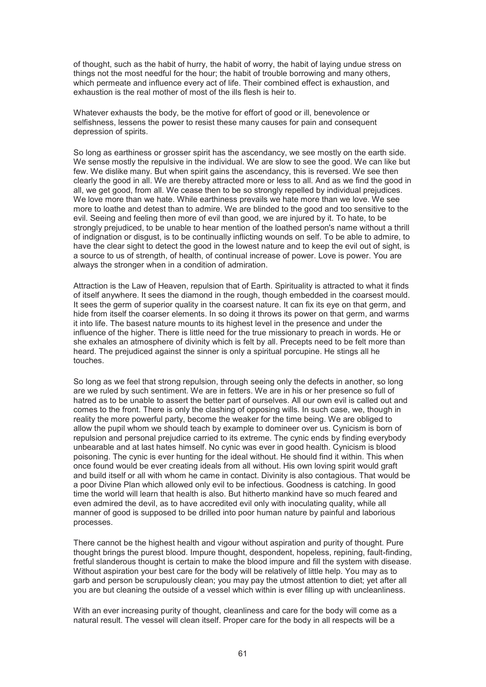of thought, such as the habit of hurry, the habit of worry, the habit of laying undue stress on things not the most needful for the hour; the habit of trouble borrowing and many others, which permeate and influence every act of life. Their combined effect is exhaustion, and exhaustion is the real mother of most of the ills flesh is heir to.

Whatever exhausts the body, be the motive for effort of good or ill, benevolence or selfishness, lessens the power to resist these many causes for pain and consequent depression of spirits.

So long as earthiness or grosser spirit has the ascendancy, we see mostly on the earth side. We sense mostly the repulsive in the individual. We are slow to see the good. We can like but few. We dislike many. But when spirit gains the ascendancy, this is reversed. We see then clearly the good in all. We are thereby attracted more or less to all. And as we find the good in all, we get good, from all. We cease then to be so strongly repelled by individual prejudices. We love more than we hate. While earthiness prevails we hate more than we love. We see more to loathe and detest than to admire. We are blinded to the good and too sensitive to the evil. Seeing and feeling then more of evil than good, we are injured by it. To hate, to be strongly prejudiced, to be unable to hear mention of the loathed person's name without a thrill of indignation or disgust, is to be continually inflicting wounds on self. To be able to admire, to have the clear sight to detect the good in the lowest nature and to keep the evil out of sight, is a source to us of strength, of health, of continual increase of power. Love is power. You are always the stronger when in a condition of admiration.

Attraction is the Law of Heaven, repulsion that of Earth. Spirituality is attracted to what it finds of itself anywhere. It sees the diamond in the rough, though embedded in the coarsest mould. It sees the germ of superior quality in the coarsest nature. It can fix its eye on that germ, and hide from itself the coarser elements. In so doing it throws its power on that germ, and warms it into life. The basest nature mounts to its highest level in the presence and under the influence of the higher. There is little need for the true missionary to preach in words. He or she exhales an atmosphere of divinity which is felt by all. Precepts need to be felt more than heard. The prejudiced against the sinner is only a spiritual porcupine. He stings all he touches.

So long as we feel that strong repulsion, through seeing only the defects in another, so long are we ruled by such sentiment. We are in fetters. We are in his or her presence so full of hatred as to be unable to assert the better part of ourselves. All our own evil is called out and comes to the front. There is only the clashing of opposing wills. In such case, we, though in reality the more powerful party, become the weaker for the time being. We are obliged to allow the pupil whom we should teach by example to domineer over us. Cynicism is born of repulsion and personal prejudice carried to its extreme. The cynic ends by finding everybody unbearable and at last hates himself. No cynic was ever in good health. Cynicism is blood poisoning. The cynic is ever hunting for the ideal without. He should find it within. This when once found would be ever creating ideals from all without. His own loving spirit would graft and build itself or all with whom he came in contact. Divinity is also contagious. That would be a poor Divine Plan which allowed only evil to be infectious. Goodness is catching. In good time the world will learn that health is also. But hitherto mankind have so much feared and even admired the devil, as to have accredited evil only with inoculating quality, while all manner of good is supposed to be drilled into poor human nature by painful and laborious processes.

There cannot be the highest health and vigour without aspiration and purity of thought. Pure thought brings the purest blood. Impure thought, despondent, hopeless, repining, fault-finding, fretful slanderous thought is certain to make the blood impure and fill the system with disease. Without aspiration your best care for the body will be relatively of little help. You may as to garb and person be scrupulously clean; you may pay the utmost attention to diet; yet after all you are but cleaning the outside of a vessel which within is ever filling up with uncleanliness.

With an ever increasing purity of thought, cleanliness and care for the body will come as a natural result. The vessel will clean itself. Proper care for the body in all respects will be a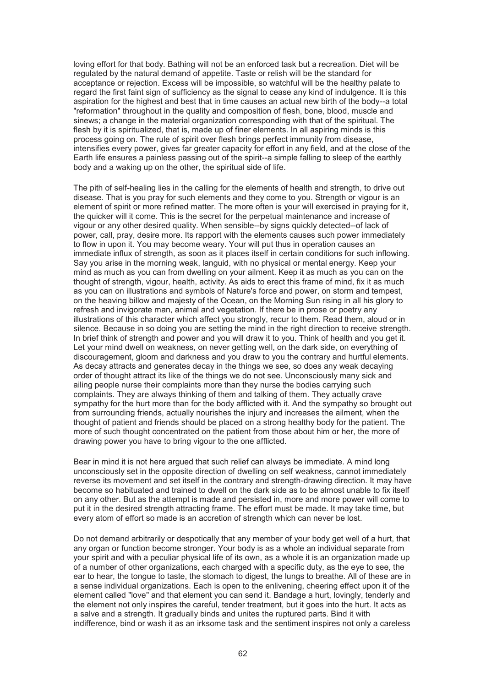loving effort for that body. Bathing will not be an enforced task but a recreation. Diet will be regulated by the natural demand of appetite. Taste or relish will be the standard for acceptance or rejection. Excess will be impossible, so watchful will be the healthy palate to regard the first faint sign of sufficiency as the signal to cease any kind of indulgence. It is this aspiration for the highest and best that in time causes an actual new birth of the body--a total "reformation" throughout in the quality and composition of flesh, bone, blood, muscle and sinews; a change in the material organization corresponding with that of the spiritual. The flesh by it is spiritualized, that is, made up of finer elements. In all aspiring minds is this process going on. The rule of spirit over flesh brings perfect immunity from disease, intensifies every power, gives far greater capacity for effort in any field, and at the close of the Earth life ensures a painless passing out of the spirit--a simple falling to sleep of the earthly body and a waking up on the other, the spiritual side of life.

The pith of self-healing lies in the calling for the elements of health and strength, to drive out disease. That is you pray for such elements and they come to you. Strength or vigour is an element of spirit or more refined matter. The more often is your will exercised in praying for it, the quicker will it come. This is the secret for the perpetual maintenance and increase of vigour or any other desired quality. When sensible--by signs quickly detected--of lack of power, call, pray, desire more. Its rapport with the elements causes such power immediately to flow in upon it. You may become weary. Your will put thus in operation causes an immediate influx of strength, as soon as it places itself in certain conditions for such inflowing. Say you arise in the morning weak, languid, with no physical or mental energy. Keep your mind as much as you can from dwelling on your ailment. Keep it as much as you can on the thought of strength, vigour, health, activity. As aids to erect this frame of mind, fix it as much as you can on illustrations and symbols of Nature's force and power, on storm and tempest, on the heaving billow and majesty of the Ocean, on the Morning Sun rising in all his glory to refresh and invigorate man, animal and vegetation. If there be in prose or poetry any illustrations of this character which affect you strongly, recur to them. Read them, aloud or in silence. Because in so doing you are setting the mind in the right direction to receive strength. In brief think of strength and power and you will draw it to you. Think of health and you get it. Let your mind dwell on weakness, on never getting well, on the dark side, on everything of discouragement, gloom and darkness and you draw to you the contrary and hurtful elements. As decay attracts and generates decay in the things we see, so does any weak decaying order of thought attract its like of the things we do not see. Unconsciously many sick and ailing people nurse their complaints more than they nurse the bodies carrying such complaints. They are always thinking of them and talking of them. They actually crave sympathy for the hurt more than for the body afflicted with it. And the sympathy so brought out from surrounding friends, actually nourishes the injury and increases the ailment, when the thought of patient and friends should be placed on a strong healthy body for the patient. The more of such thought concentrated on the patient from those about him or her, the more of drawing power you have to bring vigour to the one afflicted.

Bear in mind it is not here argued that such relief can always be immediate. A mind long unconsciously set in the opposite direction of dwelling on self weakness, cannot immediately reverse its movement and set itself in the contrary and strength-drawing direction. It may have become so habituated and trained to dwell on the dark side as to be almost unable to fix itself on any other. But as the attempt is made and persisted in, more and more power will come to put it in the desired strength attracting frame. The effort must be made. It may take time, but every atom of effort so made is an accretion of strength which can never be lost.

Do not demand arbitrarily or despotically that any member of your body get well of a hurt, that any organ or function become stronger. Your body is as a whole an individual separate from your spirit and with a peculiar physical life of its own, as a whole it is an organization made up of a number of other organizations, each charged with a specific duty, as the eye to see, the ear to hear, the tongue to taste, the stomach to digest, the lungs to breathe. All of these are in a sense individual organizations. Each is open to the enlivening, cheering effect upon it of the element called "love" and that element you can send it. Bandage a hurt, lovingly, tenderly and the element not only inspires the careful, tender treatment, but it goes into the hurt. It acts as a salve and a strength. It gradually binds and unites the ruptured parts. Bind it with indifference, bind or wash it as an irksome task and the sentiment inspires not only a careless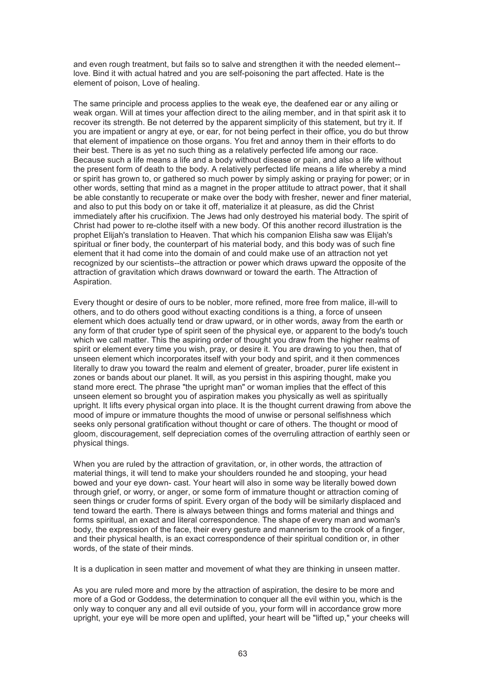and even rough treatment, but fails so to salve and strengthen it with the needed element- love. Bind it with actual hatred and you are self-poisoning the part affected. Hate is the element of poison, Love of healing.

The same principle and process applies to the weak eye, the deafened ear or any ailing or weak organ. Will at times your affection direct to the ailing member, and in that spirit ask it to recover its strength. Be not deterred by the apparent simplicity of this statement, but try it. If you are impatient or angry at eye, or ear, for not being perfect in their office, you do but throw that element of impatience on those organs. You fret and annoy them in their efforts to do their best. There is as yet no such thing as a relatively perfected life among our race. Because such a life means a life and a body without disease or pain, and also a life without the present form of death to the body. A relatively perfected life means a life whereby a mind or spirit has grown to, or gathered so much power by simply asking or praying for power; or in other words, setting that mind as a magnet in the proper attitude to attract power, that it shall be able constantly to recuperate or make over the body with fresher, newer and finer material, and also to put this body on or take it off, materialize it at pleasure, as did the Christ immediately after his crucifixion. The Jews had only destroyed his material body. The spirit of Christ had power to re-clothe itself with a new body. Of this another record illustration is the prophet Elijah's translation to Heaven. That which his companion Elisha saw was Elijah's spiritual or finer body, the counterpart of his material body, and this body was of such fine element that it had come into the domain of and could make use of an attraction not yet recognized by our scientists--the attraction or power which draws upward the opposite of the attraction of gravitation which draws downward or toward the earth. The Attraction of Aspiration.

Every thought or desire of ours to be nobler, more refined, more free from malice, ill-will to others, and to do others good without exacting conditions is a thing, a force of unseen element which does actually tend or draw upward, or in other words, away from the earth or any form of that cruder type of spirit seen of the physical eye, or apparent to the body's touch which we call matter. This the aspiring order of thought you draw from the higher realms of spirit or element every time you wish, pray, or desire it. You are drawing to you then, that of unseen element which incorporates itself with your body and spirit, and it then commences literally to draw you toward the realm and element of greater, broader, purer life existent in zones or bands about our planet. It will, as you persist in this aspiring thought, make you stand more erect. The phrase "the upright man" or woman implies that the effect of this unseen element so brought you of aspiration makes you physically as well as spiritually upright. It lifts every physical organ into place. It is the thought current drawing from above the mood of impure or immature thoughts the mood of unwise or personal selfishness which seeks only personal gratification without thought or care of others. The thought or mood of gloom, discouragement, self depreciation comes of the overruling attraction of earthly seen or physical things.

When you are ruled by the attraction of gravitation, or, in other words, the attraction of material things, it will tend to make your shoulders rounded he and stooping, your head bowed and your eye down- cast. Your heart will also in some way be literally bowed down through grief, or worry, or anger, or some form of immature thought or attraction coming of seen things or cruder forms of spirit. Every organ of the body will be similarly displaced and tend toward the earth. There is always between things and forms material and things and forms spiritual, an exact and literal correspondence. The shape of every man and woman's body, the expression of the face, their every gesture and mannerism to the crook of a finger, and their physical health, is an exact correspondence of their spiritual condition or, in other words, of the state of their minds.

It is a duplication in seen matter and movement of what they are thinking in unseen matter.

As you are ruled more and more by the attraction of aspiration, the desire to be more and more of a God or Goddess, the determination to conquer all the evil within you, which is the only way to conquer any and all evil outside of you, your form will in accordance grow more upright, your eye will be more open and uplifted, your heart will be "lifted up," your cheeks will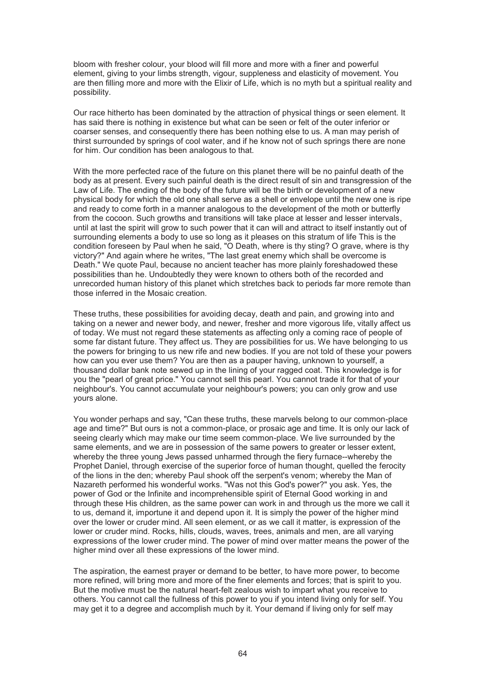bloom with fresher colour, your blood will fill more and more with a finer and powerful element, giving to your limbs strength, vigour, suppleness and elasticity of movement. You are then filling more and more with the Elixir of Life, which is no myth but a spiritual reality and possibility.

Our race hitherto has been dominated by the attraction of physical things or seen element. It has said there is nothing in existence but what can be seen or felt of the outer inferior or coarser senses, and consequently there has been nothing else to us. A man may perish of thirst surrounded by springs of cool water, and if he know not of such springs there are none for him. Our condition has been analogous to that.

With the more perfected race of the future on this planet there will be no painful death of the body as at present. Every such painful death is the direct result of sin and transgression of the Law of Life. The ending of the body of the future will be the birth or development of a new physical body for which the old one shall serve as a shell or envelope until the new one is ripe and ready to come forth in a manner analogous to the development of the moth or butterfly from the cocoon. Such growths and transitions will take place at lesser and lesser intervals, until at last the spirit will grow to such power that it can will and attract to itself instantly out of surrounding elements a body to use so long as it pleases on this stratum of life This is the condition foreseen by Paul when he said, "O Death, where is thy sting? O grave, where is thy victory?" And again where he writes, "The last great enemy which shall be overcome is Death." We quote Paul, because no ancient teacher has more plainly foreshadowed these possibilities than he. Undoubtedly they were known to others both of the recorded and unrecorded human history of this planet which stretches back to periods far more remote than those inferred in the Mosaic creation.

These truths, these possibilities for avoiding decay, death and pain, and growing into and taking on a newer and newer body, and newer, fresher and more vigorous life, vitally affect us of today. We must not regard these statements as affecting only a coming race of people of some far distant future. They affect us. They are possibilities for us. We have belonging to us the powers for bringing to us new rife and new bodies. If you are not told of these your powers how can you ever use them? You are then as a pauper having, unknown to yourself, a thousand dollar bank note sewed up in the lining of your ragged coat. This knowledge is for you the "pearl of great price." You cannot sell this pearl. You cannot trade it for that of your neighbour's. You cannot accumulate your neighbour's powers; you can only grow and use yours alone.

You wonder perhaps and say, "Can these truths, these marvels belong to our common-place age and time?" But ours is not a common-place, or prosaic age and time. It is only our lack of seeing clearly which may make our time seem common-place. We live surrounded by the same elements, and we are in possession of the same powers to greater or lesser extent, whereby the three young Jews passed unharmed through the fiery furnace--whereby the Prophet Daniel, through exercise of the superior force of human thought, quelled the ferocity of the lions in the den; whereby Paul shook off the serpent's venom; whereby the Man of Nazareth performed his wonderful works. "Was not this God's power?" you ask. Yes, the power of God or the Infinite and incomprehensible spirit of Eternal Good working in and through these His children, as the same power can work in and through us the more we call it to us, demand it, importune it and depend upon it. It is simply the power of the higher mind over the lower or cruder mind. All seen element, or as we call it matter, is expression of the lower or cruder mind. Rocks, hills, clouds, waves, trees, animals and men, are all varying expressions of the lower cruder mind. The power of mind over matter means the power of the higher mind over all these expressions of the lower mind.

The aspiration, the earnest prayer or demand to be better, to have more power, to become more refined, will bring more and more of the finer elements and forces; that is spirit to you. But the motive must be the natural heart-felt zealous wish to impart what you receive to others. You cannot call the fullness of this power to you if you intend living only for self. You may get it to a degree and accomplish much by it. Your demand if living only for self may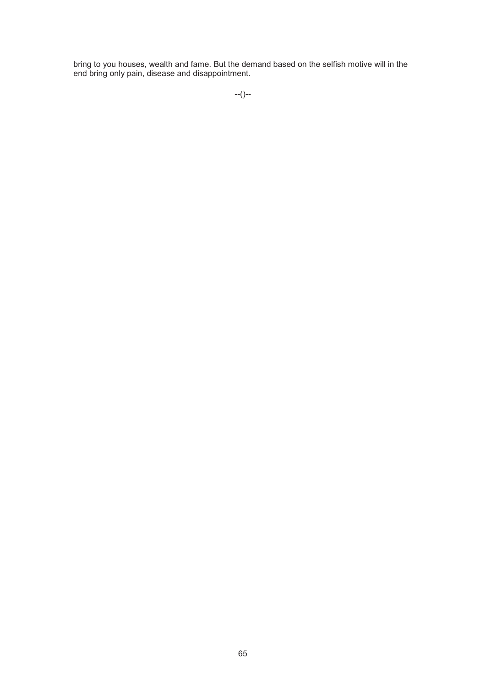bring to you houses, wealth and fame. But the demand based on the selfish motive will in the end bring only pain, disease and disappointment.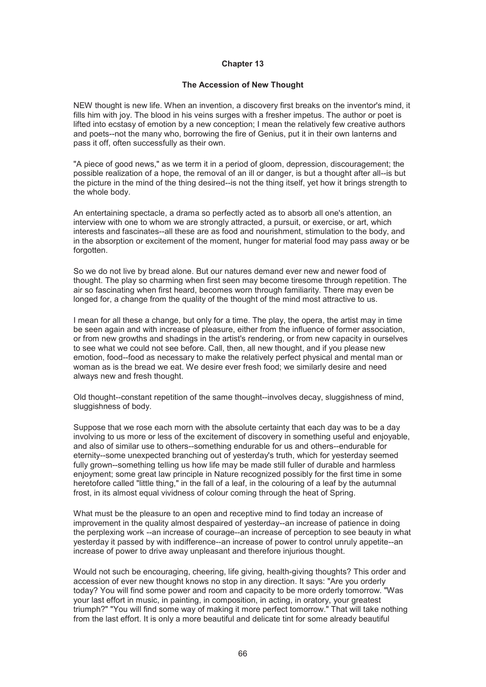## **The Accession of New Thought**

NEW thought is new life. When an invention, a discovery first breaks on the inventor's mind, it fills him with joy. The blood in his veins surges with a fresher impetus. The author or poet is lifted into ecstasy of emotion by a new conception; I mean the relatively few creative authors and poets--not the many who, borrowing the fire of Genius, put it in their own lanterns and pass it off, often successfully as their own.

"A piece of good news," as we term it in a period of gloom, depression, discouragement; the possible realization of a hope, the removal of an ill or danger, is but a thought after all--is but the picture in the mind of the thing desired--is not the thing itself, yet how it brings strength to the whole body.

An entertaining spectacle, a drama so perfectly acted as to absorb all one's attention, an interview with one to whom we are strongly attracted, a pursuit, or exercise, or art, which interests and fascinates--all these are as food and nourishment, stimulation to the body, and in the absorption or excitement of the moment, hunger for material food may pass away or be forgotten.

So we do not live by bread alone. But our natures demand ever new and newer food of thought. The play so charming when first seen may become tiresome through repetition. The air so fascinating when first heard, becomes worn through familiarity. There may even be longed for, a change from the quality of the thought of the mind most attractive to us.

I mean for all these a change, but only for a time. The play, the opera, the artist may in time be seen again and with increase of pleasure, either from the influence of former association, or from new growths and shadings in the artist's rendering, or from new capacity in ourselves to see what we could not see before. Call, then, all new thought, and if you please new emotion, food--food as necessary to make the relatively perfect physical and mental man or woman as is the bread we eat. We desire ever fresh food; we similarly desire and need always new and fresh thought.

Old thought--constant repetition of the same thought--involves decay, sluggishness of mind, sluggishness of body.

Suppose that we rose each morn with the absolute certainty that each day was to be a day involving to us more or less of the excitement of discovery in something useful and enjoyable, and also of similar use to others--something endurable for us and others--endurable for eternity--some unexpected branching out of yesterday's truth, which for yesterday seemed fully grown--something telling us how life may be made still fuller of durable and harmless enjoyment; some great law principle in Nature recognized possibly for the first time in some heretofore called "little thing," in the fall of a leaf, in the colouring of a leaf by the autumnal frost, in its almost equal vividness of colour coming through the heat of Spring.

What must be the pleasure to an open and receptive mind to find today an increase of improvement in the quality almost despaired of yesterday--an increase of patience in doing the perplexing work --an increase of courage--an increase of perception to see beauty in what yesterday it passed by with indifference--an increase of power to control unruly appetite--an increase of power to drive away unpleasant and therefore injurious thought.

Would not such be encouraging, cheering, life giving, health-giving thoughts? This order and accession of ever new thought knows no stop in any direction. It says: "Are you orderly today? You will find some power and room and capacity to be more orderly tomorrow. "Was your last effort in music, in painting, in composition, in acting, in oratory, your greatest triumph?" "You will find some way of making it more perfect tomorrow." That will take nothing from the last effort. It is only a more beautiful and delicate tint for some already beautiful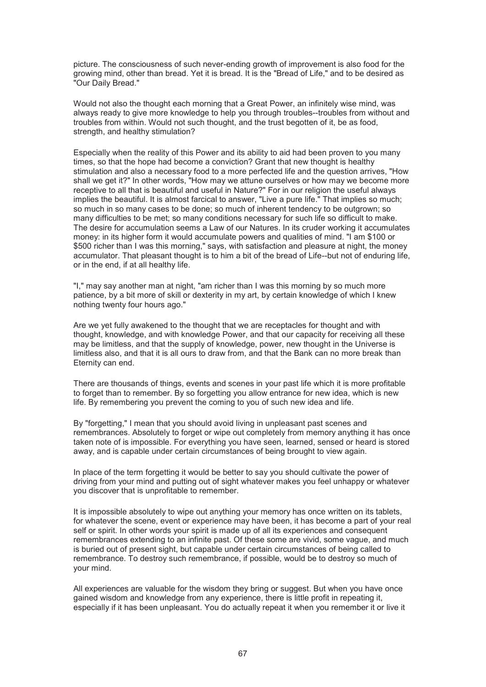picture. The consciousness of such never-ending growth of improvement is also food for the growing mind, other than bread. Yet it is bread. It is the "Bread of Life," and to be desired as "Our Daily Bread."

Would not also the thought each morning that a Great Power, an infinitely wise mind, was always ready to give more knowledge to help you through troubles--troubles from without and troubles from within. Would not such thought, and the trust begotten of it, be as food, strength, and healthy stimulation?

Especially when the reality of this Power and its ability to aid had been proven to you many times, so that the hope had become a conviction? Grant that new thought is healthy stimulation and also a necessary food to a more perfected life and the question arrives, "How shall we get it?" In other words, "How may we attune ourselves or how may we become more receptive to all that is beautiful and useful in Nature?" For in our religion the useful always implies the beautiful. It is almost farcical to answer, "Live a pure life." That implies so much; so much in so many cases to be done; so much of inherent tendency to be outgrown; so many difficulties to be met; so many conditions necessary for such life so difficult to make. The desire for accumulation seems a Law of our Natures. In its cruder working it accumulates money: in its higher form it would accumulate powers and qualities of mind. "I am \$100 or \$500 richer than I was this morning," says, with satisfaction and pleasure at night, the money accumulator. That pleasant thought is to him a bit of the bread of Life--but not of enduring life, or in the end, if at all healthy life.

"I," may say another man at night, "am richer than I was this morning by so much more patience, by a bit more of skill or dexterity in my art, by certain knowledge of which I knew nothing twenty four hours ago."

Are we yet fully awakened to the thought that we are receptacles for thought and with thought, knowledge, and with knowledge Power, and that our capacity for receiving all these may be limitless, and that the supply of knowledge, power, new thought in the Universe is limitless also, and that it is all ours to draw from, and that the Bank can no more break than Eternity can end.

There are thousands of things, events and scenes in your past life which it is more profitable to forget than to remember. By so forgetting you allow entrance for new idea, which is new life. By remembering you prevent the coming to you of such new idea and life.

By "forgetting," I mean that you should avoid living in unpleasant past scenes and remembrances. Absolutely to forget or wipe out completely from memory anything it has once taken note of is impossible. For everything you have seen, learned, sensed or heard is stored away, and is capable under certain circumstances of being brought to view again.

In place of the term forgetting it would be better to say you should cultivate the power of driving from your mind and putting out of sight whatever makes you feel unhappy or whatever you discover that is unprofitable to remember.

It is impossible absolutely to wipe out anything your memory has once written on its tablets, for whatever the scene, event or experience may have been, it has become a part of your real self or spirit. In other words your spirit is made up of all its experiences and consequent remembrances extending to an infinite past. Of these some are vivid, some vague, and much is buried out of present sight, but capable under certain circumstances of being called to remembrance. To destroy such remembrance, if possible, would be to destroy so much of your mind.

All experiences are valuable for the wisdom they bring or suggest. But when you have once gained wisdom and knowledge from any experience, there is little profit in repeating it, especially if it has been unpleasant. You do actually repeat it when you remember it or live it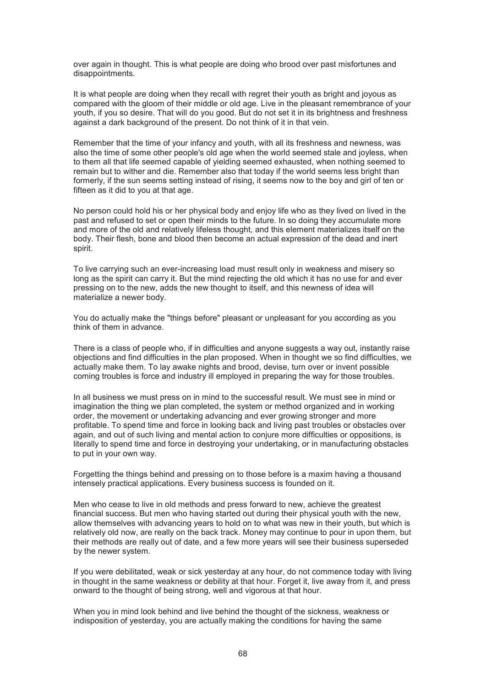over again in thought. This is what people are doing who brood over past misfortunes and disappointments.

It is what people are doing when they recall with regret their youth as bright and joyous as compared with the gloom of their middle or old age. Live in the pleasant remembrance of your youth, if you so desire. That will do you good. But do not set it in its brightness and freshness against a dark background of the present. Do not think of it in that vein.

Remember that the time of your infancy and youth, with all its freshness and newness, was also the time of some other people's old age when the world seemed stale and joyless, when to them all that life seemed capable of yielding seemed exhausted, when nothing seemed to remain but to wither and die. Remember also that today if the world seems less bright than formerly, if the sun seems setting instead of rising, it seems now to the boy and girl of ten or fifteen as it did to you at that age.

No person could hold his or her physical body and enjoy life who as they lived on lived in the past and refused to set or open their minds to the future. In so doing they accumulate more and more of the old and relatively lifeless thought, and this element materializes itself on the body. Their flesh, bone and blood then become an actual expression of the dead and inert spirit.

To live carrying such an ever-increasing load must result only in weakness and misery so long as the spirit can carry it. But the mind rejecting the old which it has no use for and ever pressing on to the new, adds the new thought to itself, and this newness of idea will materialize a newer body.

You do actually make the "things before" pleasant or unpleasant for you according as you think of them in advance.

There is a class of people who, if in difficulties and anyone suggests a way out, instantly raise objections and find difficulties in the plan proposed. When in thought we so find difficulties, we actually make them. To lay awake nights and brood, devise, turn over or invent possible coming troubles is force and industry ill employed in preparing the way for those troubles.

In all business we must press on in mind to the successful result. We must see in mind or imagination the thing we plan completed, the system or method organized and in working order, the movement or undertaking advancing and ever growing stronger and more profitable. To spend time and force in looking back and living past troubles or obstacles over again, and out of such living and mental action to conjure more difficulties or oppositions, is literally to spend time and force in destroying your undertaking, or in manufacturing obstacles to put in your own way.

Forgetting the things behind and pressing on to those before is a maxim having a thousand intensely practical applications. Every business success is founded on it.

Men who cease to live in old methods and press forward to new, achieve the greatest financial success. But men who having started out during their physical youth with the new, allow themselves with advancing years to hold on to what was new in their youth, but which is relatively old now, are really on the back track. Money may continue to pour in upon them, but their methods are really out of date, and a few more years will see their business superseded by the newer system.

If you were debilitated, weak or sick yesterday at any hour, do not commence today with living in thought in the same weakness or debility at that hour. Forget it, live away from it, and press onward to the thought of being strong, well and vigorous at that hour.

When you in mind look behind and live behind the thought of the sickness, weakness or indisposition of yesterday, you are actually making the conditions for having the same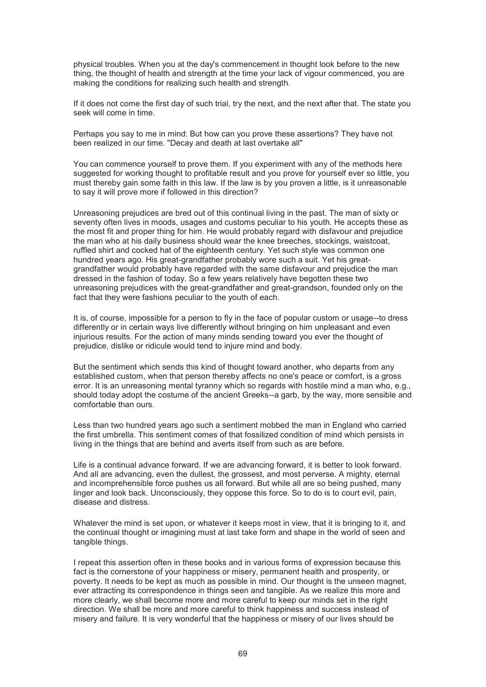physical troubles. When you at the day's commencement in thought look before to the new thing, the thought of health and strength at the time your lack of vigour commenced, you are making the conditions for realizing such health and strength.

If it does not come the first day of such trial, try the next, and the next after that. The state you seek will come in time.

Perhaps you say to me in mind: But how can you prove these assertions? They have not been realized in our time. "Decay and death at last overtake all"

You can commence yourself to prove them. If you experiment with any of the methods here suggested for working thought to profitable result and you prove for yourself ever so little, you must thereby gain some faith in this law. If the law is by you proven a little, is it unreasonable to say it will prove more if followed in this direction?

Unreasoning prejudices are bred out of this continual living in the past. The man of sixty or seventy often lives in moods, usages and customs peculiar to his youth. He accepts these as the most fit and proper thing for him. He would probably regard with disfavour and prejudice the man who at his daily business should wear the knee breeches, stockings, waistcoat, ruffled shirt and cocked hat of the eighteenth century. Yet such style was common one hundred years ago. His great-grandfather probably wore such a suit. Yet his greatgrandfather would probably have regarded with the same disfavour and prejudice the man dressed in the fashion of today. So a few years relatively have begotten these two unreasoning prejudices with the great-grandfather and great-grandson, founded only on the fact that they were fashions peculiar to the youth of each.

It is, of course, impossible for a person to fly in the face of popular custom or usage--to dress differently or in certain ways live differently without bringing on him unpleasant and even injurious results. For the action of many minds sending toward you ever the thought of prejudice, dislike or ridicule would tend to injure mind and body.

But the sentiment which sends this kind of thought toward another, who departs from any established custom, when that person thereby affects no one's peace or comfort, is a gross error. It is an unreasoning mental tyranny which so regards with hostile mind a man who, e.g., should today adopt the costume of the ancient Greeks--a garb, by the way, more sensible and comfortable than ours.

Less than two hundred years ago such a sentiment mobbed the man in England who carried the first umbrella. This sentiment comes of that fossilized condition of mind which persists in living in the things that are behind and averts itself from such as are before.

Life is a continual advance forward. If we are advancing forward, it is better to look forward. And all are advancing, even the dullest, the grossest, and most perverse. A mighty, eternal and incomprehensible force pushes us all forward. But while all are so being pushed, many linger and look back. Unconsciously, they oppose this force. So to do is to court evil, pain, disease and distress.

Whatever the mind is set upon, or whatever it keeps most in view, that it is bringing to it, and the continual thought or imagining must at last take form and shape in the world of seen and tangible things.

I repeat this assertion often in these books and in various forms of expression because this fact is the cornerstone of your happiness or misery, permanent health and prosperity, or poverty. It needs to be kept as much as possible in mind. Our thought is the unseen magnet, ever attracting its correspondence in things seen and tangible. As we realize this more and more clearly, we shall become more and more careful to keep our minds set in the right direction. We shall be more and more careful to think happiness and success instead of misery and failure. It is very wonderful that the happiness or misery of our lives should be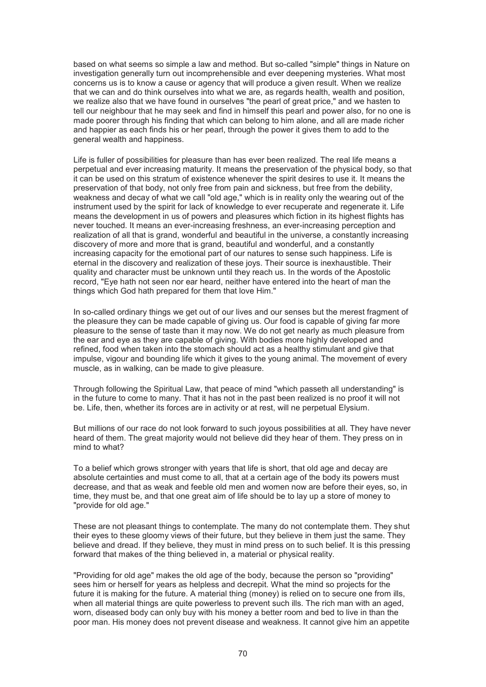based on what seems so simple a law and method. But so-called "simple" things in Nature on investigation generally turn out incomprehensible and ever deepening mysteries. What most concerns us is to know a cause or agency that will produce a given result. When we realize that we can and do think ourselves into what we are, as regards health, wealth and position, we realize also that we have found in ourselves "the pearl of great price," and we hasten to tell our neighbour that he may seek and find in himself this pearl and power also, for no one is made poorer through his finding that which can belong to him alone, and all are made richer and happier as each finds his or her pearl, through the power it gives them to add to the general wealth and happiness.

Life is fuller of possibilities for pleasure than has ever been realized. The real life means a perpetual and ever increasing maturity. It means the preservation of the physical body, so that it can be used on this stratum of existence whenever the spirit desires to use it. It means the preservation of that body, not only free from pain and sickness, but free from the debility, weakness and decay of what we call "old age," which is in reality only the wearing out of the instrument used by the spirit for lack of knowledge to ever recuperate and regenerate it. Life means the development in us of powers and pleasures which fiction in its highest flights has never touched. It means an ever-increasing freshness, an ever-increasing perception and realization of all that is grand, wonderful and beautiful in the universe, a constantly increasing discovery of more and more that is grand, beautiful and wonderful, and a constantly increasing capacity for the emotional part of our natures to sense such happiness. Life is eternal in the discovery and realization of these joys. Their source is inexhaustible. Their quality and character must be unknown until they reach us. In the words of the Apostolic record, "Eye hath not seen nor ear heard, neither have entered into the heart of man the things which God hath prepared for them that love Him."

In so-called ordinary things we get out of our lives and our senses but the merest fragment of the pleasure they can be made capable of giving us. Our food is capable of giving far more pleasure to the sense of taste than it may now. We do not get nearly as much pleasure from the ear and eye as they are capable of giving. With bodies more highly developed and refined, food when taken into the stomach should act as a healthy stimulant and give that impulse, vigour and bounding life which it gives to the young animal. The movement of every muscle, as in walking, can be made to give pleasure.

Through following the Spiritual Law, that peace of mind "which passeth all understanding" is in the future to come to many. That it has not in the past been realized is no proof it will not be. Life, then, whether its forces are in activity or at rest, will ne perpetual Elysium.

But millions of our race do not look forward to such joyous possibilities at all. They have never heard of them. The great majority would not believe did they hear of them. They press on in mind to what?

To a belief which grows stronger with years that life is short, that old age and decay are absolute certainties and must come to all, that at a certain age of the body its powers must decrease, and that as weak and feeble old men and women now are before their eyes, so, in time, they must be, and that one great aim of life should be to lay up a store of money to "provide for old age."

These are not pleasant things to contemplate. The many do not contemplate them. They shut their eyes to these gloomy views of their future, but they believe in them just the same. They believe and dread. If they believe, they must in mind press on to such belief. It is this pressing forward that makes of the thing believed in, a material or physical reality.

"Providing for old age" makes the old age of the body, because the person so "providing" sees him or herself for years as helpless and decrepit. What the mind so projects for the future it is making for the future. A material thing (money) is relied on to secure one from ills, when all material things are quite powerless to prevent such ills. The rich man with an aged, worn, diseased body can only buy with his money a better room and bed to live in than the poor man. His money does not prevent disease and weakness. It cannot give him an appetite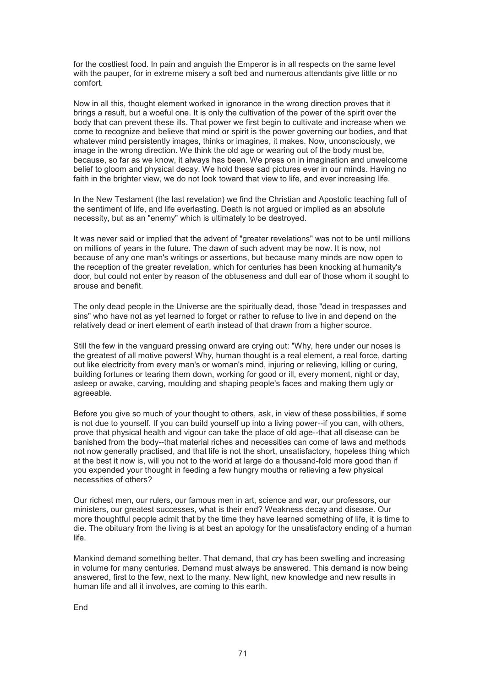for the costliest food. In pain and anguish the Emperor is in all respects on the same level with the pauper, for in extreme misery a soft bed and numerous attendants give little or no comfort.

Now in all this, thought element worked in ignorance in the wrong direction proves that it brings a result, but a woeful one. It is only the cultivation of the power of the spirit over the body that can prevent these ills. That power we first begin to cultivate and increase when we come to recognize and believe that mind or spirit is the power governing our bodies, and that whatever mind persistently images, thinks or imagines, it makes. Now, unconsciously, we image in the wrong direction. We think the old age or wearing out of the body must be, because, so far as we know, it always has been. We press on in imagination and unwelcome belief to gloom and physical decay. We hold these sad pictures ever in our minds. Having no faith in the brighter view, we do not look toward that view to life, and ever increasing life.

In the New Testament (the last revelation) we find the Christian and Apostolic teaching full of the sentiment of life, and life everlasting. Death is not argued or implied as an absolute necessity, but as an "enemy" which is ultimately to be destroyed.

It was never said or implied that the advent of "greater revelations" was not to be until millions on millions of years in the future. The dawn of such advent may be now. It is now, not because of any one man's writings or assertions, but because many minds are now open to the reception of the greater revelation, which for centuries has been knocking at humanity's door, but could not enter by reason of the obtuseness and dull ear of those whom it sought to arouse and benefit.

The only dead people in the Universe are the spiritually dead, those "dead in trespasses and sins" who have not as yet learned to forget or rather to refuse to live in and depend on the relatively dead or inert element of earth instead of that drawn from a higher source.

Still the few in the vanguard pressing onward are crying out: "Why, here under our noses is the greatest of all motive powers! Why, human thought is a real element, a real force, darting out like electricity from every man's or woman's mind, injuring or relieving, killing or curing, building fortunes or tearing them down, working for good or ill, every moment, night or day, asleep or awake, carving, moulding and shaping people's faces and making them ugly or agreeable.

Before you give so much of your thought to others, ask, in view of these possibilities, if some is not due to yourself. If you can build yourself up into a living power--if you can, with others, prove that physical health and vigour can take the place of old age--that all disease can be banished from the body--that material riches and necessities can come of laws and methods not now generally practised, and that life is not the short, unsatisfactory, hopeless thing which at the best it now is, will you not to the world at large do a thousand-fold more good than if you expended your thought in feeding a few hungry mouths or relieving a few physical necessities of others?

Our richest men, our rulers, our famous men in art, science and war, our professors, our ministers, our greatest successes, what is their end? Weakness decay and disease. Our more thoughtful people admit that by the time they have learned something of life, it is time to die. The obituary from the living is at best an apology for the unsatisfactory ending of a human life.

Mankind demand something better. That demand, that cry has been swelling and increasing in volume for many centuries. Demand must always be answered. This demand is now being answered, first to the few, next to the many. New light, new knowledge and new results in human life and all it involves, are coming to this earth.